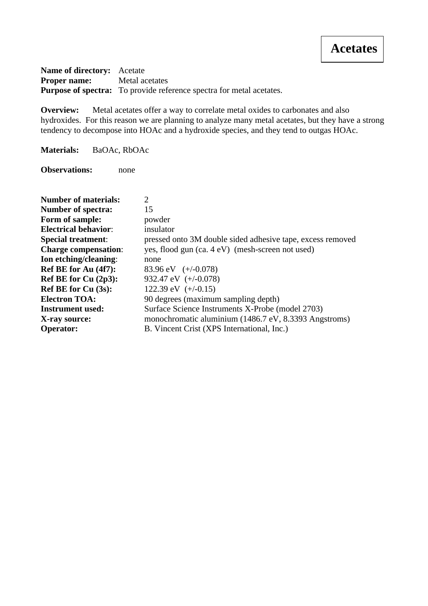**Name of directory:** Acetate **Proper name:** Metal acetates **Purpose of spectra:** To provide reference spectra for metal acetates.

**Overview:** Metal acetates offer a way to correlate metal oxides to carbonates and also hydroxides. For this reason we are planning to analyze many metal acetates, but they have a strong tendency to decompose into HOAc and a hydroxide species, and they tend to outgas HOAc.

**Materials:** BaOAc, RbOAc

**Observations:** none

| <b>Number of materials:</b> | $\mathcal{D}_{\mathcal{L}}$                                |
|-----------------------------|------------------------------------------------------------|
| Number of spectra:          | 15                                                         |
| Form of sample:             | powder                                                     |
| <b>Electrical behavior:</b> | insulator                                                  |
| <b>Special treatment:</b>   | pressed onto 3M double sided adhesive tape, excess removed |
| <b>Charge compensation:</b> | yes, flood gun (ca. 4 eV) (mesh-screen not used)           |
| Ion etching/cleaning:       | none                                                       |
| Ref BE for Au (4f7):        | 83.96 eV $(+/-0.078)$                                      |
| Ref BE for Cu $(2p3)$ :     | 932.47 eV $(+/-0.078)$                                     |
| Ref BE for Cu (3s):         | 122.39 eV $(+/-0.15)$                                      |
| <b>Electron TOA:</b>        | 90 degrees (maximum sampling depth)                        |
| <b>Instrument used:</b>     | Surface Science Instruments X-Probe (model 2703)           |
| X-ray source:               | monochromatic aluminium (1486.7 eV, 8.3393 Angstroms)      |
| <b>Operator:</b>            | B. Vincent Crist (XPS International, Inc.)                 |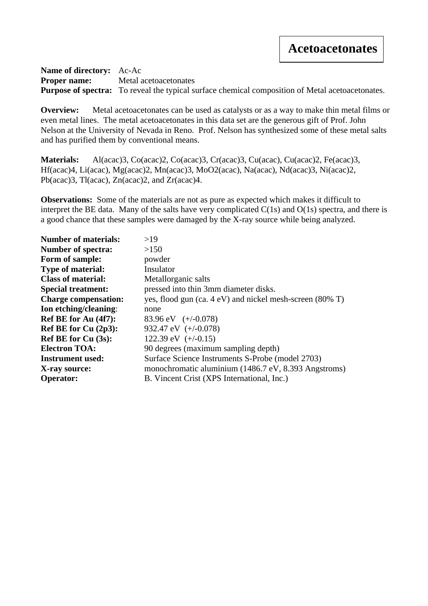**Name of directory:** Ac-Ac **Proper name:** Metal acetoacetonates **Purpose of spectra:** To reveal the typical surface chemical composition of Metal acetoacetonates.

**Overview:** Metal acetoacetonates can be used as catalysts or as a way to make thin metal films or even metal lines. The metal acetoacetonates in this data set are the generous gift of Prof. John Nelson at the University of Nevada in Reno. Prof. Nelson has synthesized some of these metal salts and has purified them by conventional means.

Materials: Al(acac)3, Co(acac)2, Co(acac)3, Cr(acac)3, Cu(acac), Cu(acac)2, Fe(acac)3, Hf(acac)4, Li(acac), Mg(acac)2, Mn(acac)3, MoO2(acac), Na(acac), Nd(acac)3, Ni(acac)2, Pb(acac)3, Tl(acac), Zn(acac)2, and Zr(acac)4.

**Observations:** Some of the materials are not as pure as expected which makes it difficult to interpret the BE data. Many of the salts have very complicated C(1s) and O(1s) spectra, and there is a good chance that these samples were damaged by the X-ray source while being analyzed.

| <b>Number of materials:</b> | >19                                                      |
|-----------------------------|----------------------------------------------------------|
| <b>Number of spectra:</b>   | >150                                                     |
| Form of sample:             | powder                                                   |
| <b>Type of material:</b>    | Insulator                                                |
| <b>Class of material:</b>   | Metallorganic salts                                      |
| <b>Special treatment:</b>   | pressed into thin 3mm diameter disks.                    |
| <b>Charge compensation:</b> | yes, flood gun (ca. 4 eV) and nickel mesh-screen (80% T) |
| Ion etching/cleaning:       | none                                                     |
| Ref BE for Au (4f7):        | 83.96 eV $(+/-0.078)$                                    |
| Ref BE for Cu $(2p3)$ :     | 932.47 eV $(+/-0.078)$                                   |
| <b>Ref BE for Cu (3s):</b>  | 122.39 eV $(+/-0.15)$                                    |
| <b>Electron TOA:</b>        | 90 degrees (maximum sampling depth)                      |
| Instrument used:            | Surface Science Instruments S-Probe (model 2703)         |
| X-ray source:               | monochromatic aluminium (1486.7 eV, 8.393 Angstroms)     |
| <b>Operator:</b>            | B. Vincent Crist (XPS International, Inc.)               |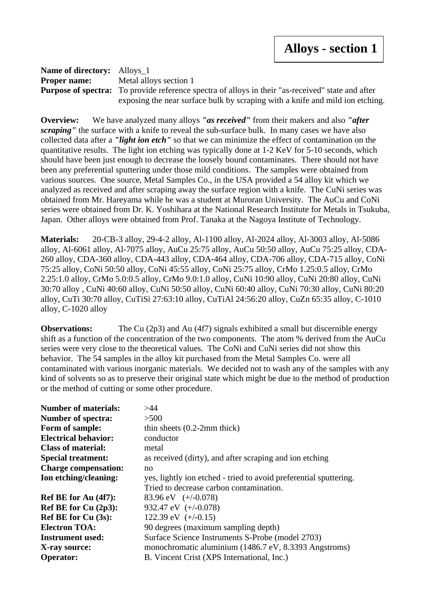**Name of directory:** Alloys\_1 **Proper name:** Metal alloys section 1 **Purpose of spectra:** To provide reference spectra of alloys in their "as-received" state and after exposing the near surface bulk by scraping with a knife and mild ion etching.

**Overview:** We have analyzed many alloys *"as received"* from their makers and also *"after scraping"* the surface with a knife to reveal the sub-surface bulk. In many cases we have also collected data after a *"light ion etch"* so that we can minimize the effect of contamination on the quantitative results. The light ion etching was typically done at 1-2 KeV for 5-10 seconds, which should have been just enough to decrease the loosely bound contaminates. There should not have been any preferential sputtering under those mild conditions. The samples were obtained from various sources. One source, Metal Samples Co., in the USA provided a 54 alloy kit which we analyzed as received and after scraping away the surface region with a knife. The CuNi series was obtained from Mr. Hareyama while he was a student at Muroran University. The AuCu and CoNi series were obtained from Dr. K. Yoshihara at the National Research Institute for Metals in Tsukuba, Japan. Other alloys were obtained from Prof. Tanaka at the Nagoya Institute of Technology.

**Materials:** 20-CB-3 alloy, 29-4-2 alloy, Al-1100 alloy, Al-2024 alloy, Al-3003 alloy, Al-5086 alloy, Al-6061 alloy, Al-7075 alloy, AuCu 25:75 alloy, AuCu 50:50 alloy, AuCu 75:25 alloy, CDA-260 alloy, CDA-360 alloy, CDA-443 alloy, CDA-464 alloy, CDA-706 alloy, CDA-715 alloy, CoNi 75:25 alloy, CoNi 50:50 alloy, CoNi 45:55 alloy, CoNi 25:75 alloy, CrMo 1.25:0.5 alloy, CrMo 2.25:1.0 alloy, CrMo 5.0:0.5 alloy, CrMo 9.0:1.0 alloy, CuNi 10:90 alloy, CuNi 20:80 alloy, CuNi 30:70 alloy , CuNi 40:60 alloy, CuNi 50:50 alloy, CuNi 60:40 alloy, CuNi 70:30 alloy, CuNi 80:20 alloy, CuTi 30:70 alloy, CuTiSi 27:63:10 alloy, CuTiAl 24:56:20 alloy, CuZn 65:35 alloy, C-1010 alloy, C-1020 alloy

**Observations:** The Cu (2p3) and Au (4f7) signals exhibited a small but discernible energy shift as a function of the concentration of the two components. The atom % derived from the AuCu series were very close to the theoretical values. The CoNi and CuNi series did not show this behavior. The 54 samples in the alloy kit purchased from the Metal Samples Co. were all contaminated with various inorganic materials. We decided not to wash any of the samples with any kind of solvents so as to preserve their original state which might be due to the method of production or the method of cutting or some other procedure.

| <b>Number of materials:</b> | >44                                                               |
|-----------------------------|-------------------------------------------------------------------|
| <b>Number of spectra:</b>   | >500                                                              |
| Form of sample:             | thin sheets $(0.2-2mm)$ thick)                                    |
| <b>Electrical behavior:</b> | conductor                                                         |
| <b>Class of material:</b>   | metal                                                             |
| <b>Special treatment:</b>   | as received (dirty), and after scraping and ion etching           |
| <b>Charge compensation:</b> | no                                                                |
| Ion etching/cleaning:       | yes, lightly ion etched - tried to avoid preferential sputtering. |
|                             | Tried to decrease carbon contamination.                           |
| Ref BE for Au $(4f7)$ :     | 83.96 eV $(+/-0.078)$                                             |
| Ref BE for Cu $(2p3)$ :     | 932.47 eV (+/-0.078)                                              |
| <b>Ref BE for Cu (3s):</b>  | 122.39 eV $(+/-0.15)$                                             |
| <b>Electron TOA:</b>        | 90 degrees (maximum sampling depth)                               |
| Instrument used:            | Surface Science Instruments S-Probe (model 2703)                  |
| X-ray source:               | monochromatic aluminium (1486.7 eV, 8.3393 Angstroms)             |
| <b>Operator:</b>            | B. Vincent Crist (XPS International, Inc.)                        |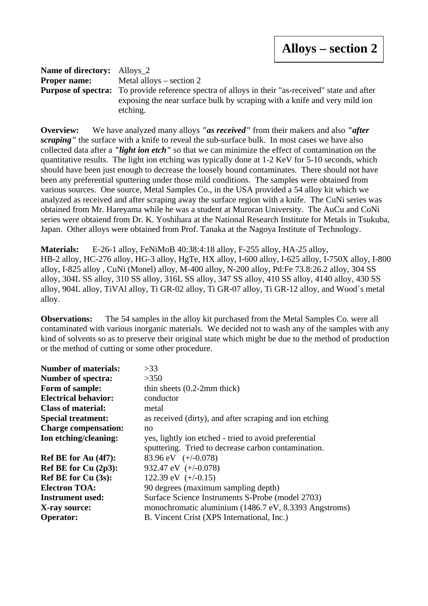| <b>Name of directory:</b> Alloys 2 |                                                                                                          |
|------------------------------------|----------------------------------------------------------------------------------------------------------|
|                                    | <b>Proper name:</b> Metal alloys $-$ section 2                                                           |
|                                    | <b>Purpose of spectra:</b> To provide reference spectra of alloys in their "as-received" state and after |
|                                    | exposing the near surface bulk by scraping with a knife and very mild ion                                |
|                                    | etching.                                                                                                 |

**Overview:** We have analyzed many alloys *"as received"* from their makers and also *"after scraping*" the surface with a knife to reveal the sub-surface bulk. In most cases we have also collected data after a *"light ion etch"* so that we can minimize the effect of contamination on the quantitative results. The light ion etching was typically done at 1-2 KeV for 5-10 seconds, which should have been just enough to decrease the loosely bound contaminates. There should not have been any preferential sputtering under those mild conditions. The samples were obtained from various sources. One source, Metal Samples Co., in the USA provided a 54 alloy kit which we analyzed as received and after scraping away the surface region with a knife. The CuNi series was obtained from Mr. Hareyama while he was a student at Muroran University. The AuCu and CoNi series were obtaiend from Dr. K. Yoshihara at the National Research Institute for Metals in Tsukuba, Japan. Other alloys were obtained from Prof. Tanaka at the Nagoya Institute of Technology.

**Materials:** E-26-1 alloy, FeNiMoB 40:38:4:18 alloy, F-255 alloy, HA-25 alloy, HB-2 alloy, HC-276 alloy, HG-3 alloy, HgTe, HX alloy, I-600 alloy, I-625 alloy, I-750X alloy, I-800 alloy, I-825 alloy , CuNi (Monel) alloy, M-400 alloy, N-200 alloy, Pd:Fe 73.8:26.2 alloy, 304 SS alloy, 304L SS alloy, 310 SS alloy, 316L SS alloy, 347 SS alloy, 410 SS alloy, 4140 alloy, 430 SS alloy, 904L alloy, TiVAl alloy, Ti GR-02 alloy, Ti GR-07 alloy, Ti GR-12 alloy, and Wood`s metal alloy.

**Observations:** The 54 samples in the alloy kit purchased from the Metal Samples Co. were all contaminated with various inorganic materials. We decided not to wash any of the samples with any kind of solvents so as to preserve their original state which might be due to the method of production or the method of cutting or some other procedure.

| <b>Number of materials:</b> | >33                                                     |
|-----------------------------|---------------------------------------------------------|
| Number of spectra:          | >350                                                    |
| Form of sample:             | thin sheets $(0.2-2mm)$ thick)                          |
| <b>Electrical behavior:</b> | conductor                                               |
| <b>Class of material:</b>   | metal                                                   |
| <b>Special treatment:</b>   | as received (dirty), and after scraping and ion etching |
| <b>Charge compensation:</b> | no                                                      |
| Ion etching/cleaning:       | yes, lightly ion etched - tried to avoid preferential   |
|                             | sputtering. Tried to decrease carbon contamination.     |
| Ref BE for Au (4f7):        | 83.96 eV $(+/-0.078)$                                   |
| Ref BE for Cu $(2p3)$ :     | 932.47 eV $(+/-0.078)$                                  |
| Ref BE for $Cu(3s)$ :       | 122.39 eV $(+/-0.15)$                                   |
| <b>Electron TOA:</b>        | 90 degrees (maximum sampling depth)                     |
| <b>Instrument used:</b>     | Surface Science Instruments S-Probe (model 2703)        |
| X-ray source:               | monochromatic aluminium (1486.7 eV, 8.3393 Angstroms)   |
| <b>Operator:</b>            | B. Vincent Crist (XPS International, Inc.)              |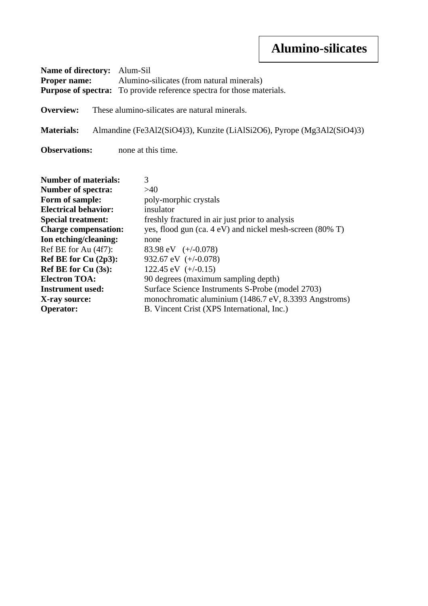| <b>Name of directory:</b> Alum-Sil | <b>Proper name:</b> Alumino-silicates (from natural minerals)<br><b>Purpose of spectra:</b> To provide reference spectra for those materials. |
|------------------------------------|-----------------------------------------------------------------------------------------------------------------------------------------------|
| Overview:                          | These alumino-silicates are natural minerals.                                                                                                 |
| <b>Materials:</b>                  | Almandine (Fe3Al2(SiO4)3), Kunzite (LiAlSi2O6), Pyrope (Mg3Al2(SiO4)3)                                                                        |
| <b>Observations:</b>               | none at this time.                                                                                                                            |

| <b>Number of materials:</b> | 3                                                        |
|-----------------------------|----------------------------------------------------------|
| <b>Number of spectra:</b>   | >40                                                      |
| Form of sample:             | poly-morphic crystals                                    |
| <b>Electrical behavior:</b> | insulator                                                |
| <b>Special treatment:</b>   | freshly fractured in air just prior to analysis          |
| <b>Charge compensation:</b> | yes, flood gun (ca. 4 eV) and nickel mesh-screen (80% T) |
| Ion etching/cleaning:       | none                                                     |
| Ref BE for Au (4f7):        | 83.98 eV $(+/-0.078)$                                    |
| Ref BE for Cu (2p3):        | 932.67 eV $(+/-0.078)$                                   |
| Ref BE for $Cu(3s)$ :       | 122.45 eV $(+/-0.15)$                                    |
| <b>Electron TOA:</b>        | 90 degrees (maximum sampling depth)                      |
| <b>Instrument used:</b>     | Surface Science Instruments S-Probe (model 2703)         |
| X-ray source:               | monochromatic aluminium (1486.7 eV, 8.3393 Angstroms)    |
| <b>Operator:</b>            | B. Vincent Crist (XPS International, Inc.)               |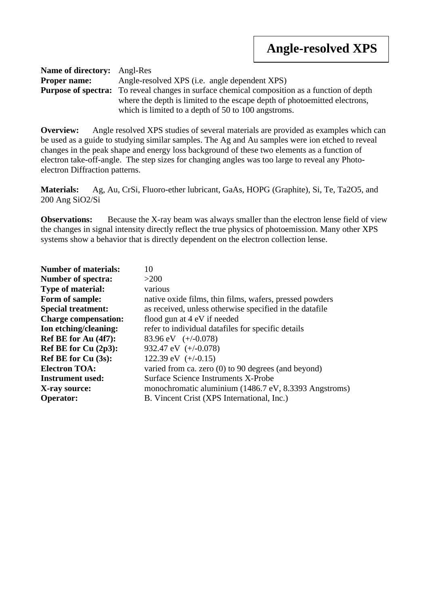| <b>Name of directory:</b> Angl-Res |                                                                                                     |
|------------------------------------|-----------------------------------------------------------------------------------------------------|
| <b>Proper name:</b>                | Angle-resolved XPS (i.e. angle dependent XPS)                                                       |
|                                    | <b>Purpose of spectra:</b> To reveal changes in surface chemical composition as a function of depth |
|                                    | where the depth is limited to the escape depth of photoemitted electrons,                           |
|                                    | which is limited to a depth of 50 to 100 angstroms.                                                 |

**Overview:** Angle resolved XPS studies of several materials are provided as examples which can be used as a guide to studying similar samples. The Ag and Au samples were ion etched to reveal changes in the peak shape and energy loss background of these two elements as a function of electron take-off-angle. The step sizes for changing angles was too large to reveal any Photoelectron Diffraction patterns.

**Materials:** Ag, Au, CrSi, Fluoro-ether lubricant, GaAs, HOPG (Graphite), Si, Te, Ta2O5, and 200 Ang SiO2/Si

**Observations:** Because the X-ray beam was always smaller than the electron lense field of view the changes in signal intensity directly reflect the true physics of photoemission. Many other XPS systems show a behavior that is directly dependent on the electron collection lense.

| 10                                                      |
|---------------------------------------------------------|
| >200                                                    |
| various                                                 |
| native oxide films, thin films, wafers, pressed powders |
| as received, unless otherwise specified in the datafile |
| flood gun at 4 eV if needed                             |
| refer to individual datafiles for specific details      |
| 83.96 eV $(+/-0.078)$                                   |
| 932.47 eV $(+/-0.078)$                                  |
| 122.39 eV $(+/-0.15)$                                   |
| varied from ca. zero $(0)$ to 90 degrees (and beyond)   |
| Surface Science Instruments X-Probe                     |
| monochromatic aluminium (1486.7 eV, 8.3393 Angstroms)   |
| B. Vincent Crist (XPS International, Inc.)              |
|                                                         |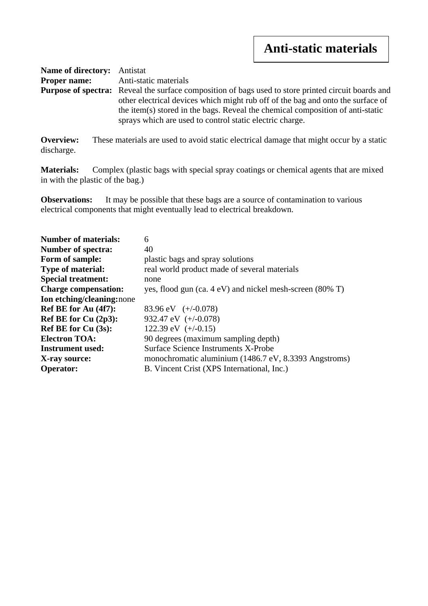| <b>Name of directory:</b> Antistat |                                                                                                                                                                                                                                                                                                                                             |
|------------------------------------|---------------------------------------------------------------------------------------------------------------------------------------------------------------------------------------------------------------------------------------------------------------------------------------------------------------------------------------------|
| <b>Proper name:</b>                | Anti-static materials                                                                                                                                                                                                                                                                                                                       |
|                                    | <b>Purpose of spectra:</b> Reveal the surface composition of bags used to store printed circuit boards and<br>other electrical devices which might rub off of the bag and onto the surface of<br>the item(s) stored in the bags. Reveal the chemical composition of anti-static<br>sprays which are used to control static electric charge. |

**Overview:** These materials are used to avoid static electrical damage that might occur by a static discharge.

**Materials:** Complex (plastic bags with special spray coatings or chemical agents that are mixed in with the plastic of the bag.)

**Observations:** It may be possible that these bags are a source of contamination to various electrical components that might eventually lead to electrical breakdown.

| <b>Number of materials:</b> | 6                                                        |
|-----------------------------|----------------------------------------------------------|
| <b>Number of spectra:</b>   | 40                                                       |
| Form of sample:             | plastic bags and spray solutions                         |
| <b>Type of material:</b>    | real world product made of several materials             |
| <b>Special treatment:</b>   | none                                                     |
| <b>Charge compensation:</b> | yes, flood gun (ca. 4 eV) and nickel mesh-screen (80% T) |
| Ion etching/cleaning:none   |                                                          |
| Ref BE for Au (4f7):        | 83.96 eV $(+/-0.078)$                                    |
| Ref BE for Cu (2p3):        | 932.47 eV $(+/-0.078)$                                   |
| Ref BE for Cu (3s):         | 122.39 eV $(+/-0.15)$                                    |
| <b>Electron TOA:</b>        | 90 degrees (maximum sampling depth)                      |
| <b>Instrument used:</b>     | Surface Science Instruments X-Probe                      |
| X-ray source:               | monochromatic aluminium (1486.7 eV, 8.3393 Angstroms)    |
| <b>Operator:</b>            | B. Vincent Crist (XPS International, Inc.)               |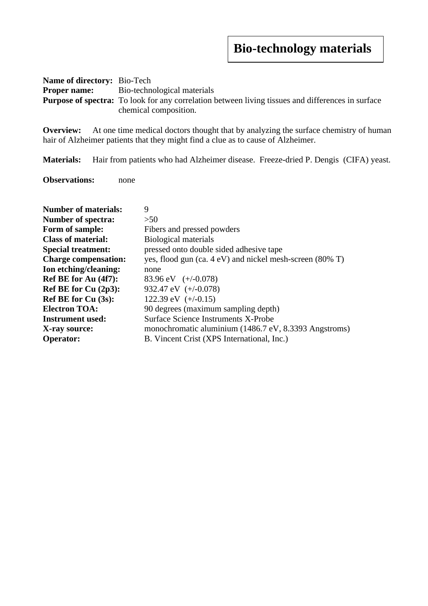## **Bio-technology materials**

| <b>Name of directory:</b> Bio-Tech |                                                                                                          |
|------------------------------------|----------------------------------------------------------------------------------------------------------|
|                                    | <b>Proper name:</b> Bio-technological materials                                                          |
|                                    | <b>Purpose of spectra:</b> To look for any correlation between living tissues and differences in surface |
|                                    | chemical composition.                                                                                    |

**Overview:** At one time medical doctors thought that by analyzing the surface chemistry of human hair of Alzheimer patients that they might find a clue as to cause of Alzheimer.

**Materials:** Hair from patients who had Alzheimer disease. Freeze-dried P. Dengis (CIFA) yeast.

**Observations:** none

| <b>Number of materials:</b> | 9                                                        |
|-----------------------------|----------------------------------------------------------|
| <b>Number of spectra:</b>   | >50                                                      |
| Form of sample:             | Fibers and pressed powders                               |
| <b>Class of material:</b>   | Biological materials                                     |
| <b>Special treatment:</b>   | pressed onto double sided adhesive tape                  |
| <b>Charge compensation:</b> | yes, flood gun (ca. 4 eV) and nickel mesh-screen (80% T) |
| Ion etching/cleaning:       | none                                                     |
| Ref BE for Au (4f7):        | 83.96 eV $(+/-0.078)$                                    |
| Ref BE for Cu $(2p3)$ :     | 932.47 eV $(+/-0.078)$                                   |
| Ref BE for $Cu(3s)$ :       | 122.39 eV $(+/-0.15)$                                    |
| <b>Electron TOA:</b>        | 90 degrees (maximum sampling depth)                      |
| <b>Instrument used:</b>     | Surface Science Instruments X-Probe                      |
| X-ray source:               | monochromatic aluminium (1486.7 eV, 8.3393 Angstroms)    |
| <b>Operator:</b>            | B. Vincent Crist (XPS International, Inc.)               |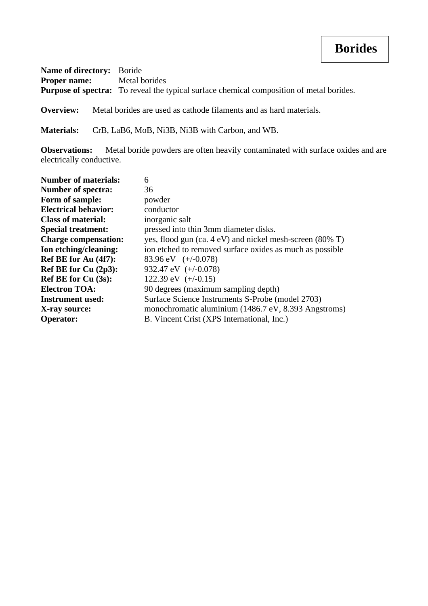## **Borides**

| <b>Name of directory:</b> Boride  |                                                                                                 |
|-----------------------------------|-------------------------------------------------------------------------------------------------|
| <b>Proper name:</b> Metal borides |                                                                                                 |
|                                   | <b>Purpose of spectra:</b> To reveal the typical surface chemical composition of metal borides. |

**Overview:** Metal borides are used as cathode filaments and as hard materials.

**Materials:** CrB, LaB6, MoB, Ni3B, Ni3B with Carbon, and WB.

**Observations:** Metal boride powders are often heavily contaminated with surface oxides and are electrically conductive.

| <b>Number of materials:</b> | 6                                                        |
|-----------------------------|----------------------------------------------------------|
| <b>Number of spectra:</b>   | 36                                                       |
| Form of sample:             | powder                                                   |
| <b>Electrical behavior:</b> | conductor                                                |
| <b>Class of material:</b>   | inorganic salt                                           |
| <b>Special treatment:</b>   | pressed into thin 3mm diameter disks.                    |
| <b>Charge compensation:</b> | yes, flood gun (ca. 4 eV) and nickel mesh-screen (80% T) |
| Ion etching/cleaning:       | ion etched to removed surface oxides as much as possible |
| Ref BE for Au (4f7):        | 83.96 eV $(+/-0.078)$                                    |
| Ref BE for $Cu(2p3)$ :      | 932.47 eV $(+/-0.078)$                                   |
| Ref BE for $Cu(3s)$ :       | 122.39 eV $(+/-0.15)$                                    |
| <b>Electron TOA:</b>        | 90 degrees (maximum sampling depth)                      |
| <b>Instrument used:</b>     | Surface Science Instruments S-Probe (model 2703)         |
| X-ray source:               | monochromatic aluminium (1486.7 eV, 8.393 Angstroms)     |
| <b>Operator:</b>            | B. Vincent Crist (XPS International, Inc.)               |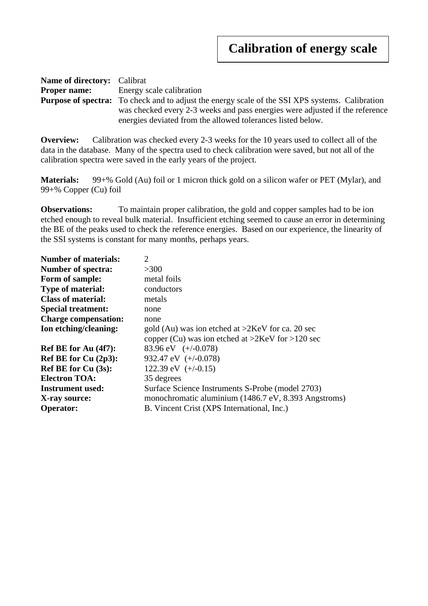#### **Calibration of energy scale**

| <b>Name of directory:</b> Calibrat |                                                                                                        |  |
|------------------------------------|--------------------------------------------------------------------------------------------------------|--|
| <b>Proper name:</b>                | Energy scale calibration                                                                               |  |
|                                    | <b>Purpose of spectra:</b> To check and to adjust the energy scale of the SSI XPS systems. Calibration |  |
|                                    | was checked every 2-3 weeks and pass energies were adjusted if the reference                           |  |
|                                    | energies deviated from the allowed tolerances listed below.                                            |  |

**Overview:** Calibration was checked every 2-3 weeks for the 10 years used to collect all of the data in the database. Many of the spectra used to check calibration were saved, but not all of the calibration spectra were saved in the early years of the project.

**Materials:** 99+% Gold (Au) foil or 1 micron thick gold on a silicon wafer or PET (Mylar), and 99+% Copper (Cu) foil

**Observations:** To maintain proper calibration, the gold and copper samples had to be ion etched enough to reveal bulk material. Insufficient etching seemed to cause an error in determining the BE of the peaks used to check the reference energies. Based on our experience, the linearity of the SSI systems is constant for many months, perhaps years.

| <b>Number of materials:</b> | 2                                                     |
|-----------------------------|-------------------------------------------------------|
| <b>Number of spectra:</b>   | >300                                                  |
| Form of sample:             | metal foils                                           |
| <b>Type of material:</b>    | conductors                                            |
| <b>Class of material:</b>   | metals                                                |
| <b>Special treatment:</b>   | none                                                  |
| <b>Charge compensation:</b> | none                                                  |
| Ion etching/cleaning:       | gold (Au) was ion etched at $>2$ KeV for ca. 20 sec   |
|                             | copper (Cu) was ion etched at $>2$ KeV for $>120$ sec |
| Ref BE for Au (4f7):        | 83.96 eV $(+/-0.078)$                                 |
| Ref BE for Cu $(2p3)$ :     | 932.47 eV $(+/-0.078)$                                |
| <b>Ref BE for Cu (3s):</b>  | 122.39 eV $(+/-0.15)$                                 |
| <b>Electron TOA:</b>        | 35 degrees                                            |
| <b>Instrument used:</b>     | Surface Science Instruments S-Probe (model 2703)      |
| X-ray source:               | monochromatic aluminium (1486.7 eV, 8.393 Angstroms)  |
| <b>Operator:</b>            | B. Vincent Crist (XPS International, Inc.)            |
|                             |                                                       |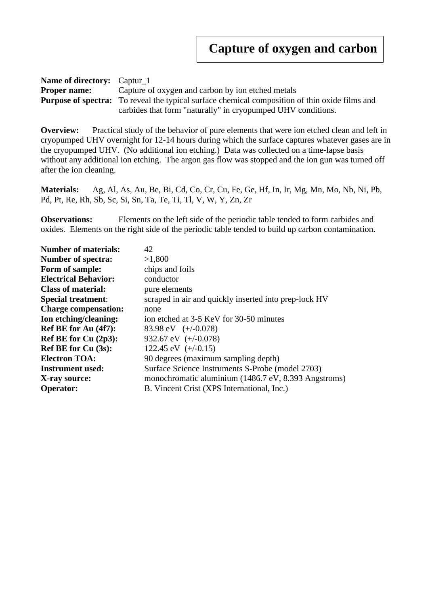| <b>Name of directory:</b> Captur 1 |                                                                                                       |  |
|------------------------------------|-------------------------------------------------------------------------------------------------------|--|
| <b>Proper name:</b>                | Capture of oxygen and carbon by ion etched metals                                                     |  |
|                                    | <b>Purpose of spectra:</b> To reveal the typical surface chemical composition of thin oxide films and |  |
|                                    | carbides that form "naturally" in cryopumped UHV conditions.                                          |  |

**Overview:** Practical study of the behavior of pure elements that were ion etched clean and left in cryopumped UHV overnight for 12-14 hours during which the surface captures whatever gases are in the cryopumped UHV. (No additional ion etching.) Data was collected on a time-lapse basis without any additional ion etching. The argon gas flow was stopped and the ion gun was turned off after the ion cleaning.

**Materials:** Ag, Al, As, Au, Be, Bi, Cd, Co, Cr, Cu, Fe, Ge, Hf, In, Ir, Mg, Mn, Mo, Nb, Ni, Pb, Pd, Pt, Re, Rh, Sb, Sc, Si, Sn, Ta, Te, Ti, Tl, V, W, Y, Zn, Zr

**Observations:** Elements on the left side of the periodic table tended to form carbides and oxides. Elements on the right side of the periodic table tended to build up carbon contamination.

| <b>Number of materials:</b> | 42                                                    |
|-----------------------------|-------------------------------------------------------|
| <b>Number of spectra:</b>   | >1,800                                                |
| Form of sample:             | chips and foils                                       |
| <b>Electrical Behavior:</b> | conductor                                             |
| <b>Class of material:</b>   | pure elements                                         |
| <b>Special treatment:</b>   | scraped in air and quickly inserted into prep-lock HV |
| <b>Charge compensation:</b> | none                                                  |
| Ion etching/cleaning:       | ion etched at 3-5 KeV for 30-50 minutes               |
| Ref BE for Au (4f7):        | 83.98 eV $(+/-0.078)$                                 |
| Ref BE for Cu $(2p3)$ :     | 932.67 eV $(+/-0.078)$                                |
| Ref BE for Cu (3s):         | 122.45 eV $(+/-0.15)$                                 |
| <b>Electron TOA:</b>        | 90 degrees (maximum sampling depth)                   |
| <b>Instrument used:</b>     | Surface Science Instruments S-Probe (model 2703)      |
| X-ray source:               | monochromatic aluminium (1486.7 eV, 8.393 Angstroms)  |
| <b>Operator:</b>            | B. Vincent Crist (XPS International, Inc.)            |
|                             |                                                       |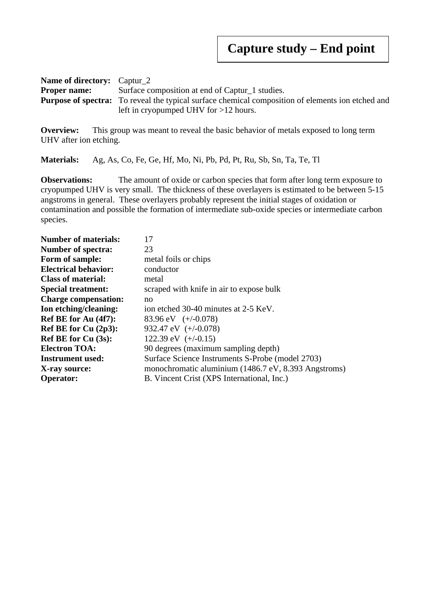**Name of directory:** Captur\_2 **Proper name:** Surface composition at end of Captur\_1 studies. **Purpose of spectra:** To reveal the typical surface chemical composition of elements ion etched and left in cryopumped UHV for >12 hours.

**Overview:** This group was meant to reveal the basic behavior of metals exposed to long term UHV after ion etching.

**Materials:** Ag, As, Co, Fe, Ge, Hf, Mo, Ni, Pb, Pd, Pt, Ru, Sb, Sn, Ta, Te, Tl

**Observations:** The amount of oxide or carbon species that form after long term exposure to cryopumped UHV is very small. The thickness of these overlayers is estimated to be between 5-15 angstroms in general. These overlayers probably represent the initial stages of oxidation or contamination and possible the formation of intermediate sub-oxide species or intermediate carbon species.

| <b>Number of materials:</b> | 17                                                   |
|-----------------------------|------------------------------------------------------|
| <b>Number of spectra:</b>   | 23                                                   |
| Form of sample:             | metal foils or chips                                 |
| <b>Electrical behavior:</b> | conductor                                            |
| <b>Class of material:</b>   | metal                                                |
| <b>Special treatment:</b>   | scraped with knife in air to expose bulk             |
| <b>Charge compensation:</b> | no                                                   |
| Ion etching/cleaning:       | ion etched 30-40 minutes at 2-5 KeV.                 |
| Ref BE for Au (4f7):        | 83.96 eV $(+/-0.078)$                                |
| Ref BE for $Cu(2p3)$ :      | 932.47 eV $(+/-0.078)$                               |
| Ref BE for $Cu(3s)$ :       | 122.39 eV $(+/-0.15)$                                |
| <b>Electron TOA:</b>        | 90 degrees (maximum sampling depth)                  |
| <b>Instrument used:</b>     | Surface Science Instruments S-Probe (model 2703)     |
| X-ray source:               | monochromatic aluminium (1486.7 eV, 8.393 Angstroms) |
| <b>Operator:</b>            | B. Vincent Crist (XPS International, Inc.)           |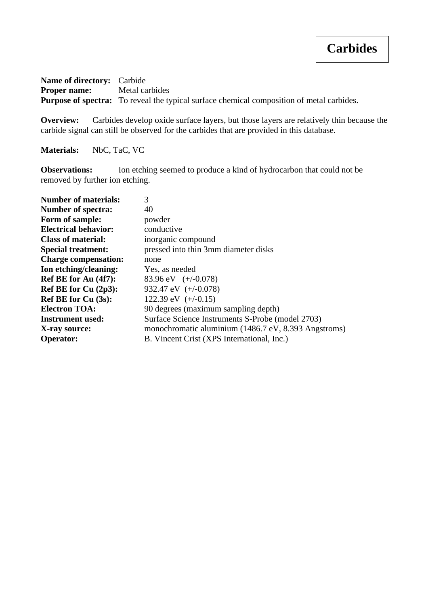**Name of directory:** Carbide **Proper name:** Metal carbides Purpose of spectra: To reveal the typical surface chemical composition of metal carbides.

**Overview:** Carbides develop oxide surface layers, but those layers are relatively thin because the carbide signal can still be observed for the carbides that are provided in this database.

**Materials:** NbC, TaC, VC

**Observations:** Ion etching seemed to produce a kind of hydrocarbon that could not be removed by further ion etching.

| <b>Number of materials:</b> | 3                                                    |
|-----------------------------|------------------------------------------------------|
| <b>Number of spectra:</b>   | 40                                                   |
| Form of sample:             | powder                                               |
| <b>Electrical behavior:</b> | conductive                                           |
| <b>Class of material:</b>   | inorganic compound                                   |
| <b>Special treatment:</b>   | pressed into thin 3mm diameter disks                 |
| <b>Charge compensation:</b> | none                                                 |
| Ion etching/cleaning:       | Yes, as needed                                       |
| Ref BE for Au (4f7):        | 83.96 eV $(+/-0.078)$                                |
| Ref BE for Cu (2p3):        | 932.47 eV $(+/-0.078)$                               |
| <b>Ref BE for Cu (3s):</b>  | 122.39 eV $(+/-0.15)$                                |
| <b>Electron TOA:</b>        | 90 degrees (maximum sampling depth)                  |
| <b>Instrument used:</b>     | Surface Science Instruments S-Probe (model 2703)     |
| X-ray source:               | monochromatic aluminium (1486.7 eV, 8.393 Angstroms) |
| <b>Operator:</b>            | B. Vincent Crist (XPS International, Inc.)           |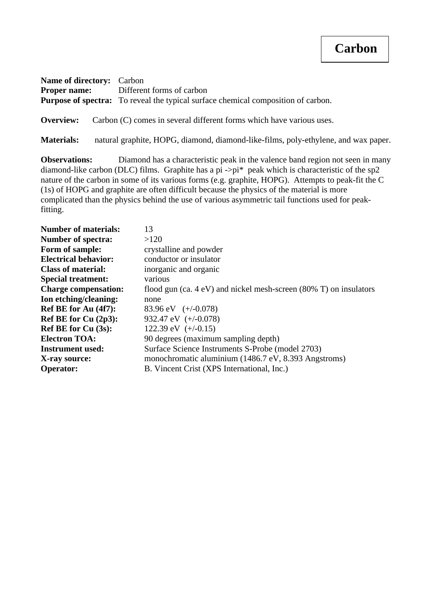#### **Carbon**

| <b>Name of directory:</b> Carbon |                                                                                          |
|----------------------------------|------------------------------------------------------------------------------------------|
|                                  | <b>Proper name:</b> Different forms of carbon                                            |
|                                  | <b>Purpose of spectra:</b> To reveal the typical surface chemical composition of carbon. |
|                                  | <b>Overview:</b> Carbon (C) comes in several different forms which have various uses.    |

**Materials:** natural graphite, HOPG, diamond, diamond-like-films, poly-ethylene, and wax paper.

**Observations:** Diamond has a characteristic peak in the valence band region not seen in many diamond-like carbon (DLC) films. Graphite has a pi ->pi\* peak which is characteristic of the sp2 nature of the carbon in some of its various forms (e.g. graphite, HOPG). Attempts to peak-fit the C (1s) of HOPG and graphite are often difficult because the physics of the material is more complicated than the physics behind the use of various asymmetric tail functions used for peakfitting.

| <b>Number of materials:</b> | 13                                                                           |
|-----------------------------|------------------------------------------------------------------------------|
| <b>Number of spectra:</b>   | >120                                                                         |
| Form of sample:             | crystalline and powder                                                       |
| <b>Electrical behavior:</b> | conductor or insulator                                                       |
| <b>Class of material:</b>   | inorganic and organic                                                        |
| <b>Special treatment:</b>   | various                                                                      |
| <b>Charge compensation:</b> | flood gun (ca. $4 \text{ eV}$ ) and nickel mesh-screen (80% T) on insulators |
| Ion etching/cleaning:       | none                                                                         |
| Ref BE for Au (4f7):        | 83.96 eV $(+/-0.078)$                                                        |
| Ref BE for Cu (2p3):        | 932.47 eV $(+/-0.078)$                                                       |
| <b>Ref BE for Cu (3s):</b>  | 122.39 eV $(+/-0.15)$                                                        |
| <b>Electron TOA:</b>        | 90 degrees (maximum sampling depth)                                          |
| <b>Instrument used:</b>     | Surface Science Instruments S-Probe (model 2703)                             |
| X-ray source:               | monochromatic aluminium (1486.7 eV, 8.393 Angstroms)                         |
| <b>Operator:</b>            | B. Vincent Crist (XPS International, Inc.)                                   |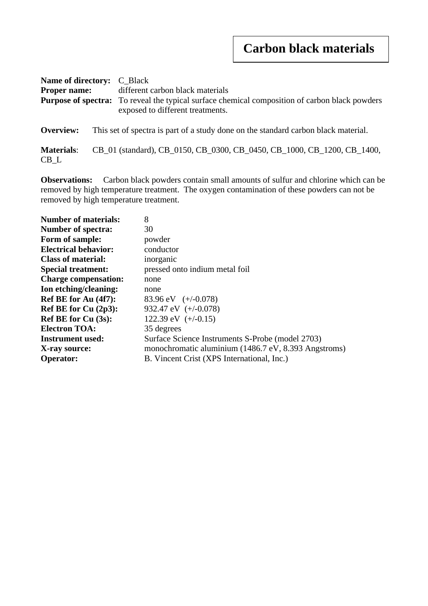### **Carbon black materials**

| <b>Name of directory:</b> C_Black<br><b>Proper name:</b> |  | different carbon black materials<br><b>Purpose of spectra:</b> To reveal the typical surface chemical composition of carbon black powders<br>exposed to different treatments. |  |
|----------------------------------------------------------|--|-------------------------------------------------------------------------------------------------------------------------------------------------------------------------------|--|
| Overview:                                                |  | This set of spectra is part of a study done on the standard carbon black material.                                                                                            |  |
| <b>Materials:</b><br>$CB_{-}L$                           |  | CB_01 (standard), CB_0150, CB_0300, CB_0450, CB_1000, CB_1200, CB_1400,                                                                                                       |  |

**Observations:** Carbon black powders contain small amounts of sulfur and chlorine which can be removed by high temperature treatment. The oxygen contamination of these powders can not be removed by high temperature treatment.

| <b>Number of materials:</b> | 8                                                    |
|-----------------------------|------------------------------------------------------|
| <b>Number of spectra:</b>   | 30                                                   |
| Form of sample:             | powder                                               |
| <b>Electrical behavior:</b> | conductor                                            |
| <b>Class of material:</b>   | inorganic                                            |
| <b>Special treatment:</b>   | pressed onto indium metal foil                       |
| <b>Charge compensation:</b> | none                                                 |
| Ion etching/cleaning:       | none                                                 |
| Ref BE for Au (4f7):        | 83.96 eV $(+/-0.078)$                                |
| Ref BE for Cu (2p3):        | 932.47 eV $(+/-0.078)$                               |
| <b>Ref BE for Cu (3s):</b>  | 122.39 eV $(+/-0.15)$                                |
| <b>Electron TOA:</b>        | 35 degrees                                           |
| <b>Instrument used:</b>     | Surface Science Instruments S-Probe (model 2703)     |
| X-ray source:               | monochromatic aluminium (1486.7 eV, 8.393 Angstroms) |
| <b>Operator:</b>            | B. Vincent Crist (XPS International, Inc.)           |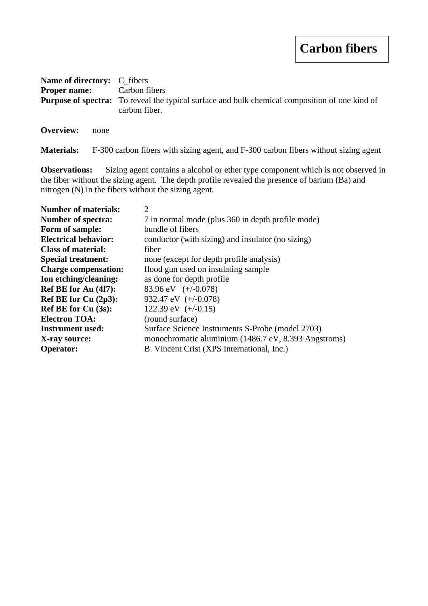#### **Carbon fibers**

| <b>Name of directory:</b> C_fibers |                                                                                                                        |
|------------------------------------|------------------------------------------------------------------------------------------------------------------------|
|                                    | <b>Proper name:</b> Carbon fibers                                                                                      |
|                                    | <b>Purpose of spectra:</b> To reveal the typical surface and bulk chemical composition of one kind of<br>carbon fiber. |
| Overview:                          | none                                                                                                                   |

**Materials:** F-300 carbon fibers with sizing agent, and F-300 carbon fibers without sizing agent

**Observations:** Sizing agent contains a alcohol or ether type component which is not observed in the fiber without the sizing agent. The depth profile revealed the presence of barium (Ba) and nitrogen (N) in the fibers without the sizing agent.

| <b>Number of materials:</b> | 2                                                    |
|-----------------------------|------------------------------------------------------|
| <b>Number of spectra:</b>   | 7 in normal mode (plus 360 in depth profile mode)    |
| Form of sample:             | bundle of fibers                                     |
| <b>Electrical behavior:</b> | conductor (with sizing) and insulator (no sizing)    |
| <b>Class of material:</b>   | fiber                                                |
| <b>Special treatment:</b>   | none (except for depth profile analysis)             |
| <b>Charge compensation:</b> | flood gun used on insulating sample                  |
| Ion etching/cleaning:       | as done for depth profile.                           |
| Ref BE for Au (4f7):        | 83.96 eV $(+/-0.078)$                                |
| Ref BE for Cu $(2p3)$ :     | 932.47 eV $(+/-0.078)$                               |
| <b>Ref BE for Cu (3s):</b>  | 122.39 eV $(+/-0.15)$                                |
| <b>Electron TOA:</b>        | (round surface)                                      |
| <b>Instrument used:</b>     | Surface Science Instruments S-Probe (model 2703)     |
| X-ray source:               | monochromatic aluminium (1486.7 eV, 8.393 Angstroms) |
| <b>Operator:</b>            | B. Vincent Crist (XPS International, Inc.)           |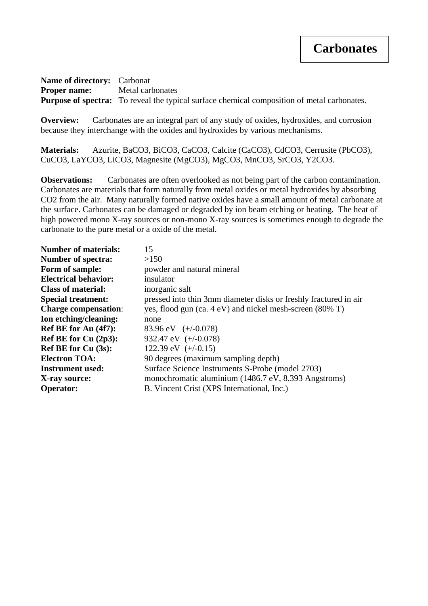**Name of directory:** Carbonat **Proper name:** Metal carbonates **Purpose of spectra:** To reveal the typical surface chemical composition of metal carbonates.

**Overview:** Carbonates are an integral part of any study of oxides, hydroxides, and corrosion because they interchange with the oxides and hydroxides by various mechanisms.

**Materials:** Azurite, BaCO3, BiCO3, CaCO3, Calcite (CaCO3), CdCO3, Cerrusite (PbCO3), CuCO3, LaYCO3, LiCO3, Magnesite (MgCO3), MgCO3, MnCO3, SrCO3, Y2CO3.

**Observations:** Carbonates are often overlooked as not being part of the carbon contamination. Carbonates are materials that form naturally from metal oxides or metal hydroxides by absorbing CO2 from the air. Many naturally formed native oxides have a small amount of metal carbonate at the surface. Carbonates can be damaged or degraded by ion beam etching or heating. The heat of high powered mono X-ray sources or non-mono X-ray sources is sometimes enough to degrade the carbonate to the pure metal or a oxide of the metal.

| 15                                                               |
|------------------------------------------------------------------|
| >150                                                             |
| powder and natural mineral                                       |
| insulator                                                        |
| inorganic salt                                                   |
| pressed into thin 3mm diameter disks or freshly fractured in air |
| yes, flood gun (ca. 4 eV) and nickel mesh-screen (80% T)         |
| none                                                             |
| 83.96 eV $(+/-0.078)$                                            |
| 932.47 eV $(+/-0.078)$                                           |
| 122.39 eV $(+/-0.15)$                                            |
| 90 degrees (maximum sampling depth)                              |
| Surface Science Instruments S-Probe (model 2703)                 |
| monochromatic aluminium (1486.7 eV, 8.393 Angstroms)             |
| B. Vincent Crist (XPS International, Inc.)                       |
|                                                                  |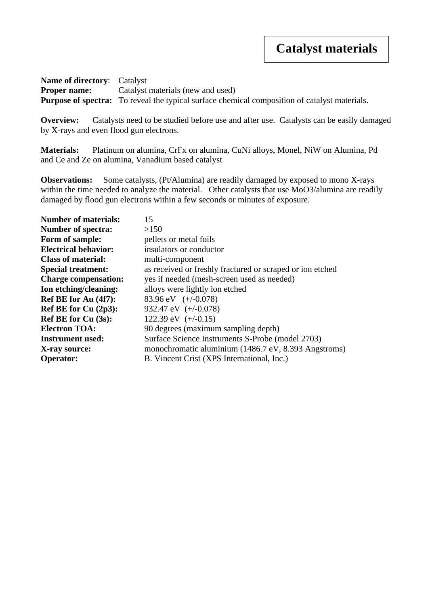**Name of directory**: Catalyst **Proper name:** Catalyst materials (new and used) **Purpose of spectra:** To reveal the typical surface chemical composition of catalyst materials.

**Overview:** Catalysts need to be studied before use and after use. Catalysts can be easily damaged by X-rays and even flood gun electrons.

**Materials:** Platinum on alumina, CrFx on alumina, CuNi alloys, Monel, NiW on Alumina, Pd and Ce and Ze on alumina, Vanadium based catalyst

**Observations:** Some catalysts, (Pt/Alumina) are readily damaged by exposed to mono X-rays within the time needed to analyze the material. Other catalysts that use MoO3/alumina are readily damaged by flood gun electrons within a few seconds or minutes of exposure.

| <b>Number of materials:</b> | 15                                                        |
|-----------------------------|-----------------------------------------------------------|
| <b>Number of spectra:</b>   | >150                                                      |
| Form of sample:             | pellets or metal foils                                    |
| <b>Electrical behavior:</b> | insulators or conductor                                   |
| <b>Class of material:</b>   | multi-component                                           |
| <b>Special treatment:</b>   | as received or freshly fractured or scraped or ion etched |
| <b>Charge compensation:</b> | yes if needed (mesh-screen used as needed)                |
| Ion etching/cleaning:       | alloys were lightly ion etched                            |
| Ref BE for Au (4f7):        | 83.96 eV $(+/-0.078)$                                     |
| Ref BE for Cu $(2p3)$ :     | 932.47 eV $(+/-0.078)$                                    |
| Ref BE for Cu (3s):         | 122.39 eV $(+/-0.15)$                                     |
| <b>Electron TOA:</b>        | 90 degrees (maximum sampling depth)                       |
| <b>Instrument used:</b>     | Surface Science Instruments S-Probe (model 2703)          |
| X-ray source:               | monochromatic aluminium (1486.7 eV, 8.393 Angstroms)      |
| <b>Operator:</b>            | B. Vincent Crist (XPS International, Inc.)                |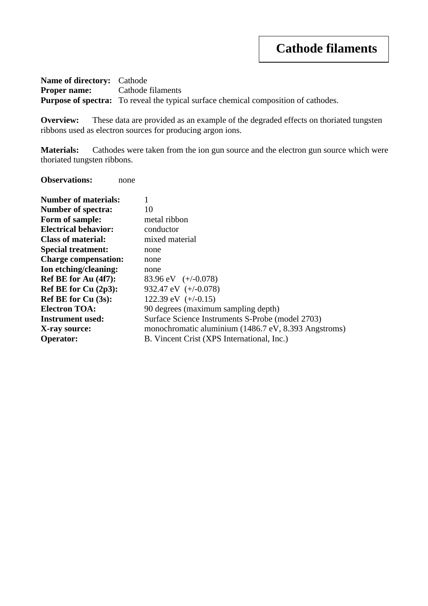**Name of directory:** Cathode **Proper name:** Cathode filaments **Purpose of spectra:** To reveal the typical surface chemical composition of cathodes.

**Overview:** These data are provided as an example of the degraded effects on thoriated tungsten ribbons used as electron sources for producing argon ions.

**Materials:** Cathodes were taken from the ion gun source and the electron gun source which were thoriated tungsten ribbons.

**Observations:** none

| <b>Number of materials:</b> |                                                      |
|-----------------------------|------------------------------------------------------|
| <b>Number of spectra:</b>   | 10                                                   |
| Form of sample:             | metal ribbon                                         |
| <b>Electrical behavior:</b> | conductor                                            |
| <b>Class of material:</b>   | mixed material                                       |
| <b>Special treatment:</b>   | none                                                 |
| <b>Charge compensation:</b> | none                                                 |
| Ion etching/cleaning:       | none                                                 |
| Ref BE for Au (4f7):        | 83.96 eV $(+/-0.078)$                                |
| Ref BE for $Cu(2p3)$ :      | 932.47 eV $(+/-0.078)$                               |
| <b>Ref BE for Cu (3s):</b>  | 122.39 eV $(+/-0.15)$                                |
| <b>Electron TOA:</b>        | 90 degrees (maximum sampling depth)                  |
| <b>Instrument used:</b>     | Surface Science Instruments S-Probe (model 2703)     |
| X-ray source:               | monochromatic aluminium (1486.7 eV, 8.393 Angstroms) |
| <b>Operator:</b>            | B. Vincent Crist (XPS International, Inc.)           |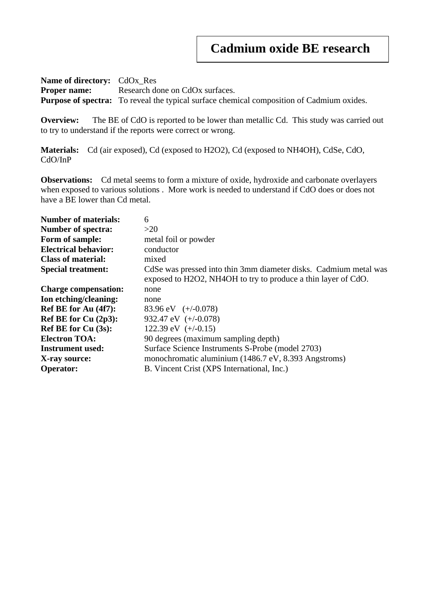**Name of directory:** CdOx\_Res **Proper name:** Research done on CdOx surfaces. **Purpose of spectra:** To reveal the typical surface chemical composition of Cadmium oxides.

**Overview:** The BE of CdO is reported to be lower than metallic Cd. This study was carried out to try to understand if the reports were correct or wrong.

**Materials:** Cd (air exposed), Cd (exposed to H2O2), Cd (exposed to NH4OH), CdSe, CdO, CdO/InP

**Observations:** Cd metal seems to form a mixture of oxide, hydroxide and carbonate overlayers when exposed to various solutions . More work is needed to understand if CdO does or does not have a BE lower than Cd metal.

| <b>Number of materials:</b> | 6                                                                                                                                 |
|-----------------------------|-----------------------------------------------------------------------------------------------------------------------------------|
| <b>Number of spectra:</b>   | >20                                                                                                                               |
| Form of sample:             | metal foil or powder                                                                                                              |
| <b>Electrical behavior:</b> | conductor                                                                                                                         |
| <b>Class of material:</b>   | mixed                                                                                                                             |
| <b>Special treatment:</b>   | CdSe was pressed into thin 3mm diameter disks. Cadmium metal was<br>exposed to H2O2, NH4OH to try to produce a thin layer of CdO. |
| <b>Charge compensation:</b> | none                                                                                                                              |
| Ion etching/cleaning:       | none                                                                                                                              |
| Ref BE for Au (4f7):        | 83.96 eV $(+/-0.078)$                                                                                                             |
| Ref BE for Cu (2p3):        | 932.47 eV $(+/-0.078)$                                                                                                            |
| Ref BE for Cu (3s):         | 122.39 eV $(+/-0.15)$                                                                                                             |
| <b>Electron TOA:</b>        | 90 degrees (maximum sampling depth)                                                                                               |
| <b>Instrument used:</b>     | Surface Science Instruments S-Probe (model 2703)                                                                                  |
| X-ray source:               | monochromatic aluminium (1486.7 eV, 8.393 Angstroms)                                                                              |
| <b>Operator:</b>            | B. Vincent Crist (XPS International, Inc.)                                                                                        |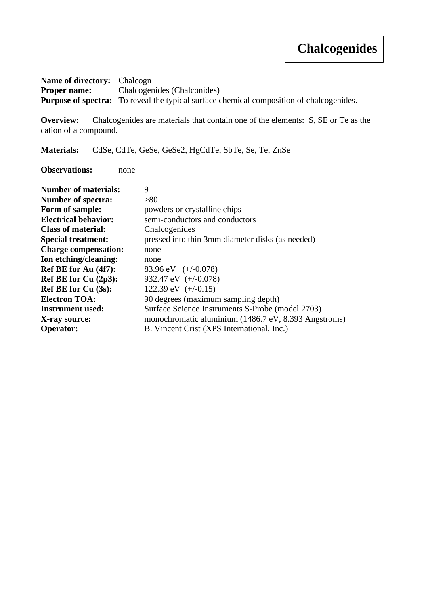# **Chalcogenides**

**Name of directory:** Chalcogn **Proper name:** Chalcogenides (Chalconides) Purpose of spectra: To reveal the typical surface chemical composition of chalcogenides.

**Overview:** Chalcogenides are materials that contain one of the elements: S, SE or Te as the cation of a compound.

**Materials:** CdSe, CdTe, GeSe, GeSe2, HgCdTe, SbTe, Se, Te, ZnSe

**Observations:** none

| <b>Number of materials:</b> | 9                                                    |
|-----------------------------|------------------------------------------------------|
| <b>Number of spectra:</b>   | > 80                                                 |
| Form of sample:             | powders or crystalline chips                         |
| <b>Electrical behavior:</b> | semi-conductors and conductors                       |
| <b>Class of material:</b>   | Chalcogenides                                        |
| <b>Special treatment:</b>   | pressed into thin 3mm diameter disks (as needed)     |
| <b>Charge compensation:</b> | none                                                 |
| Ion etching/cleaning:       | none                                                 |
| Ref BE for Au (4f7):        | 83.96 eV $(+/-0.078)$                                |
| Ref BE for Cu $(2p3)$ :     | 932.47 eV $(+/-0.078)$                               |
| <b>Ref BE for Cu (3s):</b>  | 122.39 eV $(+/-0.15)$                                |
| <b>Electron TOA:</b>        | 90 degrees (maximum sampling depth)                  |
| <b>Instrument used:</b>     | Surface Science Instruments S-Probe (model 2703)     |
| X-ray source:               | monochromatic aluminium (1486.7 eV, 8.393 Angstroms) |
| <b>Operator:</b>            | B. Vincent Crist (XPS International, Inc.)           |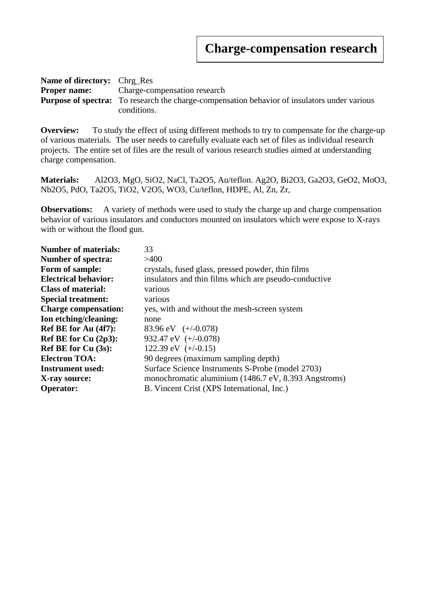| <b>Name of directory:</b> Chrg Res |                                                                                                     |  |
|------------------------------------|-----------------------------------------------------------------------------------------------------|--|
|                                    | <b>Proper name:</b> Charge-compensation research                                                    |  |
|                                    | <b>Purpose of spectra:</b> To research the charge-compensation behavior of insulators under various |  |
|                                    | conditions.                                                                                         |  |

**Overview:** To study the effect of using different methods to try to compensate for the charge-up of various materials. The user needs to carefully evaluate each set of files as individual research projects. The entire set of files are the result of various research studies aimed at understanding charge compensation.

**Materials:** Al2O3, MgO, SiO2, NaCl, Ta2O5, Au/teflon. Ag2O, Bi2O3, Ga2O3, GeO2, MoO3, Nb2O5, PdO, Ta2O5, TiO2, V2O5, WO3, Cu/teflon, HDPE, Al, Zn, Zr,

**Observations:** A variety of methods were used to study the charge up and charge compensation behavior of various insulators and conductors mounted on insulators which were expose to X-rays with or without the flood gun.

| <b>Number of materials:</b> | 33                                                    |
|-----------------------------|-------------------------------------------------------|
| <b>Number of spectra:</b>   | >400                                                  |
| Form of sample:             | crystals, fused glass, pressed powder, thin films     |
| <b>Electrical behavior:</b> | insulators and thin films which are pseudo-conductive |
| <b>Class of material:</b>   | various                                               |
| <b>Special treatment:</b>   | various                                               |
| <b>Charge compensation:</b> | yes, with and without the mesh-screen system          |
| Ion etching/cleaning:       | none                                                  |
| Ref BE for Au (4f7):        | 83.96 eV $(+/-0.078)$                                 |
| Ref BE for $Cu(2p3)$ :      | 932.47 eV $(+/-0.078)$                                |
| <b>Ref BE for Cu (3s):</b>  | 122.39 eV $(+/-0.15)$                                 |
| <b>Electron TOA:</b>        | 90 degrees (maximum sampling depth)                   |
| <b>Instrument used:</b>     | Surface Science Instruments S-Probe (model 2703)      |
| X-ray source:               | monochromatic aluminium (1486.7 eV, 8.393 Angstroms)  |
| <b>Operator:</b>            | B. Vincent Crist (XPS International, Inc.)            |
|                             |                                                       |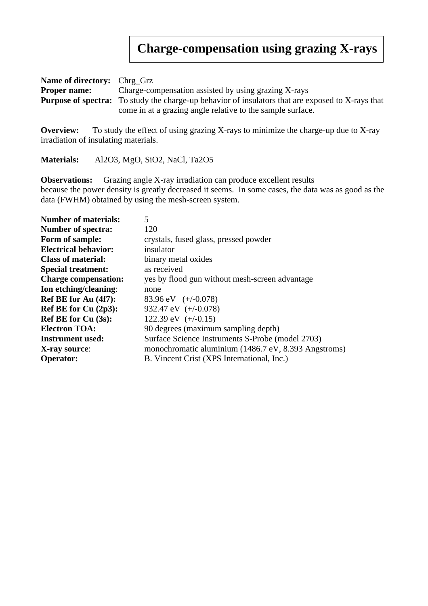#### **Charge-compensation using grazing X-rays**

| <b>Name of directory:</b> Chrg_Grz |                                                                                                          |  |
|------------------------------------|----------------------------------------------------------------------------------------------------------|--|
| <b>Proper name:</b>                | Charge-compensation assisted by using grazing X-rays                                                     |  |
|                                    | <b>Purpose of spectra:</b> To study the charge-up behavior of insulators that are exposed to X-rays that |  |
|                                    | come in at a grazing angle relative to the sample surface.                                               |  |

**Overview:** To study the effect of using grazing X-rays to minimize the charge-up due to X-ray irradiation of insulating materials.

**Materials:** Al2O3, MgO, SiO2, NaCl, Ta2O5

**Observations:** Grazing angle X-ray irradiation can produce excellent results because the power density is greatly decreased it seems. In some cases, the data was as good as the data (FWHM) obtained by using the mesh-screen system.

| <b>Number of materials:</b> | 5                                                    |
|-----------------------------|------------------------------------------------------|
| <b>Number of spectra:</b>   | 120                                                  |
| Form of sample:             | crystals, fused glass, pressed powder                |
| <b>Electrical behavior:</b> | insulator                                            |
| <b>Class of material:</b>   | binary metal oxides                                  |
| <b>Special treatment:</b>   | as received                                          |
| <b>Charge compensation:</b> | yes by flood gun without mesh-screen advantage       |
| Ion etching/cleaning:       | none                                                 |
| Ref BE for Au (4f7):        | 83.96 eV $(+/-0.078)$                                |
| Ref BE for Cu $(2p3)$ :     | 932.47 eV $(+/-0.078)$                               |
| <b>Ref BE for Cu (3s):</b>  | 122.39 eV $(+/-0.15)$                                |
| <b>Electron TOA:</b>        | 90 degrees (maximum sampling depth)                  |
| <b>Instrument used:</b>     | Surface Science Instruments S-Probe (model 2703)     |
| X-ray source:               | monochromatic aluminium (1486.7 eV, 8.393 Angstroms) |
| <b>Operator:</b>            | B. Vincent Crist (XPS International, Inc.)           |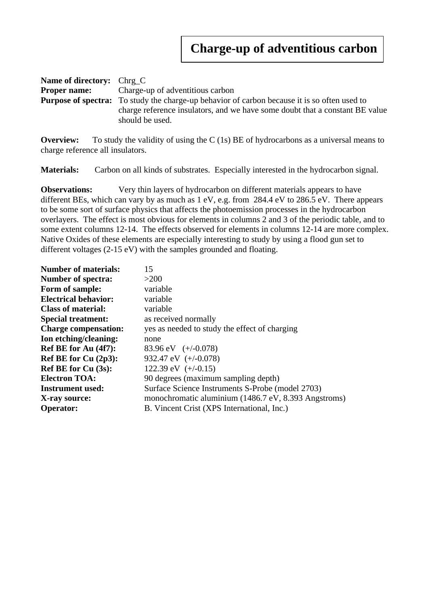| <b>Name of directory:</b> Chrg C                                             |                                                                                                     |  |
|------------------------------------------------------------------------------|-----------------------------------------------------------------------------------------------------|--|
|                                                                              | <b>Proper name:</b> Charge-up of adventitious carbon                                                |  |
|                                                                              | <b>Purpose of spectra:</b> To study the charge-up behavior of carbon because it is so often used to |  |
| charge reference insulators, and we have some doubt that a constant BE value |                                                                                                     |  |
|                                                                              | should be used.                                                                                     |  |

**Overview:** To study the validity of using the C (1s) BE of hydrocarbons as a universal means to charge reference all insulators.

**Materials:** Carbon on all kinds of substrates. Especially interested in the hydrocarbon signal.

**Observations:** Very thin layers of hydrocarbon on different materials appears to have different BEs, which can vary by as much as 1 eV, e.g. from 284.4 eV to 286.5 eV. There appears to be some sort of surface physics that affects the photoemission processes in the hydrocarbon overlayers. The effect is most obvious for elements in columns 2 and 3 of the periodic table, and to some extent columns 12-14. The effects observed for elements in columns 12-14 are more complex. Native Oxides of these elements are especially interesting to study by using a flood gun set to different voltages (2-15 eV) with the samples grounded and floating.

| <b>Number of materials:</b> | 15                                                   |
|-----------------------------|------------------------------------------------------|
| <b>Number of spectra:</b>   | $>200$                                               |
| Form of sample:             | variable                                             |
| <b>Electrical behavior:</b> | variable                                             |
| <b>Class of material:</b>   | variable                                             |
| <b>Special treatment:</b>   | as received normally                                 |
| <b>Charge compensation:</b> | yes as needed to study the effect of charging        |
| Ion etching/cleaning:       | none                                                 |
| Ref BE for Au (4f7):        | 83.96 eV $(+/-0.078)$                                |
| Ref BE for Cu $(2p3)$ :     | 932.47 eV $(+/-0.078)$                               |
| <b>Ref BE for Cu (3s):</b>  | 122.39 eV $(+/-0.15)$                                |
| <b>Electron TOA:</b>        | 90 degrees (maximum sampling depth)                  |
| <b>Instrument used:</b>     | Surface Science Instruments S-Probe (model 2703)     |
| X-ray source:               | monochromatic aluminium (1486.7 eV, 8.393 Angstroms) |
| <b>Operator:</b>            | B. Vincent Crist (XPS International, Inc.)           |
|                             |                                                      |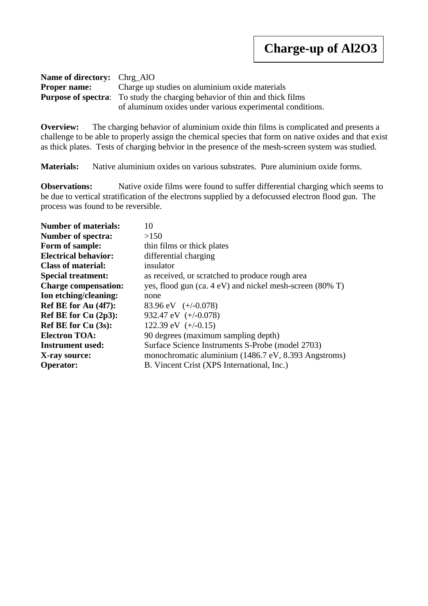| <b>Name of directory:</b> Chrg AlO |                                                                                   |
|------------------------------------|-----------------------------------------------------------------------------------|
|                                    | <b>Proper name:</b> Charge up studies on aluminium oxide materials                |
|                                    | <b>Purpose of spectra:</b> To study the charging behavior of thin and thick films |
|                                    | of aluminum oxides under various experimental conditions.                         |

**Overview:** The charging behavior of aluminium oxide thin films is complicated and presents a challenge to be able to properly assign the chemical species that form on native oxides and that exist as thick plates. Tests of charging behvior in the presence of the mesh-screen system was studied.

**Materials:** Native aluminium oxides on various substrates. Pure aluminium oxide forms.

**Observations:** Native oxide films were found to suffer differential charging which seems to be due to vertical stratification of the electrons supplied by a defocussed electron flood gun. The process was found to be reversible.

| <b>Number of materials:</b> | 10                                                       |
|-----------------------------|----------------------------------------------------------|
| <b>Number of spectra:</b>   | >150                                                     |
| Form of sample:             | thin films or thick plates                               |
| <b>Electrical behavior:</b> | differential charging                                    |
| <b>Class of material:</b>   | insulator                                                |
| <b>Special treatment:</b>   | as received, or scratched to produce rough area          |
| <b>Charge compensation:</b> | yes, flood gun (ca. 4 eV) and nickel mesh-screen (80% T) |
| Ion etching/cleaning:       | none                                                     |
| Ref BE for Au (4f7):        | 83.96 eV $(+/-0.078)$                                    |
| Ref BE for Cu $(2p3)$ :     | 932.47 eV $(+/-0.078)$                                   |
| Ref BE for Cu (3s):         | 122.39 eV $(+/-0.15)$                                    |
| <b>Electron TOA:</b>        | 90 degrees (maximum sampling depth)                      |
| <b>Instrument used:</b>     | Surface Science Instruments S-Probe (model 2703)         |
| X-ray source:               | monochromatic aluminium (1486.7 eV, 8.393 Angstroms)     |
| <b>Operator:</b>            | B. Vincent Crist (XPS International, Inc.)               |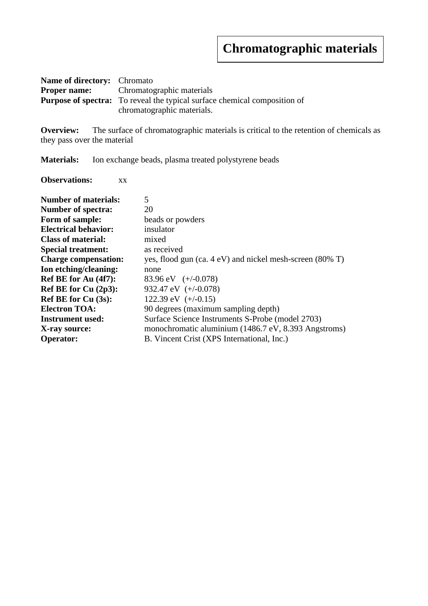## **Chromatographic materials**

| <b>Name of directory:</b> Chromato |                                                                                  |
|------------------------------------|----------------------------------------------------------------------------------|
|                                    | <b>Proper name:</b> Chromatographic materials                                    |
|                                    | <b>Purpose of spectra:</b> To reveal the typical surface chemical composition of |
|                                    | chromatographic materials.                                                       |

**Overview:** The surface of chromatographic materials is critical to the retention of chemicals as they pass over the material

**Materials:** Ion exchange beads, plasma treated polystyrene beads

**Observations:** xx

| <b>Number of materials:</b> | 5                                                        |
|-----------------------------|----------------------------------------------------------|
| <b>Number of spectra:</b>   | 20                                                       |
| Form of sample:             | beads or powders                                         |
| <b>Electrical behavior:</b> | insulator                                                |
| <b>Class of material:</b>   | mixed                                                    |
| <b>Special treatment:</b>   | as received                                              |
| <b>Charge compensation:</b> | yes, flood gun (ca. 4 eV) and nickel mesh-screen (80% T) |
| Ion etching/cleaning:       | none                                                     |
| Ref BE for Au (4f7):        | 83.96 eV $(+/-0.078)$                                    |
| Ref BE for Cu $(2p3)$ :     | 932.47 eV $(+/-0.078)$                                   |
| <b>Ref BE for Cu (3s):</b>  | 122.39 eV $(+/-0.15)$                                    |
| <b>Electron TOA:</b>        | 90 degrees (maximum sampling depth)                      |
| Instrument used:            | Surface Science Instruments S-Probe (model 2703)         |
| X-ray source:               | monochromatic aluminium (1486.7 eV, 8.393 Angstroms)     |
| <b>Operator:</b>            | B. Vincent Crist (XPS International, Inc.)               |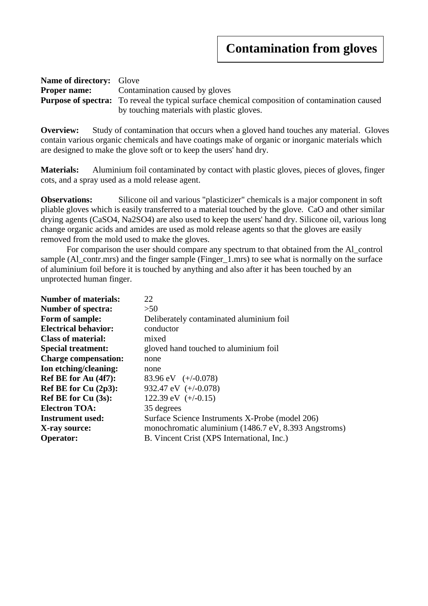| <b>Name of directory:</b> Glove |                                                                                                       |  |
|---------------------------------|-------------------------------------------------------------------------------------------------------|--|
|                                 | <b>Proper name:</b> Contamination caused by gloves                                                    |  |
|                                 | <b>Purpose of spectra:</b> To reveal the typical surface chemical composition of contamination caused |  |
|                                 | by touching materials with plastic gloves.                                                            |  |

**Overview:** Study of contamination that occurs when a gloved hand touches any material. Gloves contain various organic chemicals and have coatings make of organic or inorganic materials which are designed to make the glove soft or to keep the users' hand dry.

**Materials:** Aluminium foil contaminated by contact with plastic gloves, pieces of gloves, finger cots, and a spray used as a mold release agent.

**Observations:** Silicone oil and various "plasticizer" chemicals is a major component in soft pliable gloves which is easily transferred to a material touched by the glove. CaO and other similar drying agents (CaSO4, Na2SO4) are also used to keep the users' hand dry. Silicone oil, various long change organic acids and amides are used as mold release agents so that the gloves are easily removed from the mold used to make the gloves.

For comparison the user should compare any spectrum to that obtained from the Al\_control sample (Al\_contr.mrs) and the finger sample (Finger\_1.mrs) to see what is normally on the surface of aluminium foil before it is touched by anything and also after it has been touched by an unprotected human finger.

| <b>Number of spectra:</b><br>>50<br>Form of sample:<br>Deliberately contaminated aluminium foil<br><b>Electrical behavior:</b><br>conductor<br><b>Class of material:</b><br>mixed<br><b>Special treatment:</b><br>gloved hand touched to aluminium foil<br><b>Charge compensation:</b><br>none<br>Ion etching/cleaning:<br>none<br>Ref BE for Au (4f7):<br>83.96 eV $(+/-0.078)$<br>Ref BE for Cu (2p3):<br>932.47 eV $(+/-0.078)$<br>122.39 eV $(+/-0.15)$<br><b>Ref BE for Cu (3s):</b><br><b>Electron TOA:</b><br>35 degrees<br><b>Instrument used:</b><br>Surface Science Instruments X-Probe (model 206) | <b>Number of materials:</b> | 22 |
|---------------------------------------------------------------------------------------------------------------------------------------------------------------------------------------------------------------------------------------------------------------------------------------------------------------------------------------------------------------------------------------------------------------------------------------------------------------------------------------------------------------------------------------------------------------------------------------------------------------|-----------------------------|----|
|                                                                                                                                                                                                                                                                                                                                                                                                                                                                                                                                                                                                               |                             |    |
|                                                                                                                                                                                                                                                                                                                                                                                                                                                                                                                                                                                                               |                             |    |
|                                                                                                                                                                                                                                                                                                                                                                                                                                                                                                                                                                                                               |                             |    |
|                                                                                                                                                                                                                                                                                                                                                                                                                                                                                                                                                                                                               |                             |    |
|                                                                                                                                                                                                                                                                                                                                                                                                                                                                                                                                                                                                               |                             |    |
|                                                                                                                                                                                                                                                                                                                                                                                                                                                                                                                                                                                                               |                             |    |
|                                                                                                                                                                                                                                                                                                                                                                                                                                                                                                                                                                                                               |                             |    |
|                                                                                                                                                                                                                                                                                                                                                                                                                                                                                                                                                                                                               |                             |    |
|                                                                                                                                                                                                                                                                                                                                                                                                                                                                                                                                                                                                               |                             |    |
|                                                                                                                                                                                                                                                                                                                                                                                                                                                                                                                                                                                                               |                             |    |
|                                                                                                                                                                                                                                                                                                                                                                                                                                                                                                                                                                                                               |                             |    |
|                                                                                                                                                                                                                                                                                                                                                                                                                                                                                                                                                                                                               |                             |    |
| monochromatic aluminium (1486.7 eV, 8.393 Angstroms)<br>X-ray source:                                                                                                                                                                                                                                                                                                                                                                                                                                                                                                                                         |                             |    |
| B. Vincent Crist (XPS International, Inc.)<br><b>Operator:</b>                                                                                                                                                                                                                                                                                                                                                                                                                                                                                                                                                |                             |    |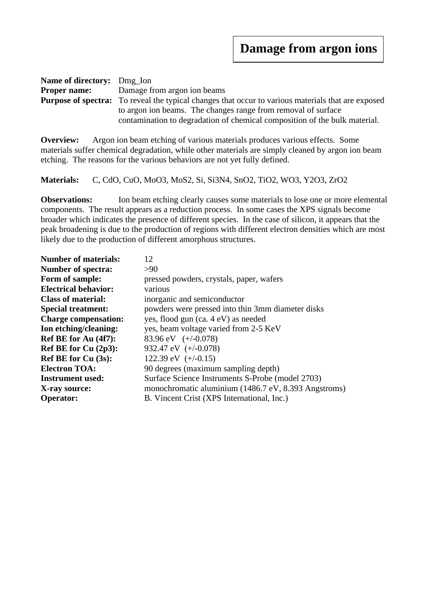| <b>Name of directory:</b> Dmg_Ion                                                                                                           |                                                                                                           |  |
|---------------------------------------------------------------------------------------------------------------------------------------------|-----------------------------------------------------------------------------------------------------------|--|
|                                                                                                                                             | <b>Proper name:</b> Damage from argon ion beams                                                           |  |
|                                                                                                                                             | <b>Purpose of spectra:</b> To reveal the typical changes that occur to various materials that are exposed |  |
| to argon ion beams. The changes range from removal of surface<br>contamination to degradation of chemical composition of the bulk material. |                                                                                                           |  |

**Overview:** Argon ion beam etching of various materials produces various effects. Some materials suffer chemical degradation, while other materials are simply cleaned by argon ion beam etching. The reasons for the various behaviors are not yet fully defined.

**Materials:** C, CdO, CuO, MoO3, MoS2, Si, Si3N4, SnO2, TiO2, WO3, Y2O3, ZrO2

**Observations:** Ion beam etching clearly causes some materials to lose one or more elemental components. The result appears as a reduction process. In some cases the XPS signals become broader which indicates the presence of different species. In the case of silicon, it appears that the peak broadening is due to the production of regions with different electron densities which are most likely due to the production of different amorphous structures.

| 12                                                   |
|------------------------------------------------------|
| >90                                                  |
| pressed powders, crystals, paper, wafers             |
| various                                              |
| inorganic and semiconductor                          |
| powders were pressed into thin 3mm diameter disks    |
| yes, flood gun (ca. 4 eV) as needed                  |
| yes, beam voltage varied from 2-5 KeV                |
| 83.96 eV $(+/-0.078)$                                |
| 932.47 eV $(+/-0.078)$                               |
| 122.39 eV $(+/-0.15)$                                |
| 90 degrees (maximum sampling depth)                  |
| Surface Science Instruments S-Probe (model 2703)     |
| monochromatic aluminium (1486.7 eV, 8.393 Angstroms) |
| B. Vincent Crist (XPS International, Inc.)           |
|                                                      |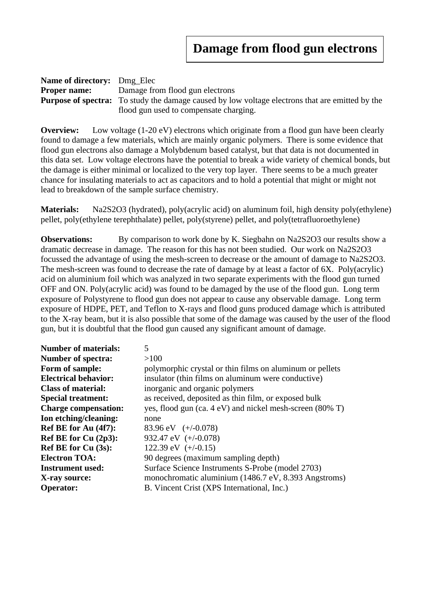| <b>Name of directory:</b> Dmg_Elec |                                                                                                        |  |
|------------------------------------|--------------------------------------------------------------------------------------------------------|--|
| <b>Proper name:</b>                | Damage from flood gun electrons                                                                        |  |
|                                    | <b>Purpose of spectra:</b> To study the damage caused by low voltage electrons that are emitted by the |  |
|                                    | flood gun used to compensate charging.                                                                 |  |

**Overview:** Low voltage (1-20 eV) electrons which originate from a flood gun have been clearly found to damage a few materials, which are mainly organic polymers. There is some evidence that flood gun electrons also damage a Molybdenum based catalyst, but that data is not documented in this data set. Low voltage electrons have the potential to break a wide variety of chemical bonds, but the damage is either minimal or localized to the very top layer. There seems to be a much greater chance for insulating materials to act as capacitors and to hold a potential that might or might not lead to breakdown of the sample surface chemistry.

**Materials:** Na2S2O3 (hydrated), poly(acrylic acid) on aluminum foil, high density poly(ethylene) pellet, poly(ethylene terephthalate) pellet, poly(styrene) pellet, and poly(tetrafluoroethylene)

**Observations:** By comparison to work done by K. Siegbahn on Na2S2O3 our results show a dramatic decrease in damage. The reason for this has not been studied. Our work on Na2S2O3 focussed the advantage of using the mesh-screen to decrease or the amount of damage to Na2S2O3. The mesh-screen was found to decrease the rate of damage by at least a factor of 6X. Poly(acrylic) acid on aluminium foil which was analyzed in two separate experiments with the flood gun turned OFF and ON. Poly(acrylic acid) was found to be damaged by the use of the flood gun. Long term exposure of Polystyrene to flood gun does not appear to cause any observable damage. Long term exposure of HDPE, PET, and Teflon to X-rays and flood guns produced damage which is attributed to the X-ray beam, but it is also possible that some of the damage was caused by the user of the flood gun, but it is doubtful that the flood gun caused any significant amount of damage.

| <b>Number of materials:</b> | 5                                                        |
|-----------------------------|----------------------------------------------------------|
| <b>Number of spectra:</b>   | >100                                                     |
| Form of sample:             | polymorphic crystal or thin films on aluminum or pellets |
| <b>Electrical behavior:</b> | insulator (thin films on aluminum were conductive)       |
| <b>Class of material:</b>   | inorganic and organic polymers                           |
| <b>Special treatment:</b>   | as received, deposited as thin film, or exposed bulk     |
| <b>Charge compensation:</b> | yes, flood gun (ca. 4 eV) and nickel mesh-screen (80% T) |
| Ion etching/cleaning:       | none                                                     |
| Ref BE for Au (4f7):        | 83.96 eV $(+/-0.078)$                                    |
| Ref BE for Cu $(2p3)$ :     | 932.47 eV $(+/-0.078)$                                   |
| <b>Ref BE for Cu (3s):</b>  | 122.39 eV $(+/-0.15)$                                    |
| <b>Electron TOA:</b>        | 90 degrees (maximum sampling depth)                      |
| <b>Instrument used:</b>     | Surface Science Instruments S-Probe (model 2703)         |
| X-ray source:               | monochromatic aluminium (1486.7 eV, 8.393 Angstroms)     |
| <b>Operator:</b>            | B. Vincent Crist (XPS International, Inc.)               |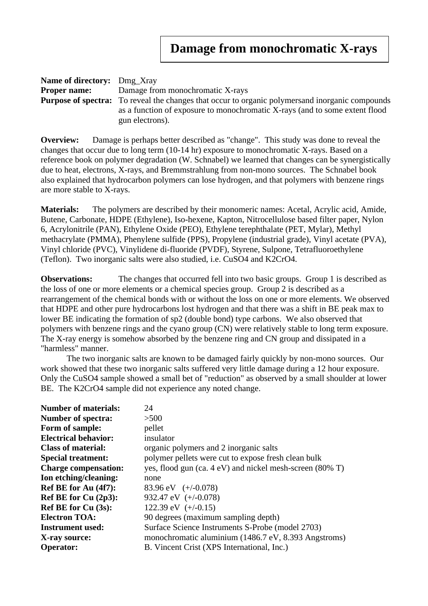| <b>Name of directory:</b> Dmg Xray |                                                                                                         |  |
|------------------------------------|---------------------------------------------------------------------------------------------------------|--|
|                                    | <b>Proper name:</b> Damage from monochromatic X-rays                                                    |  |
|                                    | <b>Purpose of spectra:</b> To reveal the changes that occur to organic polymers and inorganic compounds |  |
|                                    | as a function of exposure to monochromatic X-rays (and to some extent flood                             |  |
|                                    | gun electrons).                                                                                         |  |

**Overview:** Damage is perhaps better described as "change". This study was done to reveal the changes that occur due to long term (10-14 hr) exposure to monochromatic X-rays. Based on a reference book on polymer degradation (W. Schnabel) we learned that changes can be synergistically due to heat, electrons, X-rays, and Bremmstrahlung from non-mono sources. The Schnabel book also explained that hydrocarbon polymers can lose hydrogen, and that polymers with benzene rings are more stable to X-rays.

**Materials:** The polymers are described by their monomeric names: Acetal, Acrylic acid, Amide, Butene, Carbonate, HDPE (Ethylene), Iso-hexene, Kapton, Nitrocellulose based filter paper, Nylon 6, Acrylonitrile (PAN), Ethylene Oxide (PEO), Ethylene terephthalate (PET, Mylar), Methyl methacrylate (PMMA), Phenylene sulfide (PPS), Propylene (industrial grade), Vinyl acetate (PVA), Vinyl chloride (PVC), Vinylidene di-fluoride (PVDF), Styrene, Sulpone, Tetrafluoroethylene (Teflon). Two inorganic salts were also studied, i.e. CuSO4 and K2CrO4.

**Observations:** The changes that occurred fell into two basic groups. Group 1 is described as the loss of one or more elements or a chemical species group. Group 2 is described as a rearrangement of the chemical bonds with or without the loss on one or more elements. We observed that HDPE and other pure hydrocarbons lost hydrogen and that there was a shift in BE peak max to lower BE indicating the formation of sp2 (double bond) type carbons. We also observed that polymers with benzene rings and the cyano group (CN) were relatively stable to long term exposure. The X-ray energy is somehow absorbed by the benzene ring and CN group and dissipated in a "harmless" manner.

The two inorganic salts are known to be damaged fairly quickly by non-mono sources. Our work showed that these two inorganic salts suffered very little damage during a 12 hour exposure. Only the CuSO4 sample showed a small bet of "reduction" as observed by a small shoulder at lower BE. The K2CrO4 sample did not experience any noted change.

| <b>Number of materials:</b> | 24                                                                  |
|-----------------------------|---------------------------------------------------------------------|
| <b>Number of spectra:</b>   | >500                                                                |
| Form of sample:             | pellet                                                              |
| <b>Electrical behavior:</b> | insulator                                                           |
| <b>Class of material:</b>   | organic polymers and 2 inorganic salts                              |
| <b>Special treatment:</b>   | polymer pellets were cut to expose fresh clean bulk                 |
| <b>Charge compensation:</b> | yes, flood gun (ca. $4 \text{ eV}$ ) and nickel mesh-screen (80% T) |
| Ion etching/cleaning:       | none                                                                |
| Ref BE for Au (4f7):        | 83.96 eV $(+/-0.078)$                                               |
| Ref BE for Cu (2p3):        | 932.47 eV $(+/-0.078)$                                              |
| Ref BE for $Cu(3s)$ :       | 122.39 eV $(+/-0.15)$                                               |
| <b>Electron TOA:</b>        | 90 degrees (maximum sampling depth)                                 |
| <b>Instrument used:</b>     | Surface Science Instruments S-Probe (model 2703)                    |
| X-ray source:               | monochromatic aluminium (1486.7 eV, 8.393 Angstroms)                |
| <b>Operator:</b>            | B. Vincent Crist (XPS International, Inc.)                          |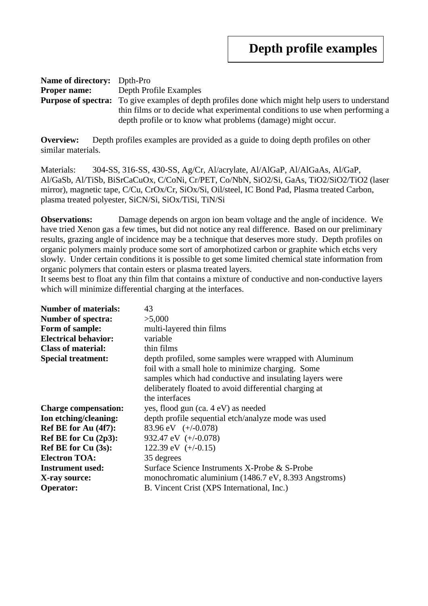| <b>Name of directory:</b> Dpth-Pro                                            |                                                                                                         |  |
|-------------------------------------------------------------------------------|---------------------------------------------------------------------------------------------------------|--|
| <b>Proper name:</b>                                                           | Depth Profile Examples                                                                                  |  |
|                                                                               | <b>Purpose of spectra:</b> To give examples of depth profiles done which might help users to understand |  |
| thin films or to decide what experimental conditions to use when performing a |                                                                                                         |  |
|                                                                               | depth profile or to know what problems (damage) might occur.                                            |  |

**Overview:** Depth profiles examples are provided as a guide to doing depth profiles on other similar materials.

Materials: 304-SS, 316-SS, 430-SS, Ag/Cr, Al/acrylate, Al/AlGaP, Al/AlGaAs, Al/GaP, Al/GaSb, Al/TiSb, BiSrCaCuOx, C/CoNi, Cr/PET, Co/NbN, SiO2/Si, GaAs, TiO2/SiO2/TiO2 (laser mirror), magnetic tape, C/Cu, CrOx/Cr, SiOx/Si, Oil/steel, IC Bond Pad, Plasma treated Carbon, plasma treated polyester, SiCN/Si, SiOx/TiSi, TiN/Si

**Observations:** Damage depends on argon ion beam voltage and the angle of incidence. We have tried Xenon gas a few times, but did not notice any real difference. Based on our preliminary results, grazing angle of incidence may be a technique that deserves more study. Depth profiles on organic polymers mainly produce some sort of amorphotized carbon or graphite which etchs very slowly. Under certain conditions it is possible to get some limited chemical state information from organic polymers that contain esters or plasma treated layers.

It seems best to float any thin film that contains a mixture of conductive and non-conductive layers which will minimize differential charging at the interfaces.

| <b>Number of materials:</b> | 43                                                      |
|-----------------------------|---------------------------------------------------------|
| <b>Number of spectra:</b>   | >5,000                                                  |
| Form of sample:             | multi-layered thin films                                |
| <b>Electrical behavior:</b> | variable                                                |
| <b>Class of material:</b>   | thin films                                              |
| <b>Special treatment:</b>   | depth profiled, some samples were wrapped with Aluminum |
|                             | foil with a small hole to minimize charging. Some       |
|                             | samples which had conductive and insulating layers were |
|                             | deliberately floated to avoid differential charging at  |
|                             | the interfaces                                          |
| <b>Charge compensation:</b> | yes, flood gun (ca. 4 eV) as needed                     |
| Ion etching/cleaning:       | depth profile sequential etch/analyze mode was used     |
| Ref BE for Au (4f7):        | 83.96 eV $(+/-0.078)$                                   |
| Ref BE for Cu $(2p3)$ :     | 932.47 eV $(+/-0.078)$                                  |
| <b>Ref BE for Cu (3s):</b>  | 122.39 eV $(+/-0.15)$                                   |
| <b>Electron TOA:</b>        | 35 degrees                                              |
| <b>Instrument used:</b>     | Surface Science Instruments X-Probe & S-Probe           |
| X-ray source:               | monochromatic aluminium (1486.7 eV, 8.393 Angstroms)    |
| <b>Operator:</b>            | B. Vincent Crist (XPS International, Inc.)              |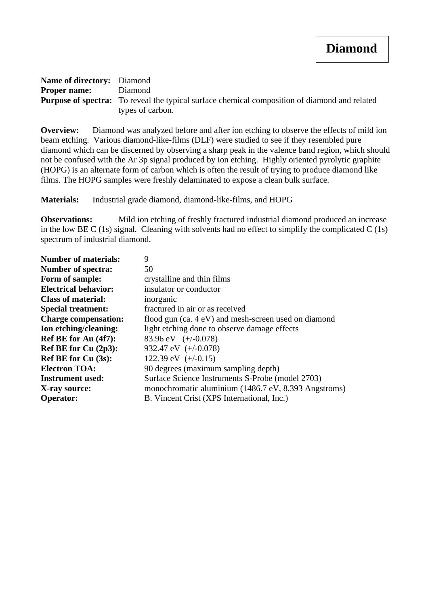| <b>Name of directory:</b> Diamond |                                                                                                      |
|-----------------------------------|------------------------------------------------------------------------------------------------------|
| <b>Proper name:</b> Diamond       |                                                                                                      |
|                                   | <b>Purpose of spectra:</b> To reveal the typical surface chemical composition of diamond and related |
|                                   | types of carbon.                                                                                     |

**Overview:** Diamond was analyzed before and after ion etching to observe the effects of mild ion beam etching. Various diamond-like-films (DLF) were studied to see if they resembled pure diamond which can be discerned by observing a sharp peak in the valence band region, which should not be confused with the Ar 3p signal produced by ion etching. Highly oriented pyrolytic graphite (HOPG) is an alternate form of carbon which is often the result of trying to produce diamond like films. The HOPG samples were freshly delaminated to expose a clean bulk surface.

**Materials:** Industrial grade diamond, diamond-like-films, and HOPG

**Observations:** Mild ion etching of freshly fractured industrial diamond produced an increase in the low BE C (1s) signal. Cleaning with solvents had no effect to simplify the complicated C (1s) spectrum of industrial diamond.

| 9                                                    |
|------------------------------------------------------|
| 50                                                   |
| crystalline and thin films                           |
| insulator or conductor                               |
| inorganic                                            |
| fractured in air or as received                      |
| flood gun (ca. 4 eV) and mesh-screen used on diamond |
| light etching done to observe damage effects         |
| 83.96 eV $(+/-0.078)$                                |
| 932.47 eV $(+/-0.078)$                               |
| 122.39 eV $(+/-0.15)$                                |
| 90 degrees (maximum sampling depth)                  |
| Surface Science Instruments S-Probe (model 2703)     |
| monochromatic aluminium (1486.7 eV, 8.393 Angstroms) |
| B. Vincent Crist (XPS International, Inc.)           |
|                                                      |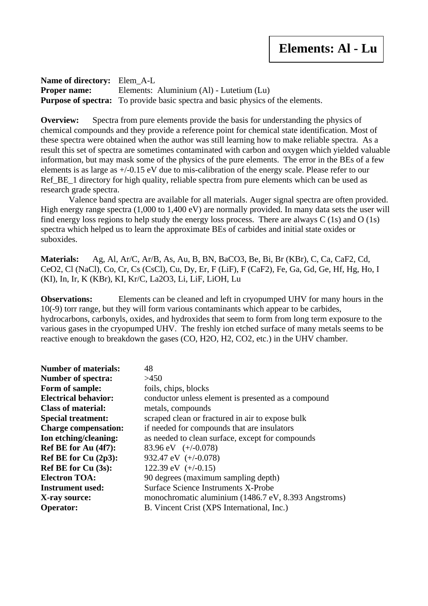**Name of directory:** Elem\_A-L **Proper name:** Elements: Aluminium (Al) - Lutetium (Lu) **Purpose of spectra:** To provide basic spectra and basic physics of the elements.

**Overview:** Spectra from pure elements provide the basis for understanding the physics of chemical compounds and they provide a reference point for chemical state identification. Most of these spectra were obtained when the author was still learning how to make reliable spectra. As a result this set of spectra are sometimes contaminated with carbon and oxygen which yielded valuable information, but may mask some of the physics of the pure elements. The error in the BEs of a few elements is as large as +/-0.15 eV due to mis-calibration of the energy scale. Please refer to our Ref\_BE\_1 directory for high quality, reliable spectra from pure elements which can be used as research grade spectra.

 Valence band spectra are available for all materials. Auger signal spectra are often provided. High energy range spectra (1,000 to 1,400 eV) are normally provided. In many data sets the user will find energy loss regions to help study the energy loss process. There are always C (1s) and O (1s) spectra which helped us to learn the approximate BEs of carbides and initial state oxides or suboxides.

**Materials:** Ag, Al, Ar/C, Ar/B, As, Au, B, BN, BaCO3, Be, Bi, Br (KBr), C, Ca, CaF2, Cd, CeO2, Cl (NaCl), Co, Cr, Cs (CsCl), Cu, Dy, Er, F (LiF), F (CaF2), Fe, Ga, Gd, Ge, Hf, Hg, Ho, I (KI), In, Ir, K (KBr), KI, Kr/C, La2O3, Li, LiF, LiOH, Lu

**Observations:** Elements can be cleaned and left in cryopumped UHV for many hours in the 10(-9) torr range, but they will form various contaminants which appear to be carbides, hydrocarbons, carbonyls, oxides, and hydroxides that seem to form from long term exposure to the various gases in the cryopumped UHV. The freshly ion etched surface of many metals seems to be reactive enough to breakdown the gases (CO, H2O, H2, CO2, etc.) in the UHV chamber.

| <b>Number of materials:</b> | 48                                                   |
|-----------------------------|------------------------------------------------------|
| <b>Number of spectra:</b>   | >450                                                 |
| Form of sample:             | foils, chips, blocks                                 |
| <b>Electrical behavior:</b> | conductor unless element is presented as a compound  |
| <b>Class of material:</b>   | metals, compounds                                    |
| <b>Special treatment:</b>   | scraped clean or fractured in air to expose bulk     |
| <b>Charge compensation:</b> | if needed for compounds that are insulators          |
| Ion etching/cleaning:       | as needed to clean surface, except for compounds     |
| Ref BE for Au (4f7):        | 83.96 eV $(+/-0.078)$                                |
| Ref BE for Cu $(2p3)$ :     | 932.47 eV $(+/-0.078)$                               |
| Ref BE for Cu (3s):         | 122.39 eV $(+/-0.15)$                                |
| <b>Electron TOA:</b>        | 90 degrees (maximum sampling depth)                  |
| <b>Instrument used:</b>     | Surface Science Instruments X-Probe                  |
| X-ray source:               | monochromatic aluminium (1486.7 eV, 8.393 Angstroms) |
| <b>Operator:</b>            | B. Vincent Crist (XPS International, Inc.)           |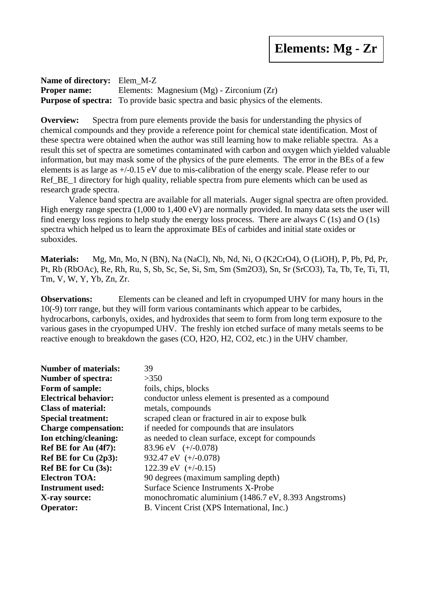**Name of directory:** Elem\_M-Z **Proper name:** Elements: Magnesium (Mg) - Zirconium (Zr) **Purpose of spectra:** To provide basic spectra and basic physics of the elements.

**Overview:** Spectra from pure elements provide the basis for understanding the physics of chemical compounds and they provide a reference point for chemical state identification. Most of these spectra were obtained when the author was still learning how to make reliable spectra. As a result this set of spectra are sometimes contaminated with carbon and oxygen which yielded valuable information, but may mask some of the physics of the pure elements. The error in the BEs of a few elements is as large as +/-0.15 eV due to mis-calibration of the energy scale. Please refer to our Ref\_BE\_1 directory for high quality, reliable spectra from pure elements which can be used as research grade spectra.

 Valence band spectra are available for all materials. Auger signal spectra are often provided. High energy range spectra (1,000 to 1,400 eV) are normally provided. In many data sets the user will find energy loss regions to help study the energy loss process. There are always C (1s) and O (1s) spectra which helped us to learn the approximate BEs of carbides and initial state oxides or suboxides.

**Materials:** Mg, Mn, Mo, N (BN), Na (NaCl), Nb, Nd, Ni, O (K2CrO4), O (LiOH), P, Pb, Pd, Pr, Pt, Rb (RbOAc), Re, Rh, Ru, S, Sb, Sc, Se, Si, Sm, Sm (Sm2O3), Sn, Sr (SrCO3), Ta, Tb, Te, Ti, Tl, Tm, V, W, Y, Yb, Zn, Zr.

**Observations:** Elements can be cleaned and left in cryopumped UHV for many hours in the 10(-9) torr range, but they will form various contaminants which appear to be carbides, hydrocarbons, carbonyls, oxides, and hydroxides that seem to form from long term exposure to the various gases in the cryopumped UHV. The freshly ion etched surface of many metals seems to be reactive enough to breakdown the gases (CO, H2O, H2, CO2, etc.) in the UHV chamber.

| 39                                                   |
|------------------------------------------------------|
| >350                                                 |
| foils, chips, blocks                                 |
| conductor unless element is presented as a compound  |
| metals, compounds                                    |
| scraped clean or fractured in air to expose bulk     |
| if needed for compounds that are insulators          |
| as needed to clean surface, except for compounds     |
| 83.96 eV $(+/-0.078)$                                |
| 932.47 eV $(+/-0.078)$                               |
| 122.39 eV $(+/-0.15)$                                |
| 90 degrees (maximum sampling depth)                  |
| Surface Science Instruments X-Probe                  |
| monochromatic aluminium (1486.7 eV, 8.393 Angstroms) |
| B. Vincent Crist (XPS International, Inc.)           |
|                                                      |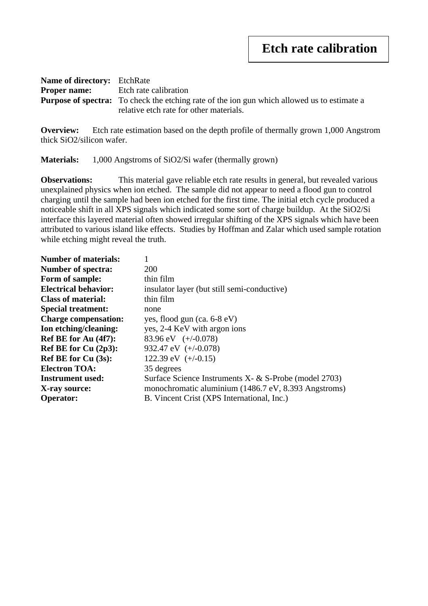| <b>Name of directory:</b> EtchRate        |                                                                                                    |  |
|-------------------------------------------|----------------------------------------------------------------------------------------------------|--|
| <b>Proper name:</b> Etch rate calibration |                                                                                                    |  |
|                                           | <b>Purpose of spectra:</b> To check the etching rate of the ion gun which allowed us to estimate a |  |
|                                           | relative etch rate for other materials.                                                            |  |

**Overview:** Etch rate estimation based on the depth profile of thermally grown 1,000 Angstrom thick SiO2/silicon wafer.

**Materials:** 1,000 Angstroms of SiO2/Si wafer (thermally grown)

**Observations:** This material gave reliable etch rate results in general, but revealed various unexplained physics when ion etched. The sample did not appear to need a flood gun to control charging until the sample had been ion etched for the first time. The initial etch cycle produced a noticeable shift in all XPS signals which indicated some sort of charge buildup. At the SiO2/Si interface this layered material often showed irregular shifting of the XPS signals which have been attributed to various island like effects. Studies by Hoffman and Zalar which used sample rotation while etching might reveal the truth.

| <b>Number of materials:</b> |                                                       |
|-----------------------------|-------------------------------------------------------|
| <b>Number of spectra:</b>   | <b>200</b>                                            |
| Form of sample:             | thin film                                             |
| <b>Electrical behavior:</b> | insulator layer (but still semi-conductive)           |
| <b>Class of material:</b>   | thin film                                             |
| <b>Special treatment:</b>   | none                                                  |
| <b>Charge compensation:</b> | yes, flood gun $(ca. 6-8 eV)$                         |
| Ion etching/cleaning:       | yes, 2-4 KeV with argon ions                          |
| Ref BE for Au (4f7):        | 83.96 eV $(+/-0.078)$                                 |
| Ref BE for Cu $(2p3)$ :     | 932.47 eV $(+/-0.078)$                                |
| Ref BE for $Cu(3s)$ :       | 122.39 eV $(+/-0.15)$                                 |
| <b>Electron TOA:</b>        | 35 degrees                                            |
| <b>Instrument used:</b>     | Surface Science Instruments X- & S-Probe (model 2703) |
| X-ray source:               | monochromatic aluminium (1486.7 eV, 8.393 Angstroms)  |
| <b>Operator:</b>            | B. Vincent Crist (XPS International, Inc.)            |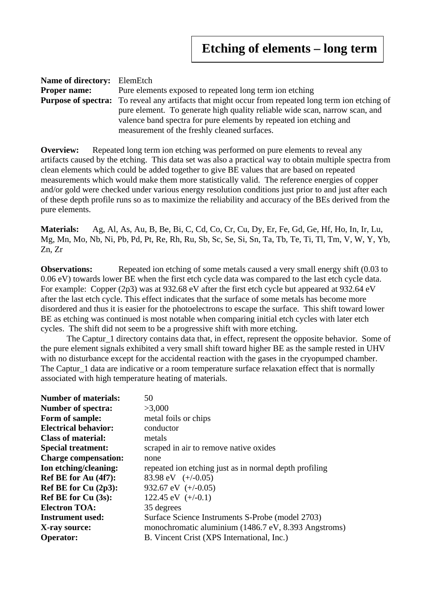| <b>Name of directory:</b> ElemEtch                                                                                 |                                                                                                            |  |
|--------------------------------------------------------------------------------------------------------------------|------------------------------------------------------------------------------------------------------------|--|
| <b>Proper name:</b>                                                                                                | Pure elements exposed to repeated long term ion etching                                                    |  |
|                                                                                                                    | <b>Purpose of spectra:</b> To reveal any artifacts that might occur from repeated long term ion etching of |  |
| valence band spectra for pure elements by repeated ion etching and<br>measurement of the freshly cleaned surfaces. | pure element. To generate high quality reliable wide scan, narrow scan, and                                |  |
|                                                                                                                    |                                                                                                            |  |
|                                                                                                                    |                                                                                                            |  |

**Overview:** Repeated long term ion etching was performed on pure elements to reveal any artifacts caused by the etching. This data set was also a practical way to obtain multiple spectra from clean elements which could be added together to give BE values that are based on repeated measurements which would make them more statistically valid. The reference energies of copper and/or gold were checked under various energy resolution conditions just prior to and just after each of these depth profile runs so as to maximize the reliability and accuracy of the BEs derived from the pure elements.

**Materials:** Ag, Al, As, Au, B, Be, Bi, C, Cd, Co, Cr, Cu, Dy, Er, Fe, Gd, Ge, Hf, Ho, In, Ir, Lu, Mg, Mn, Mo, Nb, Ni, Pb, Pd, Pt, Re, Rh, Ru, Sb, Sc, Se, Si, Sn, Ta, Tb, Te, Ti, Tl, Tm, V, W, Y, Yb, Zn, Zr

**Observations:** Repeated ion etching of some metals caused a very small energy shift (0.03 to 0.06 eV) towards lower BE when the first etch cycle data was compared to the last etch cycle data. For example: Copper (2p3) was at 932.68 eV after the first etch cycle but appeared at 932.64 eV after the last etch cycle. This effect indicates that the surface of some metals has become more disordered and thus it is easier for the photoelectrons to escape the surface. This shift toward lower BE as etching was continued is most notable when comparing initial etch cycles with later etch cycles. The shift did not seem to be a progressive shift with more etching.

The Captur 1 directory contains data that, in effect, represent the opposite behavior. Some of the pure element signals exhibited a very small shift toward higher BE as the sample rested in UHV with no disturbance except for the accidental reaction with the gases in the cryopumped chamber. The Captur\_1 data are indicative or a room temperature surface relaxation effect that is normally associated with high temperature heating of materials.

| <b>Number of materials:</b> | 50                                                     |
|-----------------------------|--------------------------------------------------------|
| <b>Number of spectra:</b>   | >3,000                                                 |
| Form of sample:             | metal foils or chips                                   |
| <b>Electrical behavior:</b> | conductor                                              |
| <b>Class of material:</b>   | metals                                                 |
| <b>Special treatment:</b>   | scraped in air to remove native oxides                 |
| <b>Charge compensation:</b> | none                                                   |
| Ion etching/cleaning:       | repeated ion etching just as in normal depth profiling |
| Ref BE for Au (4f7):        | 83.98 eV $(+/-0.05)$                                   |
| Ref BE for Cu $(2p3)$ :     | 932.67 eV $(+/-0.05)$                                  |
| <b>Ref BE for Cu (3s):</b>  | 122.45 eV $(+/-0.1)$                                   |
| <b>Electron TOA:</b>        | 35 degrees                                             |
| <b>Instrument used:</b>     | Surface Science Instruments S-Probe (model 2703)       |
| X-ray source:               | monochromatic aluminium (1486.7 eV, 8.393 Angstroms)   |
| <b>Operator:</b>            | B. Vincent Crist (XPS International, Inc.)             |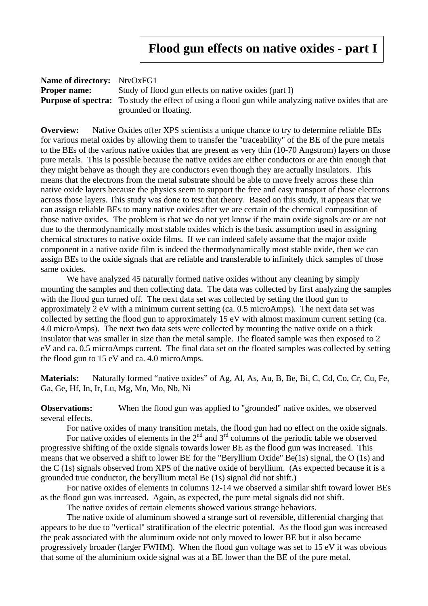## **Flood gun effects on native oxides - part I**

| <b>Name of directory:</b> NtvOxFG1 |                                                                                                            |  |
|------------------------------------|------------------------------------------------------------------------------------------------------------|--|
| <b>Proper name:</b>                | Study of flood gun effects on native oxides (part I)                                                       |  |
|                                    | <b>Purpose of spectra:</b> To study the effect of using a flood gun while analyzing native oxides that are |  |
|                                    | grounded or floating.                                                                                      |  |

**Overview:** Native Oxides offer XPS scientists a unique chance to try to determine reliable BEs for various metal oxides by allowing them to transfer the "traceability" of the BE of the pure metals to the BEs of the various native oxides that are present as very thin (10-70 Angstrom) layers on those pure metals. This is possible because the native oxides are either conductors or are thin enough that they might behave as though they are conductors even though they are actually insulators. This means that the electrons from the metal substrate should be able to move freely across these thin native oxide layers because the physics seem to support the free and easy transport of those electrons across those layers. This study was done to test that theory. Based on this study, it appears that we can assign reliable BEs to many native oxides after we are certain of the chemical composition of those native oxides. The problem is that we do not yet know if the main oxide signals are or are not due to the thermodynamically most stable oxides which is the basic assumption used in assigning chemical structures to native oxide films. If we can indeed safely assume that the major oxide component in a native oxide film is indeed the thermodynamically most stable oxide, then we can assign BEs to the oxide signals that are reliable and transferable to infinitely thick samples of those same oxides.

We have analyzed 45 naturally formed native oxides without any cleaning by simply mounting the samples and then collecting data. The data was collected by first analyzing the samples with the flood gun turned off. The next data set was collected by setting the flood gun to approximately 2 eV with a minimum current setting (ca. 0.5 microAmps). The next data set was collected by setting the flood gun to approximately 15 eV with almost maximum current setting (ca. 4.0 microAmps). The next two data sets were collected by mounting the native oxide on a thick insulator that was smaller in size than the metal sample. The floated sample was then exposed to 2 eV and ca. 0.5 microAmps current. The final data set on the floated samples was collected by setting the flood gun to 15 eV and ca. 4.0 microAmps.

**Materials:** Naturally formed "native oxides" of Ag, Al, As, Au, B, Be, Bi, C, Cd, Co, Cr, Cu, Fe, Ga, Ge, Hf, In, Ir, Lu, Mg, Mn, Mo, Nb, Ni

**Observations:** When the flood gun was applied to "grounded" native oxides, we observed several effects.

For native oxides of many transition metals, the flood gun had no effect on the oxide signals.

For native oxides of elements in the  $2<sup>nd</sup>$  and  $3<sup>rd</sup>$  columns of the periodic table we observed progressive shifting of the oxide signals towards lower BE as the flood gun was increased. This means that we observed a shift to lower BE for the "Beryllium Oxide" Be(1s) signal, the O (1s) and the C (1s) signals observed from XPS of the native oxide of beryllium. (As expected because it is a grounded true conductor, the beryllium metal Be (1s) signal did not shift.)

For native oxides of elements in columns 12-14 we observed a similar shift toward lower BEs as the flood gun was increased. Again, as expected, the pure metal signals did not shift.

The native oxides of certain elements showed various strange behaviors.

The native oxide of aluminum showed a strange sort of reversible, differential charging that appears to be due to "vertical" stratification of the electric potential. As the flood gun was increased the peak associated with the aluminum oxide not only moved to lower BE but it also became progressively broader (larger FWHM). When the flood gun voltage was set to 15 eV it was obvious that some of the aluminium oxide signal was at a BE lower than the BE of the pure metal.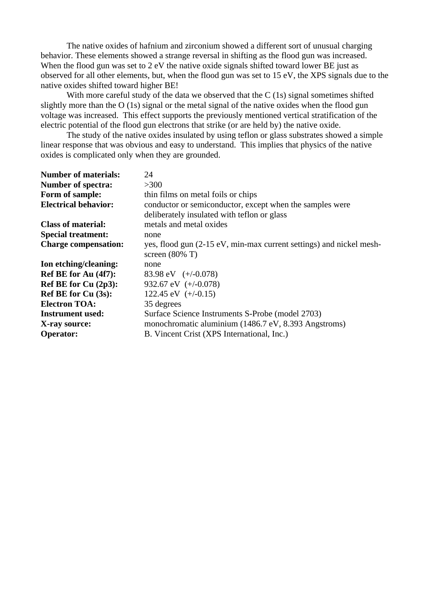The native oxides of hafnium and zirconium showed a different sort of unusual charging behavior. These elements showed a strange reversal in shifting as the flood gun was increased. When the flood gun was set to 2 eV the native oxide signals shifted toward lower BE just as observed for all other elements, but, when the flood gun was set to 15 eV, the XPS signals due to the native oxides shifted toward higher BE!

With more careful study of the data we observed that the C (1s) signal sometimes shifted slightly more than the O (1s) signal or the metal signal of the native oxides when the flood gun voltage was increased. This effect supports the previously mentioned vertical stratification of the electric potential of the flood gun electrons that strike (or are held by) the native oxide.

The study of the native oxides insulated by using teflon or glass substrates showed a simple linear response that was obvious and easy to understand. This implies that physics of the native oxides is complicated only when they are grounded.

| <b>Number of materials:</b> | 24                                                                  |
|-----------------------------|---------------------------------------------------------------------|
| <b>Number of spectra:</b>   | >300                                                                |
| Form of sample:             | thin films on metal foils or chips                                  |
| <b>Electrical behavior:</b> | conductor or semiconductor, except when the samples were            |
|                             | deliberately insulated with teflon or glass                         |
| <b>Class of material:</b>   | metals and metal oxides                                             |
| <b>Special treatment:</b>   | none                                                                |
| <b>Charge compensation:</b> | yes, flood gun (2-15 eV, min-max current settings) and nickel mesh- |
|                             | screen $(80\% \text{ T})$                                           |
| Ion etching/cleaning:       | none                                                                |
| Ref BE for Au (4f7):        | 83.98 eV $(+/-0.078)$                                               |
| Ref BE for Cu $(2p3)$ :     | 932.67 eV $(+/-0.078)$                                              |
| <b>Ref BE for Cu (3s):</b>  | 122.45 eV $(+/-0.15)$                                               |
| <b>Electron TOA:</b>        | 35 degrees                                                          |
| <b>Instrument used:</b>     | Surface Science Instruments S-Probe (model 2703)                    |
| X-ray source:               | monochromatic aluminium (1486.7 eV, 8.393 Angstroms)                |
| <b>Operator:</b>            | B. Vincent Crist (XPS International, Inc.)                          |
|                             |                                                                     |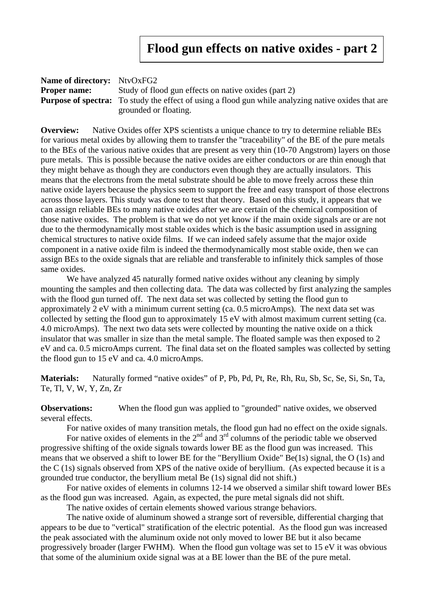### **Flood gun effects on native oxides - part 2**

| <b>Name of directory:</b> NtvOxFG2 |                                                                                                            |
|------------------------------------|------------------------------------------------------------------------------------------------------------|
| <b>Proper name:</b>                | Study of flood gun effects on native oxides (part 2)                                                       |
|                                    | <b>Purpose of spectra:</b> To study the effect of using a flood gun while analyzing native oxides that are |
|                                    | grounded or floating.                                                                                      |

**Overview:** Native Oxides offer XPS scientists a unique chance to try to determine reliable BEs for various metal oxides by allowing them to transfer the "traceability" of the BE of the pure metals to the BEs of the various native oxides that are present as very thin (10-70 Angstrom) layers on those pure metals. This is possible because the native oxides are either conductors or are thin enough that they might behave as though they are conductors even though they are actually insulators. This means that the electrons from the metal substrate should be able to move freely across these thin native oxide layers because the physics seem to support the free and easy transport of those electrons across those layers. This study was done to test that theory. Based on this study, it appears that we can assign reliable BEs to many native oxides after we are certain of the chemical composition of those native oxides. The problem is that we do not yet know if the main oxide signals are or are not due to the thermodynamically most stable oxides which is the basic assumption used in assigning chemical structures to native oxide films. If we can indeed safely assume that the major oxide component in a native oxide film is indeed the thermodynamically most stable oxide, then we can assign BEs to the oxide signals that are reliable and transferable to infinitely thick samples of those same oxides.

We have analyzed 45 naturally formed native oxides without any cleaning by simply mounting the samples and then collecting data. The data was collected by first analyzing the samples with the flood gun turned off. The next data set was collected by setting the flood gun to approximately 2 eV with a minimum current setting (ca. 0.5 microAmps). The next data set was collected by setting the flood gun to approximately 15 eV with almost maximum current setting (ca. 4.0 microAmps). The next two data sets were collected by mounting the native oxide on a thick insulator that was smaller in size than the metal sample. The floated sample was then exposed to 2 eV and ca. 0.5 microAmps current. The final data set on the floated samples was collected by setting the flood gun to 15 eV and ca. 4.0 microAmps.

**Materials:** Naturally formed "native oxides" of P, Pb, Pd, Pt, Re, Rh, Ru, Sb, Sc, Se, Si, Sn, Ta, Te, Tl, V, W, Y, Zn, Zr

**Observations:** When the flood gun was applied to "grounded" native oxides, we observed several effects.

For native oxides of many transition metals, the flood gun had no effect on the oxide signals.

For native oxides of elements in the  $2<sup>nd</sup>$  and  $3<sup>rd</sup>$  columns of the periodic table we observed progressive shifting of the oxide signals towards lower BE as the flood gun was increased. This means that we observed a shift to lower BE for the "Beryllium Oxide" Be(1s) signal, the O (1s) and the C (1s) signals observed from XPS of the native oxide of beryllium. (As expected because it is a grounded true conductor, the beryllium metal Be (1s) signal did not shift.)

For native oxides of elements in columns 12-14 we observed a similar shift toward lower BEs as the flood gun was increased. Again, as expected, the pure metal signals did not shift.

The native oxides of certain elements showed various strange behaviors.

The native oxide of aluminum showed a strange sort of reversible, differential charging that appears to be due to "vertical" stratification of the electric potential. As the flood gun was increased the peak associated with the aluminum oxide not only moved to lower BE but it also became progressively broader (larger FWHM). When the flood gun voltage was set to 15 eV it was obvious that some of the aluminium oxide signal was at a BE lower than the BE of the pure metal.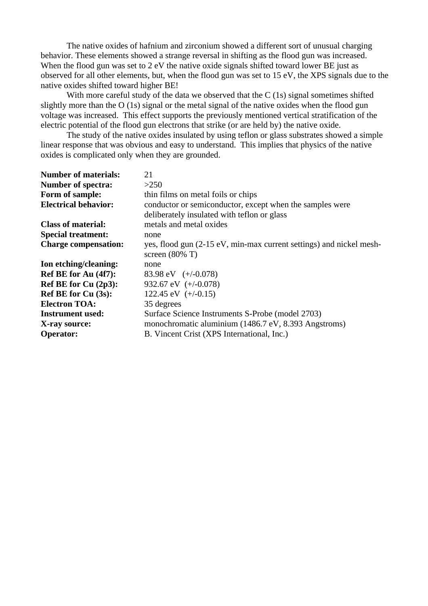The native oxides of hafnium and zirconium showed a different sort of unusual charging behavior. These elements showed a strange reversal in shifting as the flood gun was increased. When the flood gun was set to 2 eV the native oxide signals shifted toward lower BE just as observed for all other elements, but, when the flood gun was set to 15 eV, the XPS signals due to the native oxides shifted toward higher BE!

With more careful study of the data we observed that the C (1s) signal sometimes shifted slightly more than the O (1s) signal or the metal signal of the native oxides when the flood gun voltage was increased. This effect supports the previously mentioned vertical stratification of the electric potential of the flood gun electrons that strike (or are held by) the native oxide.

The study of the native oxides insulated by using teflon or glass substrates showed a simple linear response that was obvious and easy to understand. This implies that physics of the native oxides is complicated only when they are grounded.

| <b>Number of materials:</b> | 21                                                                  |
|-----------------------------|---------------------------------------------------------------------|
| <b>Number of spectra:</b>   | >250                                                                |
| Form of sample:             | thin films on metal foils or chips                                  |
| <b>Electrical behavior:</b> | conductor or semiconductor, except when the samples were            |
|                             | deliberately insulated with teflon or glass                         |
| <b>Class of material:</b>   | metals and metal oxides                                             |
| <b>Special treatment:</b>   | none                                                                |
| <b>Charge compensation:</b> | yes, flood gun (2-15 eV, min-max current settings) and nickel mesh- |
|                             | screen $(80\% \text{ T})$                                           |
| Ion etching/cleaning:       | none                                                                |
| Ref BE for Au (4f7):        | 83.98 eV $(+/-0.078)$                                               |
| Ref BE for Cu $(2p3)$ :     | 932.67 eV $(+/-0.078)$                                              |
| <b>Ref BE for Cu (3s):</b>  | 122.45 eV $(+/-0.15)$                                               |
| <b>Electron TOA:</b>        | 35 degrees                                                          |
| <b>Instrument used:</b>     | Surface Science Instruments S-Probe (model 2703)                    |
| X-ray source:               | monochromatic aluminium (1486.7 eV, 8.393 Angstroms)                |
| <b>Operator:</b>            | B. Vincent Crist (XPS International, Inc.)                          |
|                             |                                                                     |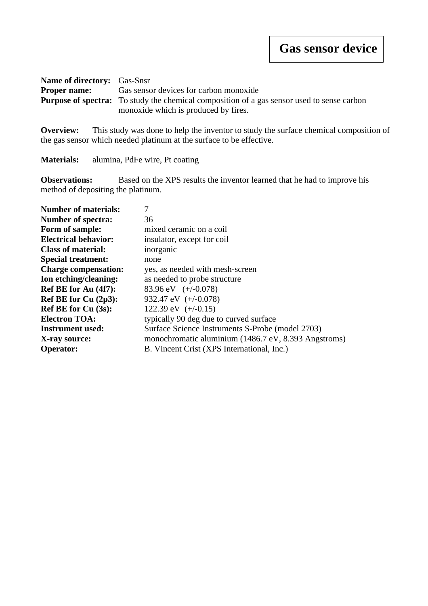| <b>Name of directory:</b> Gas-Snsr |                                                                                                   |  |
|------------------------------------|---------------------------------------------------------------------------------------------------|--|
| <b>Proper name:</b>                | Gas sensor devices for carbon monoxide                                                            |  |
|                                    | <b>Purpose of spectra:</b> To study the chemical composition of a gas sensor used to sense carbon |  |
|                                    | monoxide which is produced by fires.                                                              |  |

**Overview:** This study was done to help the inventor to study the surface chemical composition of the gas sensor which needed platinum at the surface to be effective.

**Materials:** alumina, PdFe wire, Pt coating

**Observations:** Based on the XPS results the inventor learned that he had to improve his method of depositing the platinum.

| <b>Number of materials:</b> | 7                                                    |
|-----------------------------|------------------------------------------------------|
| <b>Number of spectra:</b>   | 36                                                   |
| Form of sample:             | mixed ceramic on a coil                              |
| <b>Electrical behavior:</b> | insulator, except for coil                           |
| <b>Class of material:</b>   | inorganic                                            |
| <b>Special treatment:</b>   | none                                                 |
| <b>Charge compensation:</b> | yes, as needed with mesh-screen                      |
| Ion etching/cleaning:       | as needed to probe structure                         |
| Ref BE for Au (4f7):        | 83.96 eV $(+/-0.078)$                                |
| Ref BE for Cu (2p3):        | 932.47 eV $(+/-0.078)$                               |
| <b>Ref BE for Cu (3s):</b>  | 122.39 eV $(+/-0.15)$                                |
| <b>Electron TOA:</b>        | typically 90 deg due to curved surface               |
| <b>Instrument used:</b>     | Surface Science Instruments S-Probe (model 2703)     |
| X-ray source:               | monochromatic aluminium (1486.7 eV, 8.393 Angstroms) |
| <b>Operator:</b>            | B. Vincent Crist (XPS International, Inc.)           |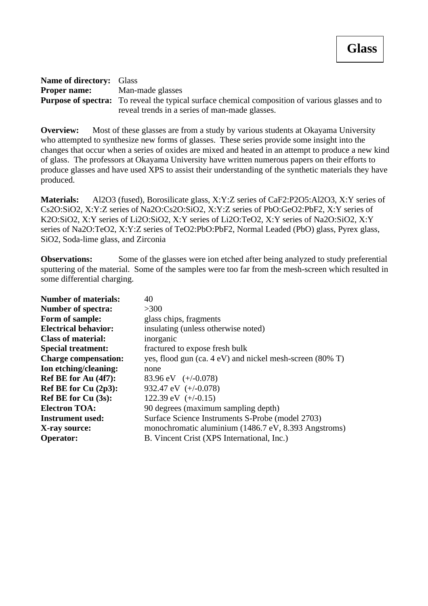| <b>Name of directory:</b> Glass                                                                         |                                                |
|---------------------------------------------------------------------------------------------------------|------------------------------------------------|
| <b>Proper name:</b>                                                                                     | Man-made glasses                               |
| <b>Purpose of spectra:</b> To reveal the typical surface chemical composition of various glasses and to |                                                |
|                                                                                                         | reveal trends in a series of man-made glasses. |

**Overview:** Most of these glasses are from a study by various students at Okayama University who attempted to synthesize new forms of glasses. These series provide some insight into the changes that occur when a series of oxides are mixed and heated in an attempt to produce a new kind of glass. The professors at Okayama University have written numerous papers on their efforts to produce glasses and have used XPS to assist their understanding of the synthetic materials they have produced.

**Materials:** Al2O3 (fused), Borosilicate glass, X:Y:Z series of CaF2:P2O5:Al2O3, X:Y series of Cs2O:SiO2, X:Y:Z series of Na2O:Cs2O:SiO2, X:Y:Z series of PbO:GeO2:PbF2, X:Y series of K2O:SiO2, X:Y series of Li2O:SiO2, X:Y series of Li2O:TeO2, X:Y series of Na2O:SiO2, X:Y series of Na2O:TeO2, X:Y:Z series of TeO2:PbO:PbF2, Normal Leaded (PbO) glass, Pyrex glass, SiO2, Soda-lime glass, and Zirconia

**Observations:** Some of the glasses were ion etched after being analyzed to study preferential sputtering of the material. Some of the samples were too far from the mesh-screen which resulted in some differential charging.

| <b>Number of materials:</b> | 40                                                       |
|-----------------------------|----------------------------------------------------------|
| <b>Number of spectra:</b>   | >300                                                     |
| Form of sample:             | glass chips, fragments                                   |
| <b>Electrical behavior:</b> | insulating (unless otherwise noted)                      |
| <b>Class of material:</b>   | inorganic                                                |
| <b>Special treatment:</b>   | fractured to expose fresh bulk                           |
| <b>Charge compensation:</b> | yes, flood gun (ca. 4 eV) and nickel mesh-screen (80% T) |
| Ion etching/cleaning:       | none                                                     |
| Ref BE for Au (4f7):        | 83.96 eV $(+/-0.078)$                                    |
| Ref BE for Cu $(2p3)$ :     | 932.47 eV $(+/-0.078)$                                   |
| <b>Ref BE for Cu (3s):</b>  | 122.39 eV $(+/-0.15)$                                    |
| <b>Electron TOA:</b>        | 90 degrees (maximum sampling depth)                      |
| <b>Instrument used:</b>     | Surface Science Instruments S-Probe (model 2703)         |
| X-ray source:               | monochromatic aluminium (1486.7 eV, 8.393 Angstroms)     |
| <b>Operator:</b>            | B. Vincent Crist (XPS International, Inc.)               |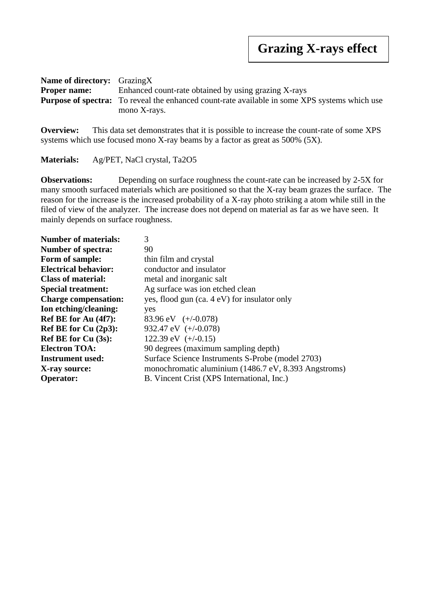| <b>Name of directory:</b> GrazingX |                                                                                                      |  |
|------------------------------------|------------------------------------------------------------------------------------------------------|--|
| <b>Proper name:</b>                | Enhanced count-rate obtained by using grazing X-rays                                                 |  |
|                                    | <b>Purpose of spectra:</b> To reveal the enhanced count-rate available in some XPS systems which use |  |
|                                    | mono X-rays.                                                                                         |  |

**Overview:** This data set demonstrates that it is possible to increase the count-rate of some XPS systems which use focused mono X-ray beams by a factor as great as 500% (5X).

**Materials:** Ag/PET, NaCl crystal, Ta2O5

**Observations:** Depending on surface roughness the count-rate can be increased by 2-5X for many smooth surfaced materials which are positioned so that the X-ray beam grazes the surface. The reason for the increase is the increased probability of a X-ray photo striking a atom while still in the filed of view of the analyzer. The increase does not depend on material as far as we have seen. It mainly depends on surface roughness.

| <b>Number of materials:</b> | 3                                                    |
|-----------------------------|------------------------------------------------------|
| <b>Number of spectra:</b>   | 90                                                   |
| Form of sample:             | thin film and crystal                                |
| <b>Electrical behavior:</b> | conductor and insulator                              |
| <b>Class of material:</b>   | metal and inorganic salt                             |
| <b>Special treatment:</b>   | Ag surface was ion etched clean                      |
| <b>Charge compensation:</b> | yes, flood gun (ca. 4 eV) for insulator only         |
| Ion etching/cleaning:       | yes                                                  |
| Ref BE for Au (4f7):        | 83.96 eV $(+/-0.078)$                                |
| Ref BE for Cu $(2p3)$ :     | 932.47 eV $(+/-0.078)$                               |
| <b>Ref BE for Cu (3s):</b>  | 122.39 eV $(+/-0.15)$                                |
| <b>Electron TOA:</b>        | 90 degrees (maximum sampling depth)                  |
| <b>Instrument used:</b>     | Surface Science Instruments S-Probe (model 2703)     |
| X-ray source:               | monochromatic aluminium (1486.7 eV, 8.393 Angstroms) |
| <b>Operator:</b>            | B. Vincent Crist (XPS International, Inc.)           |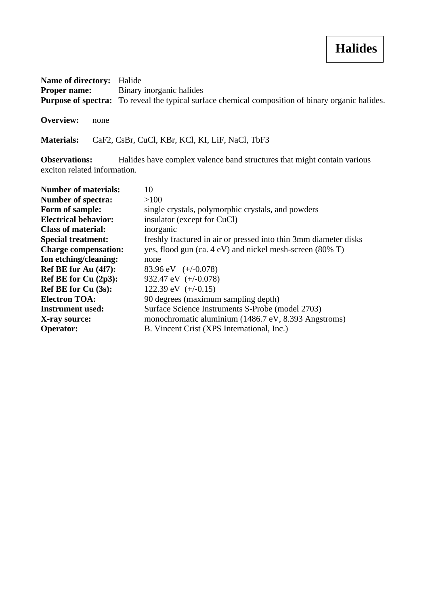| <b>Name of directory:</b> Halide |                                                                                                          |
|----------------------------------|----------------------------------------------------------------------------------------------------------|
| <b>Proper name:</b>              | Binary inorganic halides                                                                                 |
|                                  | <b>Purpose of spectra:</b> To reveal the typical surface chemical composition of binary organic halides. |

**Overview:** none

**Materials:** CaF2, CsBr, CuCl, KBr, KCl, KI, LiF, NaCl, TbF3

**Observations:** Halides have complex valence band structures that might contain various exciton related information.

| <b>Number of materials:</b> | 10                                                               |
|-----------------------------|------------------------------------------------------------------|
| <b>Number of spectra:</b>   | >100                                                             |
| Form of sample:             | single crystals, polymorphic crystals, and powders               |
| <b>Electrical behavior:</b> | insulator (except for CuCl)                                      |
| <b>Class of material:</b>   | inorganic                                                        |
| <b>Special treatment:</b>   | freshly fractured in air or pressed into thin 3mm diameter disks |
| <b>Charge compensation:</b> | yes, flood gun (ca. 4 eV) and nickel mesh-screen (80% T)         |
| Ion etching/cleaning:       | none                                                             |
| Ref BE for Au (4f7):        | 83.96 eV $(+/-0.078)$                                            |
| Ref BE for Cu $(2p3)$ :     | 932.47 eV $(+/-0.078)$                                           |
| Ref BE for $Cu(3s)$ :       | 122.39 eV $(+/-0.15)$                                            |
| <b>Electron TOA:</b>        | 90 degrees (maximum sampling depth)                              |
| <b>Instrument used:</b>     | Surface Science Instruments S-Probe (model 2703)                 |
| X-ray source:               | monochromatic aluminium (1486.7 eV, 8.393 Angstroms)             |
| <b>Operator:</b>            | B. Vincent Crist (XPS International, Inc.)                       |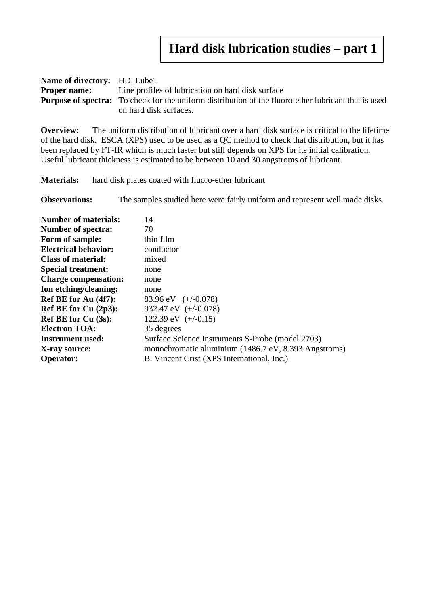| <b>Name of directory:</b> HD Lube1 |                                                                                                             |  |
|------------------------------------|-------------------------------------------------------------------------------------------------------------|--|
|                                    | <b>Proper name:</b> Line profiles of lubrication on hard disk surface                                       |  |
|                                    | <b>Purpose of spectra:</b> To check for the uniform distribution of the fluoro-ether lubricant that is used |  |
|                                    | on hard disk surfaces.                                                                                      |  |

**Overview:** The uniform distribution of lubricant over a hard disk surface is critical to the lifetime of the hard disk. ESCA (XPS) used to be used as a QC method to check that distribution, but it has been replaced by FT-IR which is much faster but still depends on XPS for its initial calibration. Useful lubricant thickness is estimated to be between 10 and 30 angstroms of lubricant.

**Materials:** hard disk plates coated with fluoro-ether lubricant

**Observations:** The samples studied here were fairly uniform and represent well made disks.

| <b>Number of materials:</b> | 14                                                   |
|-----------------------------|------------------------------------------------------|
| <b>Number of spectra:</b>   | 70                                                   |
| Form of sample:             | thin film                                            |
| <b>Electrical behavior:</b> | conductor                                            |
| <b>Class of material:</b>   | mixed                                                |
| <b>Special treatment:</b>   | none                                                 |
| <b>Charge compensation:</b> | none                                                 |
| Ion etching/cleaning:       | none                                                 |
| Ref BE for Au (4f7):        | 83.96 eV $(+/-0.078)$                                |
| Ref BE for $Cu(2p3)$ :      | 932.47 eV $(+/-0.078)$                               |
| Ref BE for $Cu(3s)$ :       | 122.39 eV $(+/-0.15)$                                |
| <b>Electron TOA:</b>        | 35 degrees                                           |
| <b>Instrument used:</b>     | Surface Science Instruments S-Probe (model 2703)     |
| X-ray source:               | monochromatic aluminium (1486.7 eV, 8.393 Angstroms) |
| <b>Operator:</b>            | B. Vincent Crist (XPS International, Inc.)           |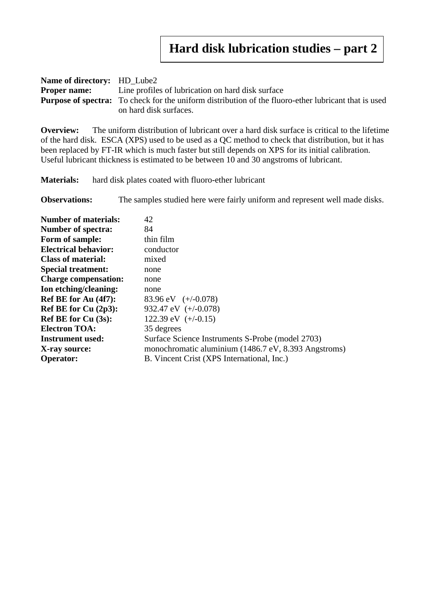| <b>Name of directory:</b> HD Lube2 |                                                                                                             |  |
|------------------------------------|-------------------------------------------------------------------------------------------------------------|--|
|                                    | <b>Proper name:</b> Line profiles of lubrication on hard disk surface                                       |  |
|                                    | <b>Purpose of spectra:</b> To check for the uniform distribution of the fluoro-ether lubricant that is used |  |
|                                    | on hard disk surfaces.                                                                                      |  |

**Overview:** The uniform distribution of lubricant over a hard disk surface is critical to the lifetime of the hard disk. ESCA (XPS) used to be used as a QC method to check that distribution, but it has been replaced by FT-IR which is much faster but still depends on XPS for its initial calibration. Useful lubricant thickness is estimated to be between 10 and 30 angstroms of lubricant.

**Materials:** hard disk plates coated with fluoro-ether lubricant

**Observations:** The samples studied here were fairly uniform and represent well made disks.

| <b>Number of materials:</b> | 42                                                   |
|-----------------------------|------------------------------------------------------|
| <b>Number of spectra:</b>   | 84                                                   |
| Form of sample:             | thin film                                            |
| <b>Electrical behavior:</b> | conductor                                            |
| <b>Class of material:</b>   | mixed                                                |
| <b>Special treatment:</b>   | none                                                 |
| <b>Charge compensation:</b> | none                                                 |
| Ion etching/cleaning:       | none                                                 |
| Ref BE for Au (4f7):        | 83.96 eV $(+/-0.078)$                                |
| Ref BE for $Cu(2p3)$ :      | 932.47 eV $(+/-0.078)$                               |
| Ref BE for $Cu(3s)$ :       | 122.39 eV $(+/-0.15)$                                |
| <b>Electron TOA:</b>        | 35 degrees                                           |
| <b>Instrument used:</b>     | Surface Science Instruments S-Probe (model 2703)     |
| X-ray source:               | monochromatic aluminium (1486.7 eV, 8.393 Angstroms) |
| <b>Operator:</b>            | B. Vincent Crist (XPS International, Inc.)           |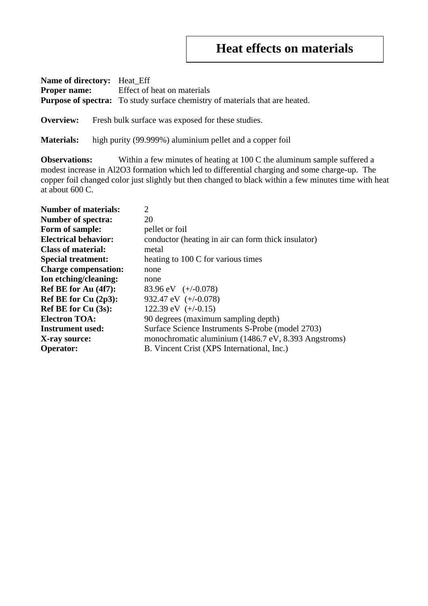### **Heat effects on materials**

**Name of directory:** Heat\_Eff **Proper name:** Effect of heat on materials **Purpose of spectra:** To study surface chemistry of materials that are heated.

**Overview:** Fresh bulk surface was exposed for these studies.

**Materials:** high purity (99.999%) aluminium pellet and a copper foil

**Observations:** Within a few minutes of heating at 100 C the aluminum sample suffered a modest increase in Al2O3 formation which led to differential charging and some charge-up. The copper foil changed color just slightly but then changed to black within a few minutes time with heat at about 600 C.

| <b>Number of materials:</b> | $\overline{2}$                                       |
|-----------------------------|------------------------------------------------------|
| <b>Number of spectra:</b>   | 20                                                   |
| Form of sample:             | pellet or foil                                       |
| <b>Electrical behavior:</b> | conductor (heating in air can form thick insulator)  |
| <b>Class of material:</b>   | metal                                                |
| <b>Special treatment:</b>   | heating to 100 C for various times                   |
| <b>Charge compensation:</b> | none                                                 |
| Ion etching/cleaning:       | none                                                 |
| Ref BE for Au (4f7):        | 83.96 eV $(+/-0.078)$                                |
| Ref BE for Cu (2p3):        | 932.47 eV $(+/-0.078)$                               |
| <b>Ref BE for Cu (3s):</b>  | 122.39 eV $(+/-0.15)$                                |
| <b>Electron TOA:</b>        | 90 degrees (maximum sampling depth)                  |
| <b>Instrument used:</b>     | Surface Science Instruments S-Probe (model 2703)     |
| X-ray source:               | monochromatic aluminium (1486.7 eV, 8.393 Angstroms) |
| <b>Operator:</b>            | B. Vincent Crist (XPS International, Inc.)           |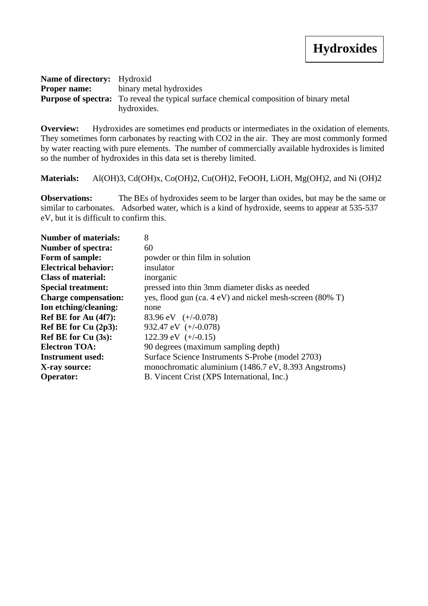| <b>Name of directory:</b> Hydroxid |                                                                                               |
|------------------------------------|-----------------------------------------------------------------------------------------------|
|                                    | <b>Proper name:</b> binary metal hydroxides                                                   |
|                                    | <b>Purpose of spectra:</b> To reveal the typical surface chemical composition of binary metal |
|                                    | hydroxides.                                                                                   |

**Overview:** Hydroxides are sometimes end products or intermediates in the oxidation of elements. They sometimes form carbonates by reacting with CO2 in the air. They are most commonly formed by water reacting with pure elements. The number of commercially available hydroxides is limited so the number of hydroxides in this data set is thereby limited.

**Materials:** Al(OH)3, Cd(OH)x, Co(OH)2, Cu(OH)2, FeOOH, LiOH, Mg(OH)2, and Ni (OH)2

**Observations:** The BEs of hydroxides seem to be larger than oxides, but may be the same or similar to carbonates. Adsorbed water, which is a kind of hydroxide, seems to appear at 535-537 eV, but it is difficult to confirm this.

| 8                                                        |
|----------------------------------------------------------|
| 60                                                       |
| powder or thin film in solution                          |
| insulator                                                |
| inorganic                                                |
| pressed into thin 3mm diameter disks as needed           |
| yes, flood gun (ca. 4 eV) and nickel mesh-screen (80% T) |
| none                                                     |
| 83.96 eV $(+/-0.078)$                                    |
| 932.47 eV (+/-0.078)                                     |
| 122.39 eV $(+/-0.15)$                                    |
| 90 degrees (maximum sampling depth)                      |
| Surface Science Instruments S-Probe (model 2703)         |
| monochromatic aluminium (1486.7 eV, 8.393 Angstroms)     |
| B. Vincent Crist (XPS International, Inc.)               |
|                                                          |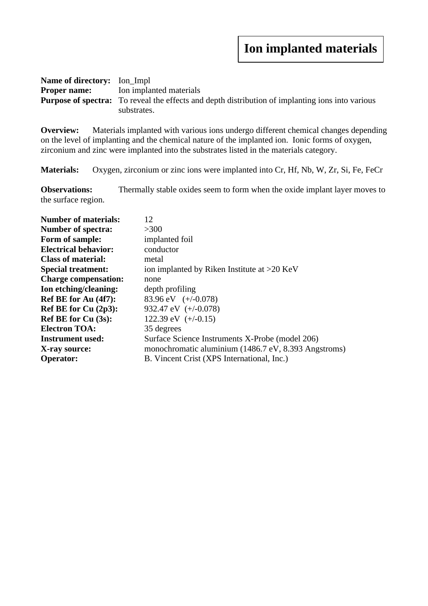# **Ion implanted materials**

| <b>Name of directory:</b> Ion Impl |                                                                                                         |
|------------------------------------|---------------------------------------------------------------------------------------------------------|
|                                    | <b>Proper name:</b> Ion implanted materials                                                             |
|                                    | <b>Purpose of spectra:</b> To reveal the effects and depth distribution of implanting ions into various |
|                                    | substrates.                                                                                             |

**Overview:** Materials implanted with various ions undergo different chemical changes depending on the level of implanting and the chemical nature of the implanted ion. Ionic forms of oxygen, zirconium and zinc were implanted into the substrates listed in the materials category.

**Materials:** Oxygen, zirconium or zinc ions were implanted into Cr, Hf, Nb, W, Zr, Si, Fe, FeCr

**Observations:** Thermally stable oxides seem to form when the oxide implant layer moves to the surface region.

| <b>Number of materials:</b> | 12                                                   |
|-----------------------------|------------------------------------------------------|
| <b>Number of spectra:</b>   | >300                                                 |
| Form of sample:             | implanted foil                                       |
| <b>Electrical behavior:</b> | conductor                                            |
| <b>Class of material:</b>   | metal                                                |
| <b>Special treatment:</b>   | ion implanted by Riken Institute at $>20$ KeV        |
| <b>Charge compensation:</b> | none                                                 |
| Ion etching/cleaning:       | depth profiling                                      |
| Ref BE for Au (4f7):        | 83.96 eV $(+/-0.078)$                                |
| Ref BE for Cu (2p3):        | 932.47 eV $(+/-0.078)$                               |
| <b>Ref BE for Cu (3s):</b>  | 122.39 eV $(+/-0.15)$                                |
| <b>Electron TOA:</b>        | 35 degrees                                           |
| <b>Instrument used:</b>     | Surface Science Instruments X-Probe (model 206)      |
| X-ray source:               | monochromatic aluminium (1486.7 eV, 8.393 Angstroms) |
| <b>Operator:</b>            | B. Vincent Crist (XPS International, Inc.)           |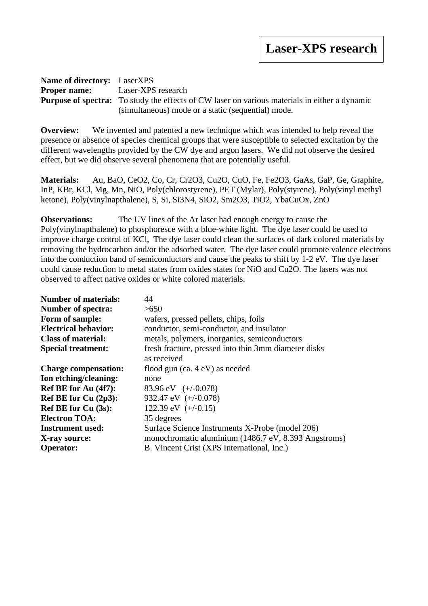#### **Name of directory:** LaserXPS **Proper name:** Laser-XPS research **Purpose of spectra:** To study the effects of CW laser on various materials in either a dynamic (simultaneous) mode or a static (sequential) mode.

**Overview:** We invented and patented a new technique which was intended to help reveal the presence or absence of species chemical groups that were susceptible to selected excitation by the different wavelengths provided by the CW dye and argon lasers. We did not observe the desired effect, but we did observe several phenomena that are potentially useful.

**Materials:** Au, BaO, CeO2, Co, Cr, Cr2O3, Cu2O, CuO, Fe, Fe2O3, GaAs, GaP, Ge, Graphite, InP, KBr, KCl, Mg, Mn, NiO, Poly(chlorostyrene), PET (Mylar), Poly(styrene), Poly(vinyl methyl ketone), Poly(vinylnapthalene), S, Si, Si3N4, SiO2, Sm2O3, TiO2, YbaCuOx, ZnO

**Observations:** The UV lines of the Ar laser had enough energy to cause the Poly(vinylnapthalene) to phosphoresce with a blue-white light. The dye laser could be used to improve charge control of KCl, The dye laser could clean the surfaces of dark colored materials by removing the hydrocarbon and/or the adsorbed water. The dye laser could promote valence electrons into the conduction band of semiconductors and cause the peaks to shift by 1-2 eV. The dye laser could cause reduction to metal states from oxides states for NiO and Cu2O. The lasers was not observed to affect native oxides or white colored materials.

| <b>Number of materials:</b> | 44                                                                  |
|-----------------------------|---------------------------------------------------------------------|
| <b>Number of spectra:</b>   | >650                                                                |
| Form of sample:             | wafers, pressed pellets, chips, foils                               |
| <b>Electrical behavior:</b> | conductor, semi-conductor, and insulator                            |
| <b>Class of material:</b>   | metals, polymers, inorganics, semiconductors                        |
| <b>Special treatment:</b>   | fresh fracture, pressed into thin 3mm diameter disks<br>as received |
| <b>Charge compensation:</b> | flood gun $(ca. 4 eV)$ as needed                                    |
| Ion etching/cleaning:       | none                                                                |
| Ref BE for Au (4f7):        | 83.96 eV $(+/-0.078)$                                               |
| Ref BE for Cu (2p3):        | 932.47 eV $(+/-0.078)$                                              |
| <b>Ref BE for Cu (3s):</b>  | 122.39 eV $(+/-0.15)$                                               |
| <b>Electron TOA:</b>        | 35 degrees                                                          |
| <b>Instrument used:</b>     | Surface Science Instruments X-Probe (model 206)                     |
| X-ray source:               | monochromatic aluminium (1486.7 eV, 8.393 Angstroms)                |
| <b>Operator:</b>            | B. Vincent Crist (XPS International, Inc.)                          |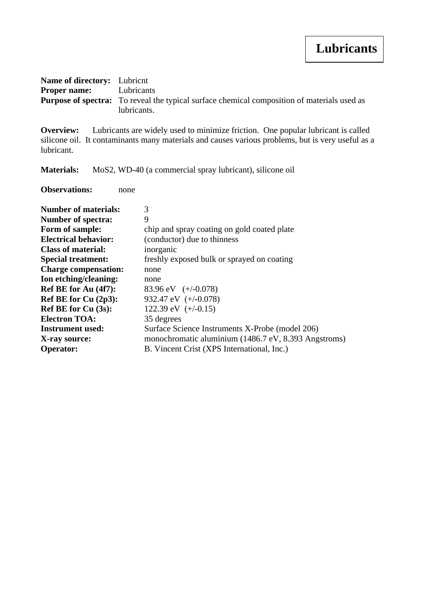# **Lubricants**

| <b>Name of directory:</b> Lubricnt |                                                                                                    |
|------------------------------------|----------------------------------------------------------------------------------------------------|
| <b>Proper name:</b> Lubricants     |                                                                                                    |
|                                    | <b>Purpose of spectra:</b> To reveal the typical surface chemical composition of materials used as |
|                                    | lubricants.                                                                                        |

**Overview:** Lubricants are widely used to minimize friction. One popular lubricant is called silicone oil. It contaminants many materials and causes various problems, but is very useful as a lubricant.

**Materials:** MoS2, WD-40 (a commercial spray lubricant), silicone oil

**Observations:** none

| <b>Number of materials:</b> | 3                                                    |
|-----------------------------|------------------------------------------------------|
| <b>Number of spectra:</b>   | 9                                                    |
| Form of sample:             | chip and spray coating on gold coated plate          |
| <b>Electrical behavior:</b> | (conductor) due to thinness                          |
| <b>Class of material:</b>   | inorganic                                            |
| <b>Special treatment:</b>   | freshly exposed bulk or sprayed on coating           |
| <b>Charge compensation:</b> | none                                                 |
| Ion etching/cleaning:       | none                                                 |
| Ref BE for Au (4f7):        | 83.96 eV $(+/-0.078)$                                |
| Ref BE for Cu $(2p3)$ :     | 932.47 eV $(+/-0.078)$                               |
| <b>Ref BE for Cu (3s):</b>  | 122.39 eV $(+/-0.15)$                                |
| <b>Electron TOA:</b>        | 35 degrees                                           |
| <b>Instrument used:</b>     | Surface Science Instruments X-Probe (model 206)      |
| X-ray source:               | monochromatic aluminium (1486.7 eV, 8.393 Angstroms) |
| <b>Operator:</b>            | B. Vincent Crist (XPS International, Inc.)           |
|                             |                                                      |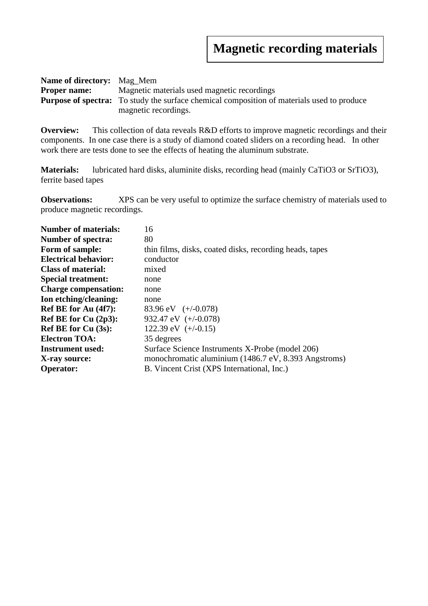| <b>Name of directory:</b> Mag Mem |                                                                                                   |  |
|-----------------------------------|---------------------------------------------------------------------------------------------------|--|
| <b>Proper name:</b>               | Magnetic materials used magnetic recordings                                                       |  |
|                                   | <b>Purpose of spectra:</b> To study the surface chemical composition of materials used to produce |  |
|                                   | magnetic recordings.                                                                              |  |

**Overview:** This collection of data reveals R&D efforts to improve magnetic recordings and their components. In one case there is a study of diamond coated sliders on a recording head. In other work there are tests done to see the effects of heating the aluminum substrate.

**Materials:** lubricated hard disks, aluminite disks, recording head (mainly CaTiO3 or SrTiO3), ferrite based tapes

**Observations:** XPS can be very useful to optimize the surface chemistry of materials used to produce magnetic recordings.

| 16                                                      |
|---------------------------------------------------------|
| 80                                                      |
| thin films, disks, coated disks, recording heads, tapes |
| conductor                                               |
| mixed                                                   |
| none                                                    |
| none                                                    |
| none                                                    |
| 83.96 eV $(+/-0.078)$                                   |
| 932.47 eV $(+/-0.078)$                                  |
| 122.39 eV $(+/-0.15)$                                   |
| 35 degrees                                              |
| Surface Science Instruments X-Probe (model 206)         |
| monochromatic aluminium (1486.7 eV, 8.393 Angstroms)    |
| B. Vincent Crist (XPS International, Inc.)              |
|                                                         |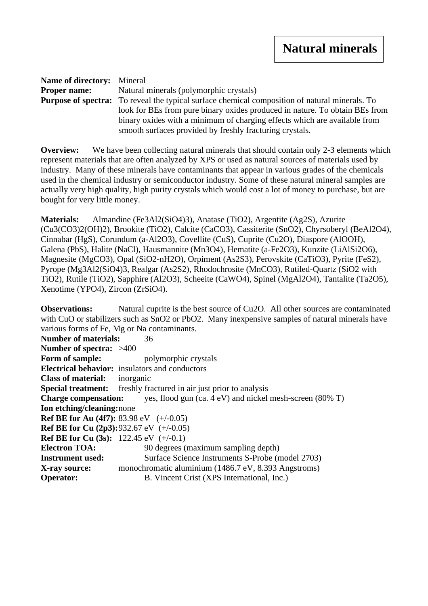| <b>Name of directory:</b> Mineral |                                                                                                       |  |
|-----------------------------------|-------------------------------------------------------------------------------------------------------|--|
| <b>Proper name:</b>               | Natural minerals (polymorphic crystals)                                                               |  |
|                                   | <b>Purpose of spectra:</b> To reveal the typical surface chemical composition of natural minerals. To |  |
|                                   | look for BEs from pure binary oxides produced in nature. To obtain BEs from                           |  |
|                                   | binary oxides with a minimum of charging effects which are available from                             |  |
|                                   | smooth surfaces provided by freshly fracturing crystals.                                              |  |

**Overview:** We have been collecting natural minerals that should contain only 2-3 elements which represent materials that are often analyzed by XPS or used as natural sources of materials used by industry. Many of these minerals have contaminants that appear in various grades of the chemicals used in the chemical industry or semiconductor industry. Some of these natural mineral samples are actually very high quality, high purity crystals which would cost a lot of money to purchase, but are bought for very little money.

**Materials:** Almandine (Fe3Al2(SiO4)3), Anatase (TiO2), Argentite (Ag2S), Azurite (Cu3(CO3)2(OH)2), Brookite (TiO2), Calcite (CaCO3), Cassiterite (SnO2), Chyrsoberyl (BeAl2O4), Cinnabar (HgS), Corundum (a-Al2O3), Covellite (CuS), Cuprite (Cu2O), Diaspore (AlOOH), Galena (PbS), Halite (NaCl), Hausmannite (Mn3O4), Hematite (a-Fe2O3), Kunzite (LiAlSi2O6), Magnesite (MgCO3), Opal (SiO2-nH2O), Orpiment (As2S3), Perovskite (CaTiO3), Pyrite (FeS2), Pyrope (Mg3Al2(SiO4)3, Realgar (As2S2), Rhodochrosite (MnCO3), Rutiled-Quartz (SiO2 with TiO2), Rutile (TiO2), Sapphire (Al2O3), Scheeite (CaWO4), Spinel (MgAl2O4), Tantalite (Ta2O5), Xenotime (YPO4), Zircon (ZrSiO4).

**Observations:** Natural cuprite is the best source of Cu2O. All other sources are contaminated with CuO or stabilizers such as SnO2 or PbO2. Many inexpensive samples of natural minerals have various forms of Fe, Mg or Na contaminants. **Number of materials:** 36 **Number of spectra:** >400 **Form of sample:** polymorphic crystals **Electrical behavior:** insulators and conductors **Class of material:** inorganic

**Special treatment:** freshly fractured in air just prior to analysis **Charge compensation:** yes, flood gun (ca. 4 eV) and nickel mesh-screen (80% T) **Ion etching/cleaning:**none **Ref BE for Au (4f7):** 83.98 eV (+/-0.05) **Ref BE for Cu (2p3):**932.67 eV (+/-0.05) **Ref BE for Cu (3s):** 122.45 eV (+/-0.1) **Electron TOA:** 90 degrees (maximum sampling depth) **Instrument used:** Surface Science Instruments S-Probe (model 2703) **X-ray source:** monochromatic aluminium (1486.7 eV, 8.393 Angstroms) **Operator:** B. Vincent Crist (XPS International, Inc.)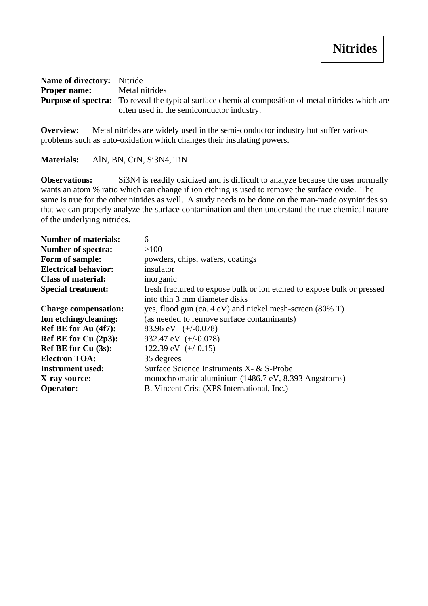| <b>Name of directory:</b> Nitride                                                                         |                                           |
|-----------------------------------------------------------------------------------------------------------|-------------------------------------------|
| <b>Proper name:</b> Metal nitrides                                                                        |                                           |
| <b>Purpose of spectra:</b> To reveal the typical surface chemical composition of metal nitrides which are |                                           |
|                                                                                                           | often used in the semiconductor industry. |

**Overview:** Metal nitrides are widely used in the semi-conductor industry but suffer various problems such as auto-oxidation which changes their insulating powers.

**Materials:** AlN, BN, CrN, Si3N4, TiN

**Observations:** Si3N4 is readily oxidized and is difficult to analyze because the user normally wants an atom % ratio which can change if ion etching is used to remove the surface oxide. The same is true for the other nitrides as well. A study needs to be done on the man-made oxynitrides so that we can properly analyze the surface contamination and then understand the true chemical nature of the underlying nitrides.

| <b>Number of materials:</b> | 6                                                                      |
|-----------------------------|------------------------------------------------------------------------|
| <b>Number of spectra:</b>   | >100                                                                   |
| Form of sample:             | powders, chips, wafers, coatings                                       |
| <b>Electrical behavior:</b> | insulator                                                              |
| <b>Class of material:</b>   | inorganic                                                              |
| <b>Special treatment:</b>   | fresh fractured to expose bulk or ion etched to expose bulk or pressed |
|                             | into thin 3 mm diameter disks                                          |
| <b>Charge compensation:</b> | yes, flood gun (ca. 4 eV) and nickel mesh-screen (80% T)               |
| Ion etching/cleaning:       | (as needed to remove surface contaminants)                             |
| Ref BE for Au (4f7):        | 83.96 eV $(+/-0.078)$                                                  |
| Ref BE for Cu $(2p3)$ :     | 932.47 eV $(+/-0.078)$                                                 |
| Ref BE for Cu (3s):         | 122.39 eV $(+/-0.15)$                                                  |
| <b>Electron TOA:</b>        | 35 degrees                                                             |
| <b>Instrument used:</b>     | Surface Science Instruments X- & S-Probe                               |
| X-ray source:               | monochromatic aluminium (1486.7 eV, 8.393 Angstroms)                   |
| <b>Operator:</b>            | B. Vincent Crist (XPS International, Inc.)                             |
|                             |                                                                        |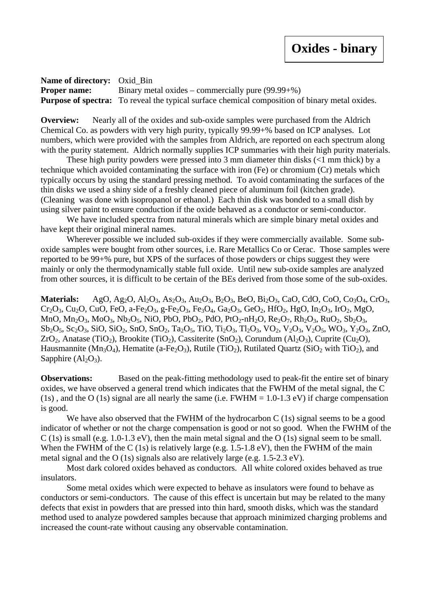**Name of directory:** Oxid\_Bin **Proper name:** Binary metal oxides – commercially pure (99.99+%) **Purpose of spectra:** To reveal the typical surface chemical composition of binary metal oxides.

**Overview:** Nearly all of the oxides and sub-oxide samples were purchased from the Aldrich Chemical Co. as powders with very high purity, typically 99.99+% based on ICP analyses. Lot numbers, which were provided with the samples from Aldrich, are reported on each spectrum along with the purity statement. Aldrich normally supplies ICP summaries with their high purity materials.

These high purity powders were pressed into 3 mm diameter thin disks (<1 mm thick) by a technique which avoided contaminating the surface with iron (Fe) or chromium (Cr) metals which typically occurs by using the standard pressing method. To avoid contaminating the surfaces of the thin disks we used a shiny side of a freshly cleaned piece of aluminum foil (kitchen grade). (Cleaning was done with isopropanol or ethanol.) Each thin disk was bonded to a small dish by using silver paint to ensure conduction if the oxide behaved as a conductor or semi-conductor.

We have included spectra from natural minerals which are simple binary metal oxides and have kept their original mineral names.

Wherever possible we included sub-oxides if they were commercially available. Some suboxide samples were bought from other sources, i.e. Rare Metallics Co or Cerac. Those samples were reported to be 99+% pure, but XPS of the surfaces of those powders or chips suggest they were mainly or only the thermodynamically stable full oxide. Until new sub-oxide samples are analyzed from other sources, it is difficult to be certain of the BEs derived from those some of the sub-oxides.

**Materials:** AgO, Ag<sub>2</sub>O, Al<sub>2</sub>O<sub>3</sub>, As<sub>2</sub>O<sub>3</sub>, Au<sub>2</sub>O<sub>3</sub>, B<sub>2</sub>O<sub>3</sub>, BeO, Bi<sub>2</sub>O<sub>3</sub>, CaO, CdO, Co<sub>2</sub>O<sub>4</sub>, CrO<sub>3</sub>,  $Cr_2O_3$ , Cu<sub>2</sub>O, CuO, FeO, a-Fe<sub>2</sub>O<sub>3</sub>, g-Fe<sub>2</sub>O<sub>3</sub>, Fe<sub>3</sub>O<sub>4</sub>, Ga<sub>2</sub>O<sub>3</sub>, GeO<sub>2</sub>, HfO<sub>2</sub>, HgO, In<sub>2</sub>O<sub>3</sub>, IrO<sub>2</sub>, MgO, MnO, Mn<sub>2</sub>O<sub>3</sub>, MoO<sub>3</sub>, Nb<sub>2</sub>O<sub>5</sub>, NiO, PbO, PbO<sub>2</sub>, PdO, PtO<sub>2</sub>-nH<sub>2</sub>O, Re<sub>2</sub>O<sub>7</sub>, Rh<sub>2</sub>O<sub>3</sub>, RuO<sub>2</sub>, Sb<sub>2</sub>O<sub>3</sub>, Sb2O5, Sc2O3, SiO, SiO2, SnO, SnO2, Ta2O5, TiO, Ti2O3, Tl2O3, VO2, V2O3, V2O5, WO3, Y2O3, ZnO, ZrO<sub>2</sub>, Anatase (TiO<sub>2</sub>), Brookite (TiO<sub>2</sub>), Cassiterite (SnO<sub>2</sub>), Corundum (Al<sub>2</sub>O<sub>3</sub>), Cuprite (Cu<sub>2</sub>O), Hausmannite ( $Mn_3O_4$ ), Hematite (a-Fe<sub>2</sub>O<sub>3</sub>), Rutile (TiO<sub>2</sub>), Rutilated Quartz (SiO<sub>2</sub> with TiO<sub>2</sub>), and Sapphire  $(Al_2O_3)$ .

**Observations:** Based on the peak-fitting methodology used to peak-fit the entire set of binary oxides, we have observed a general trend which indicates that the FWHM of the metal signal, the C (1s), and the O (1s) signal are all nearly the same (i.e. FWHM =  $1.0-1.3$  eV) if charge compensation is good.

We have also observed that the FWHM of the hydrocarbon C (1s) signal seems to be a good indicator of whether or not the charge compensation is good or not so good. When the FWHM of the C (1s) is small (e.g. 1.0-1.3 eV), then the main metal signal and the O (1s) signal seem to be small. When the FWHM of the C (1s) is relatively large (e.g. 1.5-1.8 eV), then the FWHM of the main metal signal and the O (1s) signals also are relatively large (e.g. 1.5-2.3 eV).

Most dark colored oxides behaved as conductors. All white colored oxides behaved as true insulators.

Some metal oxides which were expected to behave as insulators were found to behave as conductors or semi-conductors. The cause of this effect is uncertain but may be related to the many defects that exist in powders that are pressed into thin hard, smooth disks, which was the standard method used to analyze powdered samples because that approach minimized charging problems and increased the count-rate without causing any observable contamination.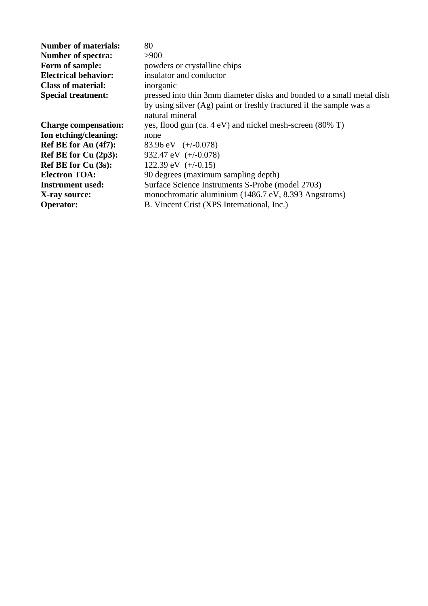| <b>Number of materials:</b> | 80                                                                                     |
|-----------------------------|----------------------------------------------------------------------------------------|
| <b>Number of spectra:</b>   | >900                                                                                   |
| Form of sample:             | powders or crystalline chips                                                           |
| <b>Electrical behavior:</b> | insulator and conductor                                                                |
| <b>Class of material:</b>   | inorganic                                                                              |
| <b>Special treatment:</b>   | pressed into thin 3mm diameter disks and bonded to a small metal dish                  |
|                             | by using silver (Ag) paint or freshly fractured if the sample was a<br>natural mineral |
| <b>Charge compensation:</b> | yes, flood gun (ca. $4 \text{ eV}$ ) and nickel mesh-screen (80% T)                    |
| Ion etching/cleaning:       | none                                                                                   |
| Ref BE for Au (4f7):        | 83.96 eV $(+/-0.078)$                                                                  |
| Ref BE for Cu $(2p3)$ :     | 932.47 eV $(+/-0.078)$                                                                 |
| <b>Ref BE for Cu (3s):</b>  | 122.39 eV $(+/-0.15)$                                                                  |
| <b>Electron TOA:</b>        | 90 degrees (maximum sampling depth)                                                    |
| <b>Instrument used:</b>     | Surface Science Instruments S-Probe (model 2703)                                       |
| X-ray source:               | monochromatic aluminium (1486.7 eV, 8.393 Angstroms)                                   |
| <b>Operator:</b>            | B. Vincent Crist (XPS International, Inc.)                                             |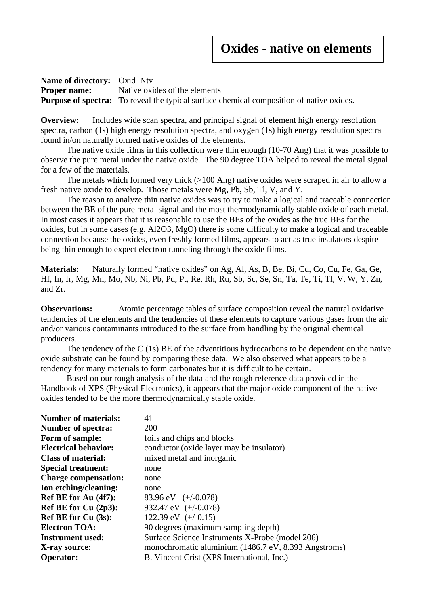### **Oxides - native on elements**

**Name of directory:** Oxid\_Ntv **Proper name:** Native oxides of the elements **Purpose of spectra:** To reveal the typical surface chemical composition of native oxides.

**Overview:** Includes wide scan spectra, and principal signal of element high energy resolution spectra, carbon (1s) high energy resolution spectra, and oxygen (1s) high energy resolution spectra found in/on naturally formed native oxides of the elements.

The native oxide films in this collection were thin enough (10-70 Ang) that it was possible to observe the pure metal under the native oxide. The 90 degree TOA helped to reveal the metal signal for a few of the materials.

The metals which formed very thick  $(>100 \text{ Ang})$  native oxides were scraped in air to allow a fresh native oxide to develop. Those metals were Mg, Pb, Sb, Tl, V, and Y.

The reason to analyze thin native oxides was to try to make a logical and traceable connection between the BE of the pure metal signal and the most thermodynamically stable oxide of each metal. In most cases it appears that it is reasonable to use the BEs of the oxides as the true BEs for the oxides, but in some cases (e.g. Al2O3, MgO) there is some difficulty to make a logical and traceable connection because the oxides, even freshly formed films, appears to act as true insulators despite being thin enough to expect electron tunneling through the oxide films.

**Materials:** Naturally formed "native oxides" on Ag, Al, As, B, Be, Bi, Cd, Co, Cu, Fe, Ga, Ge, Hf, In, Ir, Mg, Mn, Mo, Nb, Ni, Pb, Pd, Pt, Re, Rh, Ru, Sb, Sc, Se, Sn, Ta, Te, Ti, Tl, V, W, Y, Zn, and Zr.

**Observations:** Atomic percentage tables of surface composition reveal the natural oxidative tendencies of the elements and the tendencies of these elements to capture various gases from the air and/or various contaminants introduced to the surface from handling by the original chemical producers.

The tendency of the C (1s) BE of the adventitious hydrocarbons to be dependent on the native oxide substrate can be found by comparing these data. We also observed what appears to be a tendency for many materials to form carbonates but it is difficult to be certain.

Based on our rough analysis of the data and the rough reference data provided in the Handbook of XPS (Physical Electronics), it appears that the major oxide component of the native oxides tended to be the more thermodynamically stable oxide.

| <b>Number of materials:</b> | 41                                                   |
|-----------------------------|------------------------------------------------------|
| <b>Number of spectra:</b>   | 200                                                  |
| Form of sample:             | foils and chips and blocks                           |
| <b>Electrical behavior:</b> | conductor (oxide layer may be insulator)             |
| <b>Class of material:</b>   | mixed metal and inorganic                            |
| <b>Special treatment:</b>   | none                                                 |
| <b>Charge compensation:</b> | none                                                 |
| Ion etching/cleaning:       | none                                                 |
| Ref BE for Au (4f7):        | 83.96 eV $(+/-0.078)$                                |
| Ref BE for Cu (2p3):        | 932.47 eV $(+/-0.078)$                               |
| <b>Ref BE for Cu (3s):</b>  | 122.39 eV $(+/-0.15)$                                |
| <b>Electron TOA:</b>        | 90 degrees (maximum sampling depth)                  |
| <b>Instrument used:</b>     | Surface Science Instruments X-Probe (model 206)      |
| X-ray source:               | monochromatic aluminium (1486.7 eV, 8.393 Angstroms) |
| <b>Operator:</b>            | B. Vincent Crist (XPS International, Inc.)           |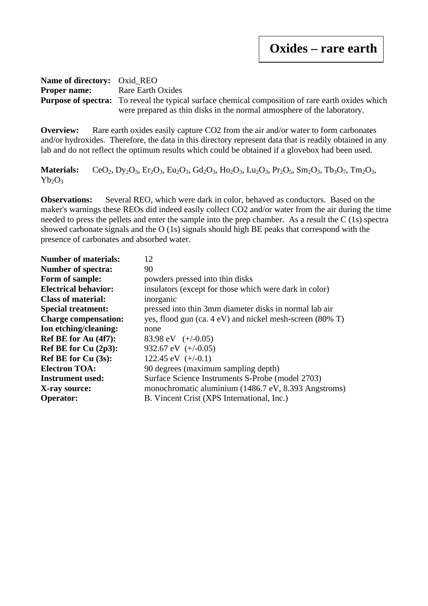#### **Name of directory:** Oxid\_REO **Proper name:** Rare Earth Oxides **Purpose of spectra:** To reveal the typical surface chemical composition of rare earth oxides which were prepared as thin disks in the normal atmosphere of the laboratory.

**Overview:** Rare earth oxides easily capture CO2 from the air and/or water to form carbonates and/or hydroxides. Therefore, the data in this directory represent data that is readily obtained in any lab and do not reflect the optimum results which could be obtained if a glovebox had been used.

**Materials:** CeO<sub>2</sub>, Dy<sub>2</sub>O<sub>3</sub>, Er<sub>2</sub>O<sub>3</sub>, Eu<sub>2</sub>O<sub>3</sub>, Gd<sub>2</sub>O<sub>3</sub>, Ho<sub>2</sub>O<sub>3</sub>, Lu<sub>2</sub>O<sub>3</sub>, Pr<sub>2</sub>O<sub>5</sub>, Sm<sub>2</sub>O<sub>3</sub>, Th<sub>3</sub>O<sub>7</sub>, Tm<sub>2</sub>O<sub>3</sub>,  $Yb_2O_3$ 

**Observations:** Several REO, which were dark in color, behaved as conductors. Based on the maker's warnings these REOs did indeed easily collect CO2 and/or water from the air during the time needed to press the pellets and enter the sample into the prep chamber. As a result the C (1s) spectra showed carbonate signals and the O (1s) signals should high BE peaks that correspond with the presence of carbonates and absorbed water.

| <b>Number of materials:</b> | 12                                                       |
|-----------------------------|----------------------------------------------------------|
| <b>Number of spectra:</b>   | 90                                                       |
| Form of sample:             | powders pressed into thin disks                          |
| <b>Electrical behavior:</b> | insulators (except for those which were dark in color)   |
| <b>Class of material:</b>   | inorganic                                                |
| <b>Special treatment:</b>   | pressed into thin 3mm diameter disks in normal lab air   |
| <b>Charge compensation:</b> | yes, flood gun (ca. 4 eV) and nickel mesh-screen (80% T) |
| Ion etching/cleaning:       | none                                                     |
| Ref BE for Au (4f7):        | 83.98 eV $(+/-0.05)$                                     |
| Ref BE for Cu $(2p3)$ :     | 932.67 eV $(+/-0.05)$                                    |
| <b>Ref BE for Cu (3s):</b>  | 122.45 eV $(+/-0.1)$                                     |
| <b>Electron TOA:</b>        | 90 degrees (maximum sampling depth)                      |
| <b>Instrument used:</b>     | Surface Science Instruments S-Probe (model 2703)         |
| X-ray source:               | monochromatic aluminium (1486.7 eV, 8.393 Angstroms)     |
| <b>Operator:</b>            | B. Vincent Crist (XPS International, Inc.)               |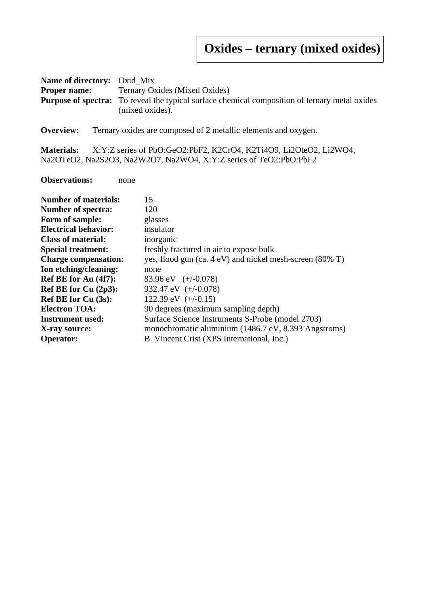# **Oxides – ternary (mixed oxides)**

| <b>Name of directory:</b> Oxid Mix |                                                                                                       |  |
|------------------------------------|-------------------------------------------------------------------------------------------------------|--|
|                                    | <b>Proper name:</b> Ternary Oxides (Mixed Oxides)                                                     |  |
|                                    | <b>Purpose of spectra:</b> To reveal the typical surface chemical composition of ternary metal oxides |  |
|                                    | (mixed oxides).                                                                                       |  |

**Overview:** Ternary oxides are composed of 2 metallic elements and oxygen.

**Materials:** X:Y:Z series of PbO:GeO2:PbF2, K2CrO4, K2Ti4O9, Li2OteO2, Li2WO4, Na2OTeO2, Na2S2O3, Na2W2O7, Na2WO4, X:Y:Z series of TeO2:PbO:PbF2

**Observations:** none

| <b>Number of materials:</b> | 15                                                       |
|-----------------------------|----------------------------------------------------------|
| <b>Number of spectra:</b>   | 120                                                      |
| Form of sample:             | glasses                                                  |
| <b>Electrical behavior:</b> | insulator                                                |
| <b>Class of material:</b>   | inorganic                                                |
| <b>Special treatment:</b>   | freshly fractured in air to expose bulk                  |
| <b>Charge compensation:</b> | yes, flood gun (ca. 4 eV) and nickel mesh-screen (80% T) |
| Ion etching/cleaning:       | none                                                     |
| Ref BE for Au (4f7):        | 83.96 eV $(+/-0.078)$                                    |
| Ref BE for $Cu(2p3)$ :      | 932.47 eV $(+/-0.078)$                                   |
| <b>Ref BE for Cu (3s):</b>  | 122.39 eV $(+/-0.15)$                                    |
| <b>Electron TOA:</b>        | 90 degrees (maximum sampling depth)                      |
| <b>Instrument used:</b>     | Surface Science Instruments S-Probe (model 2703)         |
| X-ray source:               | monochromatic aluminium (1486.7 eV, 8.393 Angstroms)     |
| <b>Operator:</b>            | B. Vincent Crist (XPS International, Inc.)               |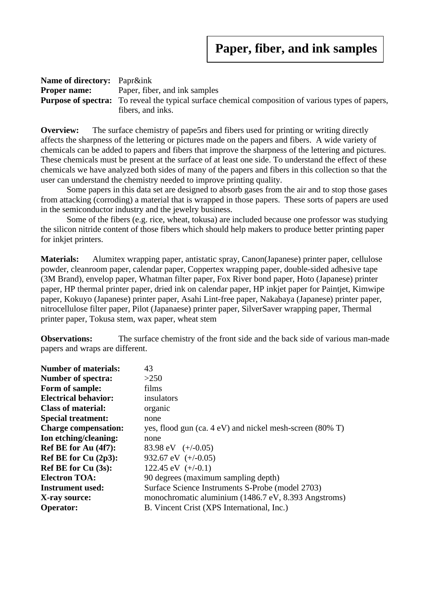| <b>Name of directory:</b> Papr&ink |                                                                                                           |
|------------------------------------|-----------------------------------------------------------------------------------------------------------|
| <b>Proper name:</b>                | Paper, fiber, and ink samples                                                                             |
|                                    | <b>Purpose of spectra:</b> To reveal the typical surface chemical composition of various types of papers, |
|                                    | fibers, and inks.                                                                                         |

**Overview:** The surface chemistry of pape5rs and fibers used for printing or writing directly affects the sharpness of the lettering or pictures made on the papers and fibers. A wide variety of chemicals can be added to papers and fibers that improve the sharpness of the lettering and pictures. These chemicals must be present at the surface of at least one side. To understand the effect of these chemicals we have analyzed both sides of many of the papers and fibers in this collection so that the user can understand the chemistry needed to improve printing quality.

Some papers in this data set are designed to absorb gases from the air and to stop those gases from attacking (corroding) a material that is wrapped in those papers. These sorts of papers are used in the semiconductor industry and the jewelry business.

Some of the fibers (e.g. rice, wheat, tokusa) are included because one professor was studying the silicon nitride content of those fibers which should help makers to produce better printing paper for inkjet printers.

**Materials:** Alumitex wrapping paper, antistatic spray, Canon(Japanese) printer paper, cellulose powder, cleanroom paper, calendar paper, Coppertex wrapping paper, double-sided adhesive tape (3M Brand), envelop paper, Whatman filter paper, Fox River bond paper, Hoto (Japanese) printer paper, HP thermal printer paper, dried ink on calendar paper, HP inkjet paper for Paintjet, Kimwipe paper, Kokuyo (Japanese) printer paper, Asahi Lint-free paper, Nakabaya (Japanese) printer paper, nitrocellulose filter paper, Pilot (Japanaese) printer paper, SilverSaver wrapping paper, Thermal printer paper, Tokusa stem, wax paper, wheat stem

**Observations:** The surface chemistry of the front side and the back side of various man-made papers and wraps are different.

| <b>Number of materials:</b> | 43                                                                    |
|-----------------------------|-----------------------------------------------------------------------|
| <b>Number of spectra:</b>   | >250                                                                  |
| Form of sample:             | films                                                                 |
| <b>Electrical behavior:</b> | insulators                                                            |
| <b>Class of material:</b>   | organic                                                               |
| <b>Special treatment:</b>   | none                                                                  |
| <b>Charge compensation:</b> | yes, flood gun $(ca. 4 eV)$ and nickel mesh-screen $(80\% \text{ T})$ |
| Ion etching/cleaning:       | none                                                                  |
| Ref BE for Au (4f7):        | 83.98 eV $(+/-0.05)$                                                  |
| Ref BE for Cu $(2p3)$ :     | 932.67 eV $(+/-0.05)$                                                 |
| Ref BE for Cu (3s):         | 122.45 eV $(+/-0.1)$                                                  |
| <b>Electron TOA:</b>        | 90 degrees (maximum sampling depth)                                   |
| <b>Instrument used:</b>     | Surface Science Instruments S-Probe (model 2703)                      |
| X-ray source:               | monochromatic aluminium (1486.7 eV, 8.393 Angstroms)                  |
| <b>Operator:</b>            | B. Vincent Crist (XPS International, Inc.)                            |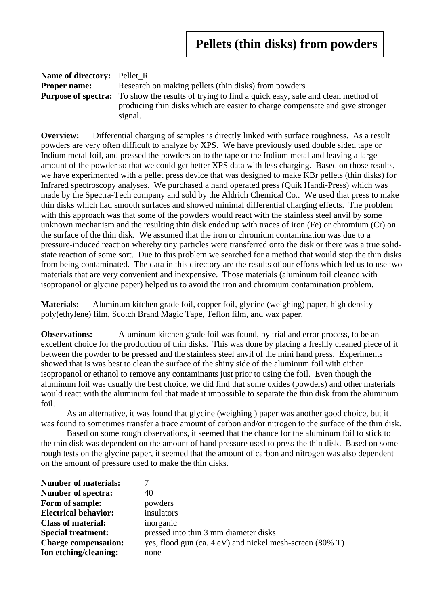| <b>Name of directory:</b> Pellet R |                                                                                                         |
|------------------------------------|---------------------------------------------------------------------------------------------------------|
| <b>Proper name:</b>                | Research on making pellets (thin disks) from powders                                                    |
|                                    | <b>Purpose of spectra:</b> To show the results of trying to find a quick easy, safe and clean method of |
|                                    | producing thin disks which are easier to charge compensate and give stronger                            |
|                                    | signal.                                                                                                 |

**Overview:** Differential charging of samples is directly linked with surface roughness. As a result powders are very often difficult to analyze by XPS. We have previously used double sided tape or Indium metal foil, and pressed the powders on to the tape or the Indium metal and leaving a large amount of the powder so that we could get better XPS data with less charging. Based on those results, we have experimented with a pellet press device that was designed to make KBr pellets (thin disks) for Infrared spectroscopy analyses. We purchased a hand operated press (Quik Handi-Press) which was made by the Spectra-Tech company and sold by the Aldrich Chemical Co.. We used that press to make thin disks which had smooth surfaces and showed minimal differential charging effects. The problem with this approach was that some of the powders would react with the stainless steel anvil by some unknown mechanism and the resulting thin disk ended up with traces of iron (Fe) or chromium (Cr) on the surface of the thin disk. We assumed that the iron or chromium contamination was due to a pressure-induced reaction whereby tiny particles were transferred onto the disk or there was a true solidstate reaction of some sort. Due to this problem we searched for a method that would stop the thin disks from being contaminated. The data in this directory are the results of our efforts which led us to use two materials that are very convenient and inexpensive. Those materials (aluminum foil cleaned with isopropanol or glycine paper) helped us to avoid the iron and chromium contamination problem.

**Materials:** Aluminum kitchen grade foil, copper foil, glycine (weighing) paper, high density poly(ethylene) film, Scotch Brand Magic Tape, Teflon film, and wax paper.

**Observations:** Aluminum kitchen grade foil was found, by trial and error process, to be an excellent choice for the production of thin disks. This was done by placing a freshly cleaned piece of it between the powder to be pressed and the stainless steel anvil of the mini hand press. Experiments showed that is was best to clean the surface of the shiny side of the aluminum foil with either isopropanol or ethanol to remove any contaminants just prior to using the foil. Even though the aluminum foil was usually the best choice, we did find that some oxides (powders) and other materials would react with the aluminum foil that made it impossible to separate the thin disk from the aluminum foil.

As an alternative, it was found that glycine (weighing ) paper was another good choice, but it was found to sometimes transfer a trace amount of carbon and/or nitrogen to the surface of the thin disk.

Based on some rough observations, it seemed that the chance for the aluminum foil to stick to the thin disk was dependent on the amount of hand pressure used to press the thin disk. Based on some rough tests on the glycine paper, it seemed that the amount of carbon and nitrogen was also dependent on the amount of pressure used to make the thin disks.

| <b>Number of materials:</b> |                                                               |
|-----------------------------|---------------------------------------------------------------|
| <b>Number of spectra:</b>   | 40                                                            |
| Form of sample:             | powders                                                       |
| <b>Electrical behavior:</b> | insulators                                                    |
| <b>Class of material:</b>   | inorganic                                                     |
| <b>Special treatment:</b>   | pressed into thin 3 mm diameter disks                         |
| <b>Charge compensation:</b> | yes, flood gun $(ca. 4 eV)$ and nickel mesh-screen $(80\%$ T) |
| Ion etching/cleaning:       | none                                                          |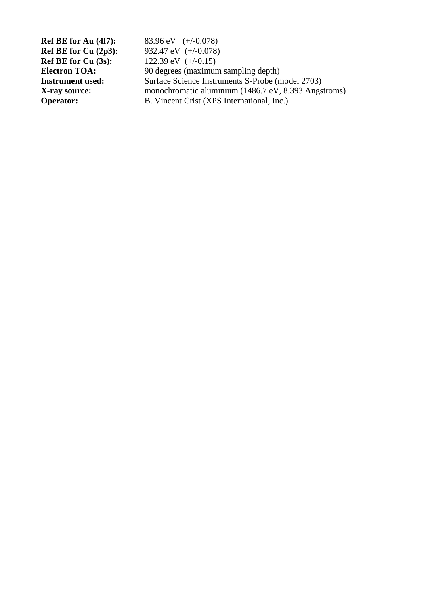**Ref BE for Au (4f7):** 83.96 eV (+/-0.078) **Ref BE for Cu (2p3):** 932.47 eV (+/-0.078)<br>**Ref BE for Cu (3s):** 122.39 eV (+/-0.15) 122.39 eV  $(+/-0.15)$ **Electron TOA:** 90 degrees (maximum sampling depth)<br> **Instrument used:** Surface Science Instruments S-Probe (m **Surface Science Instruments S-Probe (model 2703) X-ray source:** monochromatic aluminium (1486.7 eV, 8.393 Angstroms)<br> **Operator:** B. Vincent Crist (XPS International, Inc.) **B. Vincent Crist (XPS International, Inc.)**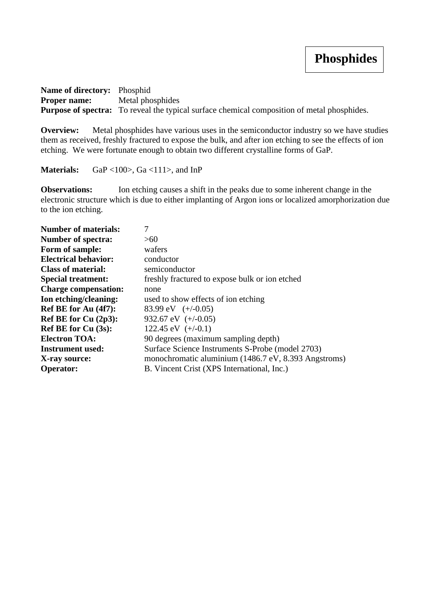**Name of directory:** Phosphid **Proper name:** Metal phosphides **Purpose of spectra:** To reveal the typical surface chemical composition of metal phosphides.

**Overview:** Metal phosphides have various uses in the semiconductor industry so we have studies them as received, freshly fractured to expose the bulk, and after ion etching to see the effects of ion etching. We were fortunate enough to obtain two different crystalline forms of GaP.

Materials: GaP <100>, Ga <111>, and InP

**Observations:** Ion etching causes a shift in the peaks due to some inherent change in the electronic structure which is due to either implanting of Argon ions or localized amorphorization due to the ion etching.

| <b>Number of materials:</b> | 7                                                    |
|-----------------------------|------------------------------------------------------|
| <b>Number of spectra:</b>   | >60                                                  |
| Form of sample:             | wafers                                               |
| <b>Electrical behavior:</b> | conductor                                            |
| <b>Class of material:</b>   | semiconductor                                        |
| <b>Special treatment:</b>   | freshly fractured to expose bulk or ion etched       |
| <b>Charge compensation:</b> | none                                                 |
| Ion etching/cleaning:       | used to show effects of ion etching                  |
| Ref BE for Au (4f7):        | 83.99 eV $(+/-0.05)$                                 |
| Ref BE for Cu (2p3):        | 932.67 eV $(+/-0.05)$                                |
| <b>Ref BE for Cu (3s):</b>  | 122.45 eV $(+/-0.1)$                                 |
| <b>Electron TOA:</b>        | 90 degrees (maximum sampling depth)                  |
| <b>Instrument used:</b>     | Surface Science Instruments S-Probe (model 2703)     |
| X-ray source:               | monochromatic aluminium (1486.7 eV, 8.393 Angstroms) |
| <b>Operator:</b>            | B. Vincent Crist (XPS International, Inc.)           |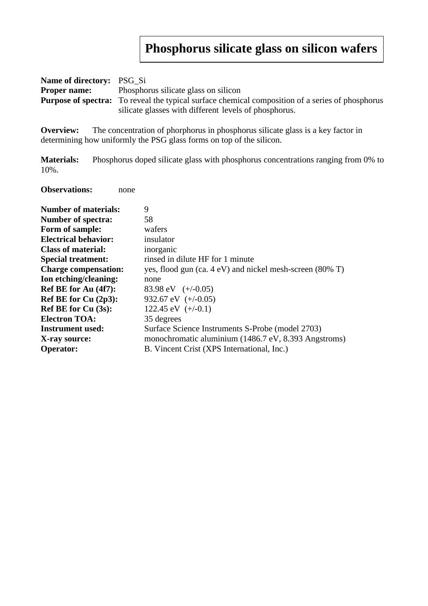# **Phosphorus silicate glass on silicon wafers**

| <b>Name of directory:</b> PSG Si |                                                                                                         |  |
|----------------------------------|---------------------------------------------------------------------------------------------------------|--|
| <b>Proper name:</b>              | Phosphorus silicate glass on silicon                                                                    |  |
|                                  | <b>Purpose of spectra:</b> To reveal the typical surface chemical composition of a series of phosphorus |  |
|                                  | silicate glasses with different levels of phosphorus.                                                   |  |

**Overview:** The concentration of phorphorus in phosphorus silicate glass is a key factor in determining how uniformly the PSG glass forms on top of the silicon.

**Materials:** Phosphorus doped silicate glass with phosphorus concentrations ranging from 0% to 10%.

**Observations:** none

| <b>Number of materials:</b> | 9                                                        |
|-----------------------------|----------------------------------------------------------|
| <b>Number of spectra:</b>   | 58                                                       |
| Form of sample:             | wafers                                                   |
| <b>Electrical behavior:</b> | insulator                                                |
| <b>Class of material:</b>   | inorganic                                                |
| <b>Special treatment:</b>   | rinsed in dilute HF for 1 minute                         |
| <b>Charge compensation:</b> | yes, flood gun (ca. 4 eV) and nickel mesh-screen (80% T) |
| Ion etching/cleaning:       | none                                                     |
| Ref BE for Au (4f7):        | 83.98 eV $(+/-0.05)$                                     |
| Ref BE for Cu $(2p3)$ :     | 932.67 eV $(+/-0.05)$                                    |
| <b>Ref BE for Cu (3s):</b>  | 122.45 eV $(+/-0.1)$                                     |
| <b>Electron TOA:</b>        | 35 degrees                                               |
| <b>Instrument used:</b>     | Surface Science Instruments S-Probe (model 2703)         |
| X-ray source:               | monochromatic aluminium (1486.7 eV, 8.393 Angstroms)     |
| <b>Operator:</b>            | B. Vincent Crist (XPS International, Inc.)               |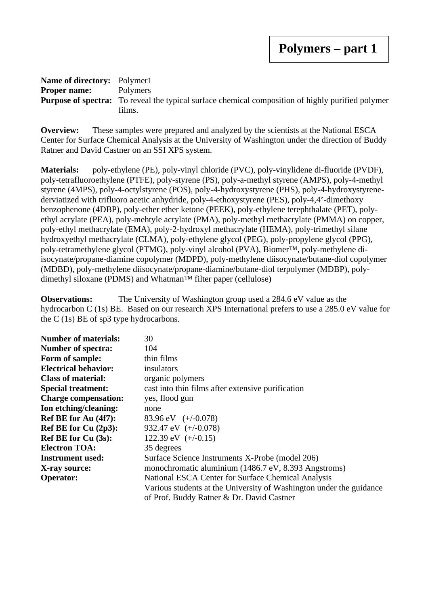#### **Name of directory:** Polymer1 **Proper name:** Polymers **Purpose of spectra:** To reveal the typical surface chemical composition of highly purified polymer films.

**Overview:** These samples were prepared and analyzed by the scientists at the National ESCA Center for Surface Chemical Analysis at the University of Washington under the direction of Buddy Ratner and David Castner on an SSI XPS system.

**Materials:** poly-ethylene (PE), poly-vinyl chloride (PVC), poly-vinylidene di-fluoride (PVDF), poly-tetrafluoroethylene (PTFE), poly-styrene (PS), poly-a-methyl styrene (AMPS), poly-4-methyl styrene (4MPS), poly-4-octylstyrene (POS), poly-4-hydroxystyrene (PHS), poly-4-hydroxystyrenederviatized with trifluoro acetic anhydride, poly-4-ethoxystyrene (PES), poly-4,4'-dimethoxy benzophenone (4DBP), poly-ether ether ketone (PEEK), poly-ethylene terephthalate (PET), polyethyl acrylate (PEA), poly-mehtyle acrylate (PMA), poly-methyl methacrylate (PMMA) on copper, poly-ethyl methacrylate (EMA), poly-2-hydroxyl methacrylate (HEMA), poly-trimethyl silane hydroxyethyl methacrylate (CLMA), poly-ethylene glycol (PEG), poly-propylene glycol (PPG), poly-tetramethylene glycol (PTMG), poly-vinyl alcohol (PVA), Biomer™, poly-methylene diisocynate/propane-diamine copolymer (MDPD), poly-methylene diisocynate/butane-diol copolymer (MDBD), poly-methylene diisocynate/propane-diamine/butane-diol terpolymer (MDBP), polydimethyl siloxane (PDMS) and Whatman™ filter paper (cellulose)

**Observations:** The University of Washington group used a 284.6 eV value as the hydrocarbon C (1s) BE. Based on our research XPS International prefers to use a 285.0 eV value for the C (1s) BE of sp3 type hydrocarbons.

| <b>Number of materials:</b> | 30                                                                  |
|-----------------------------|---------------------------------------------------------------------|
| <b>Number of spectra:</b>   | 104                                                                 |
| Form of sample:             | thin films                                                          |
| <b>Electrical behavior:</b> | insulators                                                          |
| <b>Class of material:</b>   | organic polymers                                                    |
| <b>Special treatment:</b>   | cast into thin films after extensive purification                   |
| <b>Charge compensation:</b> | yes, flood gun                                                      |
| Ion etching/cleaning:       | none                                                                |
| Ref BE for Au (4f7):        | 83.96 eV $(+/-0.078)$                                               |
| Ref BE for Cu $(2p3)$ :     | 932.47 eV $(+/-0.078)$                                              |
| <b>Ref BE for Cu (3s):</b>  | 122.39 eV $(+/-0.15)$                                               |
| <b>Electron TOA:</b>        | 35 degrees                                                          |
| Instrument used:            | Surface Science Instruments X-Probe (model 206)                     |
| X-ray source:               | monochromatic aluminium (1486.7 eV, 8.393 Angstroms)                |
| <b>Operator:</b>            | National ESCA Center for Surface Chemical Analysis                  |
|                             | Various students at the University of Washington under the guidance |
|                             | of Prof. Buddy Ratner & Dr. David Castner                           |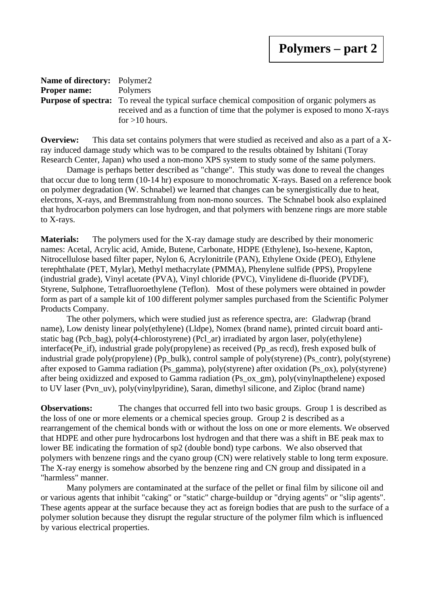| <b>Name of directory:</b> Polymer2 |                                                                                                      |
|------------------------------------|------------------------------------------------------------------------------------------------------|
| <b>Proper name:</b>                | Polymers                                                                                             |
|                                    | <b>Purpose of spectra:</b> To reveal the typical surface chemical composition of organic polymers as |
|                                    | received and as a function of time that the polymer is exposed to mono X-rays                        |
|                                    | for $>10$ hours.                                                                                     |

**Overview:** This data set contains polymers that were studied as received and also as a part of a Xray induced damage study which was to be compared to the results obtained by Ishitani (Toray Research Center, Japan) who used a non-mono XPS system to study some of the same polymers.

Damage is perhaps better described as "change". This study was done to reveal the changes that occur due to long term (10-14 hr) exposure to monochromatic X-rays. Based on a reference book on polymer degradation (W. Schnabel) we learned that changes can be synergistically due to heat, electrons, X-rays, and Bremmstrahlung from non-mono sources. The Schnabel book also explained that hydrocarbon polymers can lose hydrogen, and that polymers with benzene rings are more stable to X-rays.

**Materials:** The polymers used for the X-ray damage study are described by their monomeric names: Acetal, Acrylic acid, Amide, Butene, Carbonate, HDPE (Ethylene), Iso-hexene, Kapton, Nitrocellulose based filter paper, Nylon 6, Acrylonitrile (PAN), Ethylene Oxide (PEO), Ethylene terephthalate (PET, Mylar), Methyl methacrylate (PMMA), Phenylene sulfide (PPS), Propylene (industrial grade), Vinyl acetate (PVA), Vinyl chloride (PVC), Vinylidene di-fluoride (PVDF), Styrene, Sulphone, Tetrafluoroethylene (Teflon). Most of these polymers were obtained in powder form as part of a sample kit of 100 different polymer samples purchased from the Scientific Polymer Products Company.

The other polymers, which were studied just as reference spectra, are: Gladwrap (brand name), Low denisty linear poly(ethylene) (Lldpe), Nomex (brand name), printed circuit board antistatic bag (Pcb bag), poly(4-chlorostyrene) (Pcl ar) irradiated by argon laser, poly(ethylene) interface(Pe if), industrial grade poly(propylene) as received (Pp\_as recd), fresh exposed bulk of industrial grade poly(propylene) (Pp\_bulk), control sample of poly(styrene) (Ps\_contr), poly(styrene) after exposed to Gamma radiation (Ps\_gamma), poly(styrene) after oxidation (Ps\_ox), poly(styrene) after being oxidizzed and exposed to Gamma radiation (Ps\_ox\_gm), poly(vinylnapthelene) exposed to UV laser (Pvn\_uv), poly(vinylpyridine), Saran, dimethyl silicone, and Ziploc (brand name)

**Observations:** The changes that occurred fell into two basic groups. Group 1 is described as the loss of one or more elements or a chemical species group. Group 2 is described as a rearrangement of the chemical bonds with or without the loss on one or more elements. We observed that HDPE and other pure hydrocarbons lost hydrogen and that there was a shift in BE peak max to lower BE indicating the formation of sp2 (double bond) type carbons. We also observed that polymers with benzene rings and the cyano group (CN) were relatively stable to long term exposure. The X-ray energy is somehow absorbed by the benzene ring and CN group and dissipated in a "harmless" manner.

Many polymers are contaminated at the surface of the pellet or final film by silicone oil and or various agents that inhibit "caking" or "static" charge-buildup or "drying agents" or "slip agents". These agents appear at the surface because they act as foreign bodies that are push to the surface of a polymer solution because they disrupt the regular structure of the polymer film which is influenced by various electrical properties.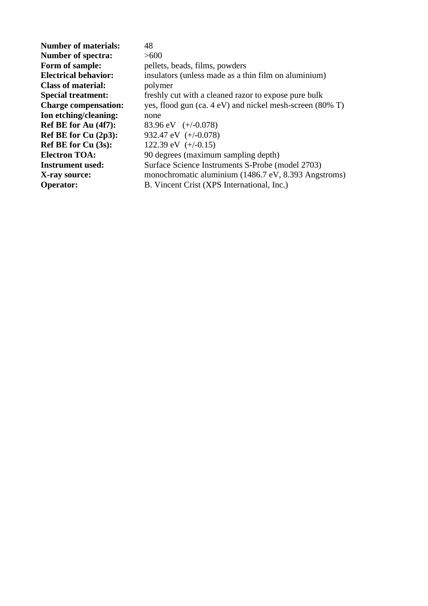| <b>Number of materials:</b> | 48                                                       |
|-----------------------------|----------------------------------------------------------|
| <b>Number of spectra:</b>   | >600                                                     |
| Form of sample:             | pellets, beads, films, powders                           |
| <b>Electrical behavior:</b> | insulators (unless made as a thin film on aluminium)     |
| <b>Class of material:</b>   | polymer                                                  |
| <b>Special treatment:</b>   | freshly cut with a cleaned razor to expose pure bulk     |
| <b>Charge compensation:</b> | yes, flood gun (ca. 4 eV) and nickel mesh-screen (80% T) |
| Ion etching/cleaning:       | none                                                     |
| Ref BE for Au (4f7):        | 83.96 eV $(+/-0.078)$                                    |
| Ref BE for Cu $(2p3)$ :     | 932.47 eV $(+/-0.078)$                                   |
| Ref BE for $Cu(3s)$ :       | 122.39 eV $(+/-0.15)$                                    |
| <b>Electron TOA:</b>        | 90 degrees (maximum sampling depth)                      |
| <b>Instrument used:</b>     | Surface Science Instruments S-Probe (model 2703)         |
| X-ray source:               | monochromatic aluminium (1486.7 eV, 8.393 Angstroms)     |
| <b>Operator:</b>            | B. Vincent Crist (XPS International, Inc.)               |
|                             |                                                          |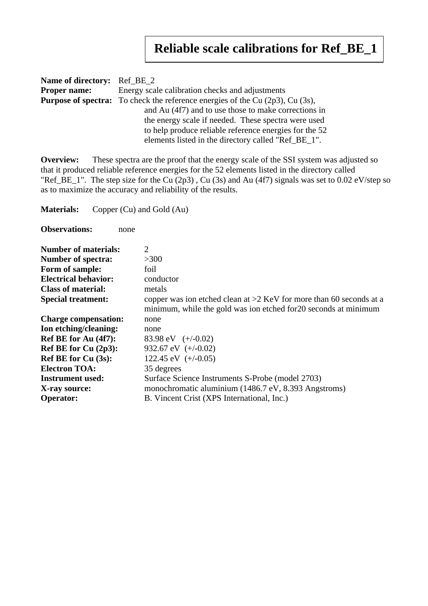## **Reliable scale calibrations for Ref\_BE\_1**

| <b>Name of directory:</b> Ref_BE_2 |                                                                                            |
|------------------------------------|--------------------------------------------------------------------------------------------|
| <b>Proper name:</b>                | Energy scale calibration checks and adjustments                                            |
|                                    | <b>Purpose of spectra:</b> To check the reference energies of the Cu $(2p3)$ , Cu $(3s)$ , |
|                                    | and Au (4f7) and to use those to make corrections in                                       |
|                                    | the energy scale if needed. These spectra were used                                        |
|                                    | to help produce reliable reference energies for the 52                                     |
|                                    | elements listed in the directory called "Ref_BE_1".                                        |

**Overview:** These spectra are the proof that the energy scale of the SSI system was adjusted so that it produced reliable reference energies for the 52 elements listed in the directory called "Ref\_BE\_1". The step size for the Cu (2p3) , Cu (3s) and Au (4f7) signals was set to 0.02 eV/step so as to maximize the accuracy and reliability of the results.

**Materials:** Copper (Cu) and Gold (Au)

**Observations:** none

| <b>Number of materials:</b> | 2                                                                                                                                         |
|-----------------------------|-------------------------------------------------------------------------------------------------------------------------------------------|
| <b>Number of spectra:</b>   | >300                                                                                                                                      |
| Form of sample:             | foil                                                                                                                                      |
| <b>Electrical behavior:</b> | conductor                                                                                                                                 |
| <b>Class of material:</b>   | metals                                                                                                                                    |
| <b>Special treatment:</b>   | copper was ion etched clean at $>2$ KeV for more than 60 seconds at a<br>minimum, while the gold was ion etched for 20 seconds at minimum |
| <b>Charge compensation:</b> | none                                                                                                                                      |
| Ion etching/cleaning:       | none                                                                                                                                      |
| Ref BE for Au (4f7):        | 83.98 eV $(+/-0.02)$                                                                                                                      |
| Ref BE for Cu (2p3):        | 932.67 eV $(+/-0.02)$                                                                                                                     |
| <b>Ref BE for Cu (3s):</b>  | 122.45 eV $(+/-0.05)$                                                                                                                     |
| <b>Electron TOA:</b>        | 35 degrees                                                                                                                                |
| <b>Instrument used:</b>     | Surface Science Instruments S-Probe (model 2703)                                                                                          |
| X-ray source:               | monochromatic aluminium (1486.7 eV, 8.393 Angstroms)                                                                                      |
| <b>Operator:</b>            | B. Vincent Crist (XPS International, Inc.)                                                                                                |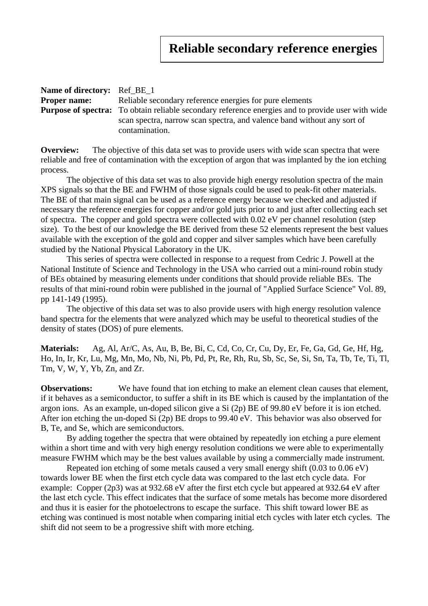| <b>Name of directory:</b> Ref BE 1 |                                                                                                          |
|------------------------------------|----------------------------------------------------------------------------------------------------------|
| <b>Proper name:</b>                | Reliable secondary reference energies for pure elements                                                  |
|                                    | <b>Purpose of spectra:</b> To obtain reliable secondary reference energies and to provide user with wide |
|                                    | scan spectra, narrow scan spectra, and valence band without any sort of                                  |
|                                    | contamination.                                                                                           |

**Overview:** The objective of this data set was to provide users with wide scan spectra that were reliable and free of contamination with the exception of argon that was implanted by the ion etching process.

The objective of this data set was to also provide high energy resolution spectra of the main XPS signals so that the BE and FWHM of those signals could be used to peak-fit other materials. The BE of that main signal can be used as a reference energy because we checked and adjusted if necessary the reference energies for copper and/or gold juts prior to and just after collecting each set of spectra. The copper and gold spectra were collected with 0.02 eV per channel resolution (step size). To the best of our knowledge the BE derived from these 52 elements represent the best values available with the exception of the gold and copper and silver samples which have been carefully studied by the National Physical Laboratory in the UK.

This series of spectra were collected in response to a request from Cedric J. Powell at the National Institute of Science and Technology in the USA who carried out a mini-round robin study of BEs obtained by measuring elements under conditions that should provide reliable BEs. The results of that mini-round robin were published in the journal of "Applied Surface Science" Vol. 89, pp 141-149 (1995).

The objective of this data set was to also provide users with high energy resolution valence band spectra for the elements that were analyzed which may be useful to theoretical studies of the density of states (DOS) of pure elements.

**Materials:** Ag, Al, Ar/C, As, Au, B, Be, Bi, C, Cd, Co, Cr, Cu, Dy, Er, Fe, Ga, Gd, Ge, Hf, Hg, Ho, In, Ir, Kr, Lu, Mg, Mn, Mo, Nb, Ni, Pb, Pd, Pt, Re, Rh, Ru, Sb, Sc, Se, Si, Sn, Ta, Tb, Te, Ti, Tl, Tm, V, W, Y, Yb, Zn, and Zr.

**Observations:** We have found that ion etching to make an element clean causes that element, if it behaves as a semiconductor, to suffer a shift in its BE which is caused by the implantation of the argon ions. As an example, un-doped silicon give a Si (2p) BE of 99.80 eV before it is ion etched. After ion etching the un-doped Si (2p) BE drops to 99.40 eV. This behavior was also observed for B, Te, and Se, which are semiconductors.

By adding together the spectra that were obtained by repeatedly ion etching a pure element within a short time and with very high energy resolution conditions we were able to experimentally measure FWHM which may be the best values available by using a commercially made instrument.

Repeated ion etching of some metals caused a very small energy shift (0.03 to 0.06 eV) towards lower BE when the first etch cycle data was compared to the last etch cycle data. For example: Copper (2p3) was at 932.68 eV after the first etch cycle but appeared at 932.64 eV after the last etch cycle. This effect indicates that the surface of some metals has become more disordered and thus it is easier for the photoelectrons to escape the surface. This shift toward lower BE as etching was continued is most notable when comparing initial etch cycles with later etch cycles. The shift did not seem to be a progressive shift with more etching.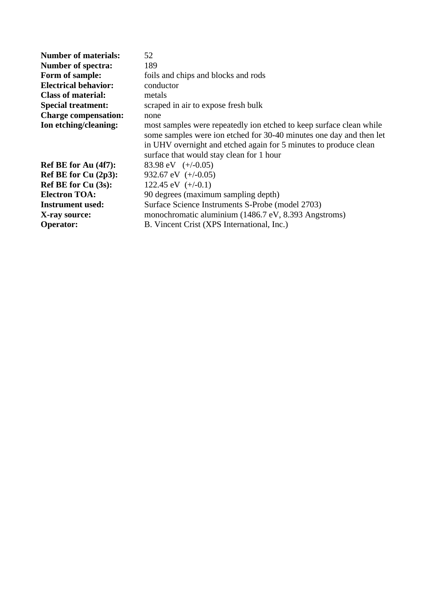| 52                                                                                                                                                                                                                                                         |
|------------------------------------------------------------------------------------------------------------------------------------------------------------------------------------------------------------------------------------------------------------|
| 189                                                                                                                                                                                                                                                        |
| foils and chips and blocks and rods                                                                                                                                                                                                                        |
| conductor                                                                                                                                                                                                                                                  |
| metals                                                                                                                                                                                                                                                     |
| scraped in air to expose fresh bulk                                                                                                                                                                                                                        |
| none                                                                                                                                                                                                                                                       |
| most samples were repeatedly ion etched to keep surface clean while<br>some samples were ion etched for 30-40 minutes one day and then let<br>in UHV overnight and etched again for 5 minutes to produce clean<br>surface that would stay clean for 1 hour |
| 83.98 eV $(+/-0.05)$                                                                                                                                                                                                                                       |
| 932.67 eV $(+/-0.05)$                                                                                                                                                                                                                                      |
| 122.45 eV $(+/-0.1)$                                                                                                                                                                                                                                       |
| 90 degrees (maximum sampling depth)                                                                                                                                                                                                                        |
| Surface Science Instruments S-Probe (model 2703)                                                                                                                                                                                                           |
| monochromatic aluminium (1486.7 eV, 8.393 Angstroms)                                                                                                                                                                                                       |
| B. Vincent Crist (XPS International, Inc.)                                                                                                                                                                                                                 |
|                                                                                                                                                                                                                                                            |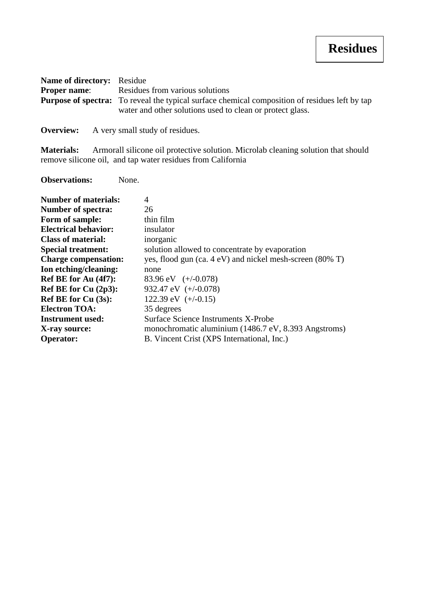| Name of directory: Residue |                                                                                                       |
|----------------------------|-------------------------------------------------------------------------------------------------------|
| <b>Proper name:</b>        | Residues from various solutions                                                                       |
|                            | <b>Purpose of spectra:</b> To reveal the typical surface chemical composition of residues left by tap |
|                            | water and other solutions used to clean or protect glass.                                             |
|                            |                                                                                                       |

**Overview:** A very small study of residues.

Materials: Armorall silicone oil protective solution. Microlab cleaning solution that should remove silicone oil, and tap water residues from California

**Observations:** None.

| <b>Number of materials:</b> | 4                                                        |
|-----------------------------|----------------------------------------------------------|
| <b>Number of spectra:</b>   | 26                                                       |
| Form of sample:             | thin film                                                |
| <b>Electrical behavior:</b> | insulator                                                |
| <b>Class of material:</b>   | inorganic                                                |
| <b>Special treatment:</b>   | solution allowed to concentrate by evaporation           |
| <b>Charge compensation:</b> | yes, flood gun (ca. 4 eV) and nickel mesh-screen (80% T) |
| Ion etching/cleaning:       | none                                                     |
| Ref BE for Au (4f7):        | 83.96 eV $(+/-0.078)$                                    |
| Ref BE for Cu $(2p3)$ :     | 932.47 eV $(+/-0.078)$                                   |
| Ref BE for $Cu(3s)$ :       | 122.39 eV $(+/-0.15)$                                    |
| <b>Electron TOA:</b>        | 35 degrees                                               |
| <b>Instrument used:</b>     | Surface Science Instruments X-Probe                      |
| X-ray source:               | monochromatic aluminium (1486.7 eV, 8.393 Angstroms)     |
| <b>Operator:</b>            | B. Vincent Crist (XPS International, Inc.)               |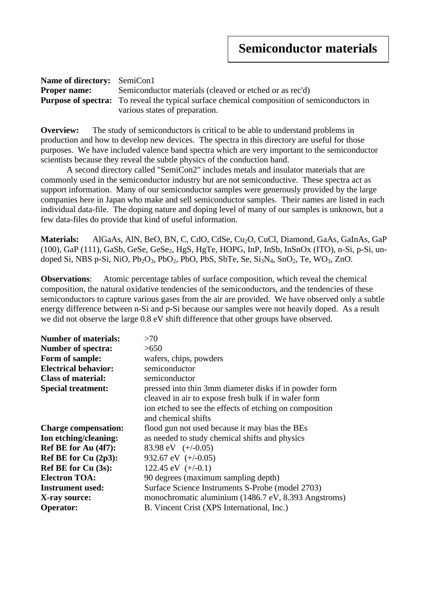| <b>Name of directory:</b> SemiCon1 |                                                                                                    |  |
|------------------------------------|----------------------------------------------------------------------------------------------------|--|
| <b>Proper name:</b>                | Semiconductor materials (cleaved or etched or as rec'd)                                            |  |
|                                    | <b>Purpose of spectra:</b> To reveal the typical surface chemical composition of semiconductors in |  |
|                                    | various states of preparation.                                                                     |  |

**Overview:** The study of semiconductors is critical to be able to understand problems in production and how to develop new devices. The spectra in this directory are useful for those purposes. We have included valence band spectra which are very important to the semiconductor scientists because they reveal the subtle physics of the conduction band.

A second directory called "SemiCon2" includes metals and insulator materials that are commonly used in the semiconductor industry but are not semiconductive. These spectra act as support information. Many of our semiconductor samples were generously provided by the large companies here in Japan who make and sell semiconductor samples. Their names are listed in each individual data-file. The doping nature and doping level of many of our samples is unknown, but a few data-files do provide that kind of useful information.

Materials: AlGaAs, AlN, BeO, BN, C, CdO, CdSe, Cu<sub>2</sub>O, CuCl, Diamond, GaAs, GaInAs, GaP  $(100)$ , GaP  $(111)$ , GaSb, GeSe, GeSe<sub>2</sub>, HgS, HgTe, HOPG, InP, InSb, InSnOx (ITO), n-Si, p-Si, undoped Si, NBS p-Si, NiO,  $Pb<sub>2</sub>O<sub>3</sub>$ , PbO<sub>2</sub>, PbO, PbS, SbTe, Se, Si<sub>3</sub>N<sub>4</sub>, SnO<sub>2</sub>, Te, WO<sub>3</sub>, ZnO.

**Observations**: Atomic percentage tables of surface composition, which reveal the chemical composition, the natural oxidative tendencies of the semiconductors, and the tendencies of these semiconductors to capture various gases from the air are provided. We have observed only a subtle energy difference between n-Si and p-Si because our samples were not heavily doped. As a result we did not observe the large 0.8 eV shift difference that other groups have observed.

| <b>Number of materials:</b> | >70                                                     |
|-----------------------------|---------------------------------------------------------|
| <b>Number of spectra:</b>   | >650                                                    |
| Form of sample:             | wafers, chips, powders                                  |
| <b>Electrical behavior:</b> | semiconductor                                           |
| <b>Class of material:</b>   | semiconductor                                           |
| <b>Special treatment:</b>   | pressed into thin 3mm diameter disks if in powder form  |
|                             | cleaved in air to expose fresh bulk if in wafer form    |
|                             | ion etched to see the effects of etching on composition |
|                             | and chemical shifts                                     |
| <b>Charge compensation:</b> | flood gun not used because it may bias the BEs          |
| Ion etching/cleaning:       | as needed to study chemical shifts and physics          |
| Ref BE for Au (4f7):        | 83.98 eV $(+/-0.05)$                                    |
| Ref BE for Cu $(2p3)$ :     | 932.67 eV $(+/-0.05)$                                   |
| Ref BE for Cu (3s):         | 122.45 eV $(+/-0.1)$                                    |
| <b>Electron TOA:</b>        | 90 degrees (maximum sampling depth)                     |
| <b>Instrument used:</b>     | Surface Science Instruments S-Probe (model 2703)        |
| X-ray source:               | monochromatic aluminium (1486.7 eV, 8.393 Angstroms)    |
| <b>Operator:</b>            | B. Vincent Crist (XPS International, Inc.)              |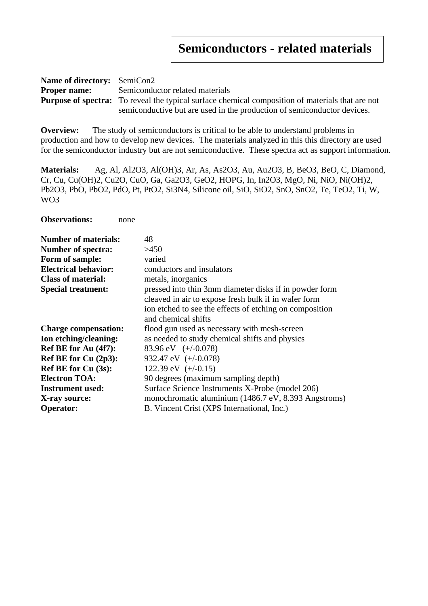| <b>Name of directory:</b> SemiCon2 |                                                                                                         |  |
|------------------------------------|---------------------------------------------------------------------------------------------------------|--|
| <b>Proper name:</b>                | Semiconductor related materials                                                                         |  |
|                                    | <b>Purpose of spectra:</b> To reveal the typical surface chemical composition of materials that are not |  |
|                                    | semiconductive but are used in the production of semiconductor devices.                                 |  |

**Overview:** The study of semiconductors is critical to be able to understand problems in production and how to develop new devices. The materials analyzed in this this directory are used for the semiconductor industry but are not semiconductive. These spectra act as support information.

**Materials:** Ag, Al, Al2O3, Al(OH)3, Ar, As, As2O3, Au, Au2O3, B, BeO3, BeO, C, Diamond, Cr, Cu, Cu(OH)2, Cu2O, CuO, Ga, Ga2O3, GeO2, HOPG, In, In2O3, MgO, Ni, NiO, Ni(OH)2, Pb2O3, PbO, PbO2, PdO, Pt, PtO2, Si3N4, Silicone oil, SiO, SiO2, SnO, SnO2, Te, TeO2, Ti, W, WO3

| <b>Number of materials:</b> | 48                                                      |
|-----------------------------|---------------------------------------------------------|
| <b>Number of spectra:</b>   | >450                                                    |
| Form of sample:             | varied                                                  |
| <b>Electrical behavior:</b> | conductors and insulators                               |
| <b>Class of material:</b>   | metals, inorganics                                      |
| <b>Special treatment:</b>   | pressed into thin 3mm diameter disks if in powder form  |
|                             | cleaved in air to expose fresh bulk if in wafer form    |
|                             | ion etched to see the effects of etching on composition |
|                             | and chemical shifts                                     |
| <b>Charge compensation:</b> | flood gun used as necessary with mesh-screen            |
| Ion etching/cleaning:       | as needed to study chemical shifts and physics          |
| Ref BE for Au (4f7):        | 83.96 eV $(+/-0.078)$                                   |
| Ref BE for Cu $(2p3)$ :     | 932.47 eV $(+/-0.078)$                                  |
| <b>Ref BE for Cu (3s):</b>  | 122.39 eV $(+/-0.15)$                                   |
| <b>Electron TOA:</b>        | 90 degrees (maximum sampling depth)                     |
| <b>Instrument used:</b>     | Surface Science Instruments X-Probe (model 206)         |
| X-ray source:               | monochromatic aluminium (1486.7 eV, 8.393 Angstroms)    |
| <b>Operator:</b>            | B. Vincent Crist (XPS International, Inc.)              |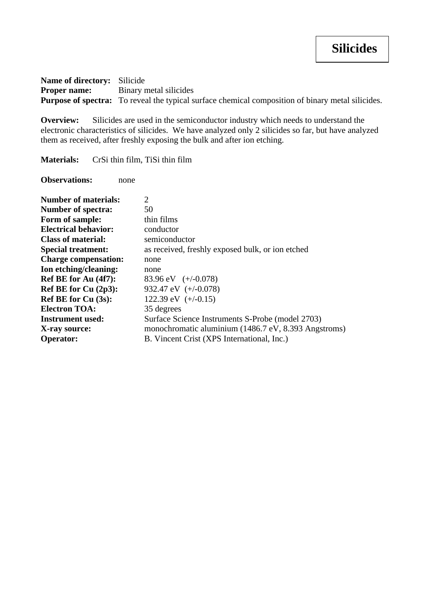**Name of directory:** Silicide **Proper name:** Binary metal silicides **Purpose of spectra:** To reveal the typical surface chemical composition of binary metal silicides.

**Overview:** Silicides are used in the semiconductor industry which needs to understand the electronic characteristics of silicides. We have analyzed only 2 silicides so far, but have analyzed them as received, after freshly exposing the bulk and after ion etching.

**Materials:** CrSi thin film, TiSi thin film

| <b>Number of materials:</b> | 2                                                    |
|-----------------------------|------------------------------------------------------|
| <b>Number of spectra:</b>   | 50                                                   |
| Form of sample:             | thin films                                           |
| <b>Electrical behavior:</b> | conductor                                            |
| <b>Class of material:</b>   | semiconductor                                        |
| <b>Special treatment:</b>   | as received, freshly exposed bulk, or ion etched     |
| <b>Charge compensation:</b> | none                                                 |
| Ion etching/cleaning:       | none                                                 |
| Ref BE for Au (4f7):        | 83.96 eV $(+/-0.078)$                                |
| Ref BE for Cu $(2p3)$ :     | 932.47 eV $(+/-0.078)$                               |
| <b>Ref BE for Cu (3s):</b>  | 122.39 eV $(+/-0.15)$                                |
| <b>Electron TOA:</b>        | 35 degrees                                           |
| <b>Instrument used:</b>     | Surface Science Instruments S-Probe (model 2703)     |
| X-ray source:               | monochromatic aluminium (1486.7 eV, 8.393 Angstroms) |
| <b>Operator:</b>            | B. Vincent Crist (XPS International, Inc.)           |
|                             |                                                      |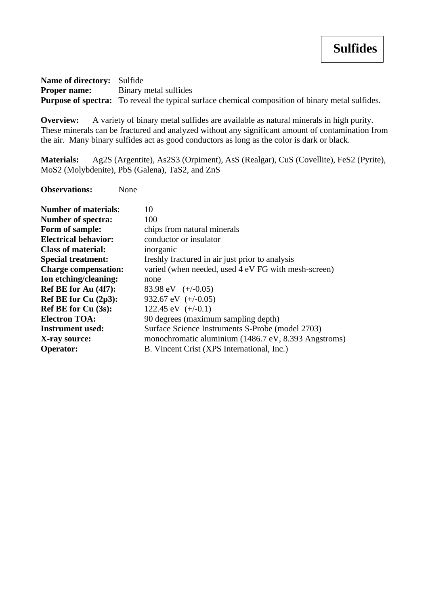**Name of directory:** Sulfide **Proper name:** Binary metal sulfides **Purpose of spectra:** To reveal the typical surface chemical composition of binary metal sulfides.

**Overview:** A variety of binary metal sulfides are available as natural minerals in high purity. These minerals can be fractured and analyzed without any significant amount of contamination from the air. Many binary sulfides act as good conductors as long as the color is dark or black.

**Materials:** Ag2S (Argentite), As2S3 (Orpiment), AsS (Realgar), CuS (Covellite), FeS2 (Pyrite), MoS2 (Molybdenite), PbS (Galena), TaS2, and ZnS

| <b>Number of materials:</b> | 10                                                   |
|-----------------------------|------------------------------------------------------|
| <b>Number of spectra:</b>   | 100                                                  |
| Form of sample:             | chips from natural minerals                          |
| <b>Electrical behavior:</b> | conductor or insulator                               |
| <b>Class of material:</b>   | inorganic                                            |
| <b>Special treatment:</b>   | freshly fractured in air just prior to analysis      |
| <b>Charge compensation:</b> | varied (when needed, used 4 eV FG with mesh-screen)  |
| Ion etching/cleaning:       | none                                                 |
| Ref BE for Au (4f7):        | 83.98 eV $(+/-0.05)$                                 |
| Ref BE for Cu $(2p3)$ :     | 932.67 eV $(+/-0.05)$                                |
| Ref BE for $Cu(3s)$ :       | 122.45 eV $(+/-0.1)$                                 |
| <b>Electron TOA:</b>        | 90 degrees (maximum sampling depth)                  |
| <b>Instrument used:</b>     | Surface Science Instruments S-Probe (model 2703)     |
| X-ray source:               | monochromatic aluminium (1486.7 eV, 8.393 Angstroms) |
| <b>Operator:</b>            | B. Vincent Crist (XPS International, Inc.)           |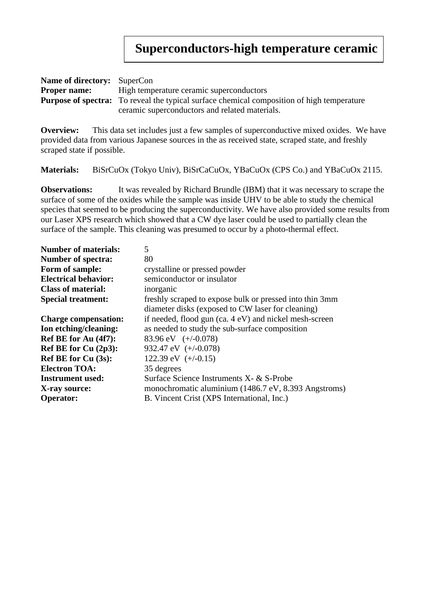## **Superconductors-high temperature ceramic**

| <b>Name of directory:</b> SuperCon |                                                                                                   |  |
|------------------------------------|---------------------------------------------------------------------------------------------------|--|
| <b>Proper name:</b>                | High temperature ceramic superconductors                                                          |  |
|                                    | <b>Purpose of spectra:</b> To reveal the typical surface chemical composition of high temperature |  |
|                                    | ceramic superconductors and related materials.                                                    |  |

**Overview:** This data set includes just a few samples of superconductive mixed oxides. We have provided data from various Japanese sources in the as received state, scraped state, and freshly scraped state if possible.

**Materials:** BiSrCuOx (Tokyo Univ), BiSrCaCuOx, YBaCuOx (CPS Co.) and YBaCuOx 2115.

**Observations:** It was revealed by Richard Brundle (IBM) that it was necessary to scrape the surface of some of the oxides while the sample was inside UHV to be able to study the chemical species that seemed to be producing the superconductivity. We have also provided some results from our Laser XPS research which showed that a CW dye laser could be used to partially clean the surface of the sample. This cleaning was presumed to occur by a photo-thermal effect.

| <b>Number of materials:</b> | 5                                                       |
|-----------------------------|---------------------------------------------------------|
| <b>Number of spectra:</b>   | 80                                                      |
| Form of sample:             | crystalline or pressed powder                           |
| <b>Electrical behavior:</b> | semiconductor or insulator                              |
| <b>Class of material:</b>   | inorganic                                               |
| <b>Special treatment:</b>   | freshly scraped to expose bulk or pressed into thin 3mm |
|                             | diameter disks (exposed to CW laser for cleaning)       |
| <b>Charge compensation:</b> | if needed, flood gun (ca. 4 eV) and nickel mesh-screen  |
| Ion etching/cleaning:       | as needed to study the sub-surface composition          |
| Ref BE for Au (4f7):        | 83.96 eV $(+/-0.078)$                                   |
| Ref BE for Cu (2p3):        | 932.47 eV $(+/-0.078)$                                  |
| <b>Ref BE for Cu (3s):</b>  | 122.39 eV $(+/-0.15)$                                   |
| <b>Electron TOA:</b>        | 35 degrees                                              |
| <b>Instrument used:</b>     | Surface Science Instruments X- & S-Probe                |
| X-ray source:               | monochromatic aluminium (1486.7 eV, 8.393 Angstroms)    |
| <b>Operator:</b>            | B. Vincent Crist (XPS International, Inc.)              |
|                             |                                                         |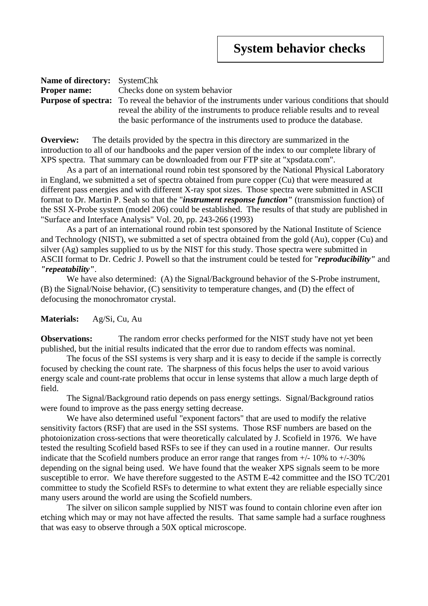| <b>Name of directory:</b> SystemChk |                                                                                                           |  |
|-------------------------------------|-----------------------------------------------------------------------------------------------------------|--|
|                                     | <b>Proper name:</b> Checks done on system behavior                                                        |  |
|                                     | <b>Purpose of spectra:</b> To reveal the behavior of the instruments under various conditions that should |  |
|                                     | reveal the ability of the instruments to produce reliable results and to reveal                           |  |
|                                     | the basic performance of the instruments used to produce the database.                                    |  |

**Overview:** The details provided by the spectra in this directory are summarized in the introduction to all of our handbooks and the paper version of the index to our complete library of XPS spectra. That summary can be downloaded from our FTP site at "xpsdata.com".

As a part of an international round robin test sponsored by the National Physical Laboratory in England, we submitted a set of spectra obtained from pure copper (Cu) that were measured at different pass energies and with different X-ray spot sizes. Those spectra were submitted in ASCII format to Dr. Martin P. Seah so that the "*instrument response function"* (transmission function) of the SSI X-Probe system (model 206) could be established. The results of that study are published in "Surface and Interface Analysis" Vol. 20, pp. 243-266 (1993)

As a part of an international round robin test sponsored by the National Institute of Science and Technology (NIST), we submitted a set of spectra obtained from the gold (Au), copper (Cu) and silver (Ag) samples supplied to us by the NIST for this study. Those spectra were submitted in ASCII format to Dr. Cedric J. Powell so that the instrument could be tested for "*reproducibility"* and *"repeatability"*.

We have also determined: (A) the Signal/Background behavior of the S-Probe instrument, (B) the Signal/Noise behavior, (C) sensitivity to temperature changes, and (D) the effect of defocusing the monochromator crystal.

## **Materials:** Ag/Si, Cu, Au

**Observations:** The random error checks performed for the NIST study have not yet been published, but the initial results indicated that the error due to random effects was nominal.

The focus of the SSI systems is very sharp and it is easy to decide if the sample is correctly focused by checking the count rate. The sharpness of this focus helps the user to avoid various energy scale and count-rate problems that occur in lense systems that allow a much large depth of field.

The Signal/Background ratio depends on pass energy settings. Signal/Background ratios were found to improve as the pass energy setting decrease.

We have also determined useful "exponent factors" that are used to modify the relative sensitivity factors (RSF) that are used in the SSI systems. Those RSF numbers are based on the photoionization cross-sections that were theoretically calculated by J. Scofield in 1976. We have tested the resulting Scofield based RSFs to see if they can used in a routine manner. Our results indicate that the Scofield numbers produce an error range that ranges from  $+/$ -10% to  $+/$ -30% depending on the signal being used. We have found that the weaker XPS signals seem to be more susceptible to error. We have therefore suggested to the ASTM E-42 committee and the ISO TC/201 committee to study the Scofield RSFs to determine to what extent they are reliable especially since many users around the world are using the Scofield numbers.

The silver on silicon sample supplied by NIST was found to contain chlorine even after ion etching which may or may not have affected the results. That same sample had a surface roughness that was easy to observe through a 50X optical microscope.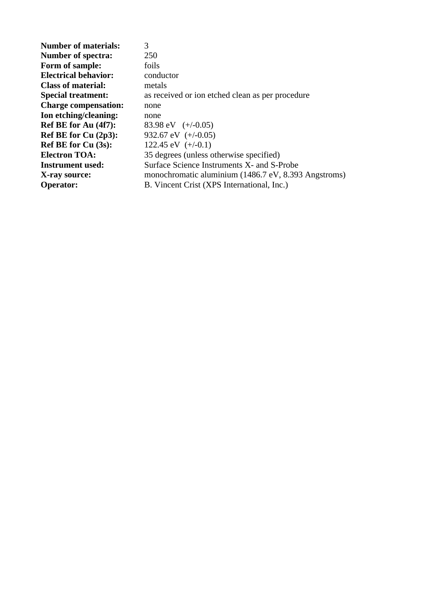| <b>Number of materials:</b> | 3                                                    |
|-----------------------------|------------------------------------------------------|
| <b>Number of spectra:</b>   | 250                                                  |
| Form of sample:             | foils                                                |
| <b>Electrical behavior:</b> | conductor                                            |
| <b>Class of material:</b>   | metals                                               |
| <b>Special treatment:</b>   | as received or ion etched clean as per procedure     |
| <b>Charge compensation:</b> | none                                                 |
| Ion etching/cleaning:       | none                                                 |
| Ref BE for Au (4f7):        | 83.98 eV $(+/-0.05)$                                 |
| Ref BE for $Cu(2p3)$ :      | 932.67 eV $(+/-0.05)$                                |
| <b>Ref BE for Cu (3s):</b>  | 122.45 eV $(+/-0.1)$                                 |
| <b>Electron TOA:</b>        | 35 degrees (unless otherwise specified)              |
| <b>Instrument used:</b>     | Surface Science Instruments X- and S-Probe           |
| X-ray source:               | monochromatic aluminium (1486.7 eV, 8.393 Angstroms) |
| <b>Operator:</b>            | B. Vincent Crist (XPS International, Inc.)           |
|                             |                                                      |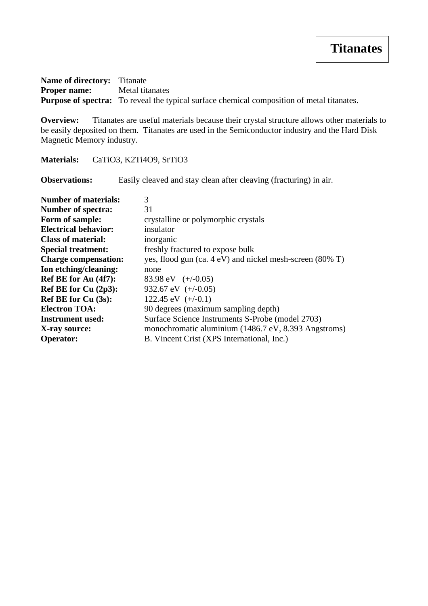**Name of directory:** Titanate **Proper name:** Metal titanates **Purpose of spectra:** To reveal the typical surface chemical composition of metal titanates.

**Overview:** Titanates are useful materials because their crystal structure allows other materials to be easily deposited on them. Titanates are used in the Semiconductor industry and the Hard Disk Magnetic Memory industry.

**Materials:** CaTiO3, K2Ti4O9, SrTiO3

**Observations:** Easily cleaved and stay clean after cleaving (fracturing) in air.

| <b>Number of materials:</b> | 3                                                        |
|-----------------------------|----------------------------------------------------------|
| <b>Number of spectra:</b>   | 31                                                       |
| Form of sample:             | crystalline or polymorphic crystals                      |
| <b>Electrical behavior:</b> | insulator                                                |
| <b>Class of material:</b>   | inorganic                                                |
| <b>Special treatment:</b>   | freshly fractured to expose bulk                         |
| <b>Charge compensation:</b> | yes, flood gun (ca. 4 eV) and nickel mesh-screen (80% T) |
| Ion etching/cleaning:       | none                                                     |
| Ref BE for Au (4f7):        | 83.98 eV $(+/-0.05)$                                     |
| Ref BE for Cu (2p3):        | 932.67 eV $(+/-0.05)$                                    |
| <b>Ref BE for Cu (3s):</b>  | 122.45 eV $(+/-0.1)$                                     |
| <b>Electron TOA:</b>        | 90 degrees (maximum sampling depth)                      |
| <b>Instrument used:</b>     | Surface Science Instruments S-Probe (model 2703)         |
| X-ray source:               | monochromatic aluminium (1486.7 eV, 8.393 Angstroms)     |
| <b>Operator:</b>            | B. Vincent Crist (XPS International, Inc.)               |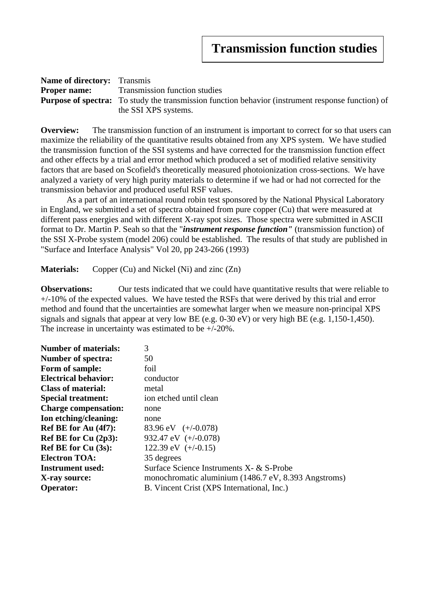| <b>Name of directory:</b> Transmis                                                                       |                               |
|----------------------------------------------------------------------------------------------------------|-------------------------------|
| <b>Proper name:</b>                                                                                      | Transmission function studies |
| <b>Purpose of spectra:</b> To study the transmission function behavior (instrument response function) of |                               |
|                                                                                                          | the SSI XPS systems.          |

**Overview:** The transmission function of an instrument is important to correct for so that users can maximize the reliability of the quantitative results obtained from any XPS system. We have studied the transmission function of the SSI systems and have corrected for the transmission function effect and other effects by a trial and error method which produced a set of modified relative sensitivity factors that are based on Scofield's theoretically measured photoionization cross-sections. We have analyzed a variety of very high purity materials to determine if we had or had not corrected for the transmission behavior and produced useful RSF values.

As a part of an international round robin test sponsored by the National Physical Laboratory in England, we submitted a set of spectra obtained from pure copper (Cu) that were measured at different pass energies and with different X-ray spot sizes. Those spectra were submitted in ASCII format to Dr. Martin P. Seah so that the "*instrument response function"* (transmission function) of the SSI X-Probe system (model 206) could be established. The results of that study are published in "Surface and Interface Analysis" Vol 20, pp 243-266 (1993)

**Materials:** Copper (Cu) and Nickel (Ni) and zinc (Zn)

**Observations:** Our tests indicated that we could have quantitative results that were reliable to  $+/-10\%$  of the expected values. We have tested the RSFs that were derived by this trial and error method and found that the uncertainties are somewhat larger when we measure non-principal XPS signals and signals that appear at very low BE (e.g. 0-30 eV) or very high BE (e.g. 1,150-1,450). The increase in uncertainty was estimated to be +/-20%.

| <b>Number of materials:</b> | 3                                                    |
|-----------------------------|------------------------------------------------------|
| <b>Number of spectra:</b>   | 50                                                   |
| Form of sample:             | foil                                                 |
| <b>Electrical behavior:</b> | conductor                                            |
| <b>Class of material:</b>   | metal                                                |
| <b>Special treatment:</b>   | ion etched until clean                               |
| <b>Charge compensation:</b> | none                                                 |
| Ion etching/cleaning:       | none                                                 |
| Ref BE for Au (4f7):        | 83.96 eV $(+/-0.078)$                                |
| Ref BE for Cu (2p3):        | 932.47 eV $(+/-0.078)$                               |
| <b>Ref BE for Cu (3s):</b>  | 122.39 eV $(+/-0.15)$                                |
| <b>Electron TOA:</b>        | 35 degrees                                           |
| <b>Instrument used:</b>     | Surface Science Instruments X- & S-Probe             |
| X-ray source:               | monochromatic aluminium (1486.7 eV, 8.393 Angstroms) |
| <b>Operator:</b>            | B. Vincent Crist (XPS International, Inc.)           |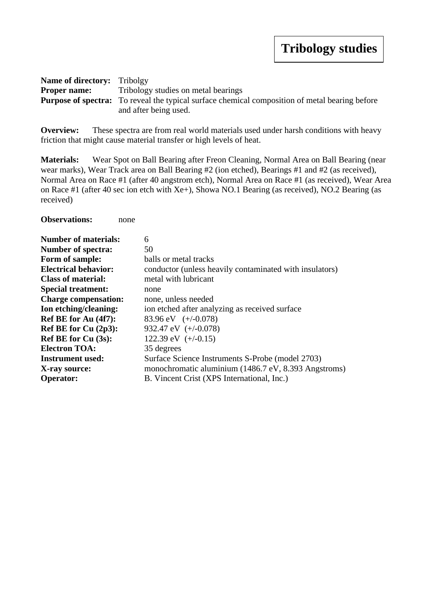| <b>Name of directory:</b> Tribolgy |                                                                                                       |
|------------------------------------|-------------------------------------------------------------------------------------------------------|
| <b>Proper name:</b>                | Tribology studies on metal bearings                                                                   |
|                                    | <b>Purpose of spectra:</b> To reveal the typical surface chemical composition of metal bearing before |
|                                    | and after being used.                                                                                 |

**Overview:** These spectra are from real world materials used under harsh conditions with heavy friction that might cause material transfer or high levels of heat.

**Materials:** Wear Spot on Ball Bearing after Freon Cleaning, Normal Area on Ball Bearing (near wear marks), Wear Track area on Ball Bearing #2 (ion etched), Bearings #1 and #2 (as received), Normal Area on Race #1 (after 40 angstrom etch), Normal Area on Race #1 (as received), Wear Area on Race #1 (after 40 sec ion etch with Xe+), Showa NO.1 Bearing (as received), NO.2 Bearing (as received)

| <b>Number of materials:</b> | 6                                                       |
|-----------------------------|---------------------------------------------------------|
| <b>Number of spectra:</b>   | 50                                                      |
| Form of sample:             | balls or metal tracks                                   |
| <b>Electrical behavior:</b> | conductor (unless heavily contaminated with insulators) |
| <b>Class of material:</b>   | metal with lubricant                                    |
| <b>Special treatment:</b>   | none                                                    |
| <b>Charge compensation:</b> | none, unless needed                                     |
| Ion etching/cleaning:       | ion etched after analyzing as received surface          |
| Ref BE for Au (4f7):        | 83.96 eV $(+/-0.078)$                                   |
| Ref BE for Cu (2p3):        | 932.47 eV $(+/-0.078)$                                  |
| Ref BE for $Cu(3s)$ :       | 122.39 eV $(+/-0.15)$                                   |
| <b>Electron TOA:</b>        | 35 degrees                                              |
| <b>Instrument used:</b>     | Surface Science Instruments S-Probe (model 2703)        |
| X-ray source:               | monochromatic aluminium (1486.7 eV, 8.393 Angstroms)    |
| <b>Operator:</b>            | B. Vincent Crist (XPS International, Inc.)              |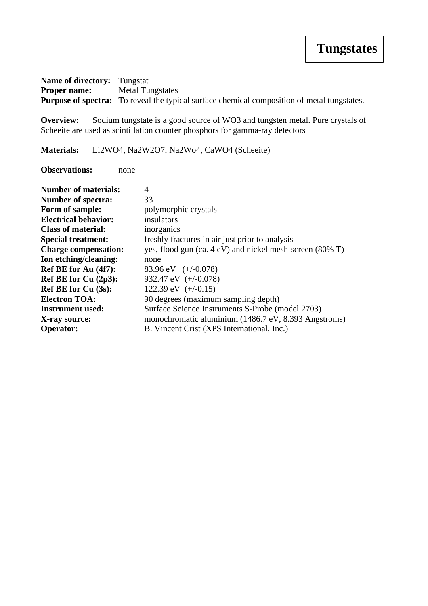**Name of directory:** Tungstat **Proper name:** Metal Tungstates **Purpose of spectra:** To reveal the typical surface chemical composition of metal tungstates.

**Overview:** Sodium tungstate is a good source of WO3 and tungsten metal. Pure crystals of Scheeite are used as scintillation counter phosphors for gamma-ray detectors

**Materials:** Li2WO4, Na2W2O7, Na2Wo4, CaWO4 (Scheeite)

| <b>Number of materials:</b> | 4                                                        |
|-----------------------------|----------------------------------------------------------|
| <b>Number of spectra:</b>   | 33                                                       |
| Form of sample:             | polymorphic crystals                                     |
| <b>Electrical behavior:</b> | insulators                                               |
| <b>Class of material:</b>   | inorganics                                               |
| <b>Special treatment:</b>   | freshly fractures in air just prior to analysis          |
| <b>Charge compensation:</b> | yes, flood gun (ca. 4 eV) and nickel mesh-screen (80% T) |
| Ion etching/cleaning:       | none                                                     |
| Ref BE for Au (4f7):        | 83.96 eV $(+/-0.078)$                                    |
| Ref BE for $Cu(2p3)$ :      | 932.47 eV $(+/-0.078)$                                   |
| Ref BE for $Cu(3s)$ :       | 122.39 eV $(+/-0.15)$                                    |
| <b>Electron TOA:</b>        | 90 degrees (maximum sampling depth)                      |
| <b>Instrument used:</b>     | Surface Science Instruments S-Probe (model 2703)         |
| X-ray source:               | monochromatic aluminium (1486.7 eV, 8.393 Angstroms)     |
| <b>Operator:</b>            | B. Vincent Crist (XPS International, Inc.)               |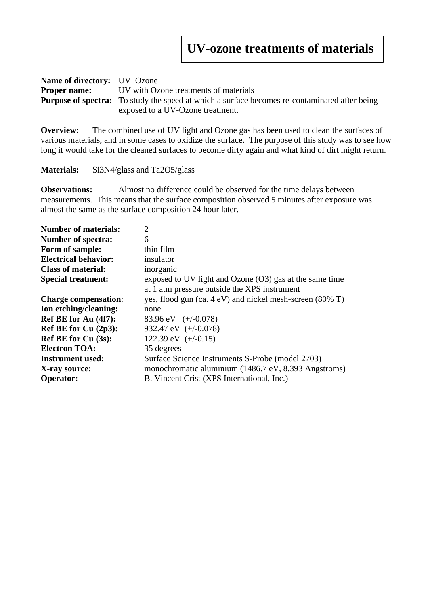| <b>Name of directory:</b> UV Ozone |                                                                                                      |
|------------------------------------|------------------------------------------------------------------------------------------------------|
| <b>Proper name:</b>                | UV with Ozone treatments of materials                                                                |
|                                    | <b>Purpose of spectra:</b> To study the speed at which a surface becomes re-contaminated after being |
|                                    | exposed to a UV-Ozone treatment.                                                                     |

**Overview:** The combined use of UV light and Ozone gas has been used to clean the surfaces of various materials, and in some cases to oxidize the surface. The purpose of this study was to see how long it would take for the cleaned surfaces to become dirty again and what kind of dirt might return.

**Materials:** Si3N4/glass and Ta2O5/glass

**Observations:** Almost no difference could be observed for the time delays between measurements. This means that the surface composition observed 5 minutes after exposure was almost the same as the surface composition 24 hour later.

| <b>Number of materials:</b> | $\overline{2}$                                                      |
|-----------------------------|---------------------------------------------------------------------|
| <b>Number of spectra:</b>   | 6                                                                   |
| Form of sample:             | thin film                                                           |
| <b>Electrical behavior:</b> | insulator                                                           |
| <b>Class of material:</b>   | inorganic                                                           |
| <b>Special treatment:</b>   | exposed to UV light and Ozone $(O3)$ gas at the same time           |
|                             | at 1 atm pressure outside the XPS instrument                        |
| <b>Charge compensation:</b> | yes, flood gun (ca. $4 \text{ eV}$ ) and nickel mesh-screen (80% T) |
| Ion etching/cleaning:       | none                                                                |
| Ref BE for Au (4f7):        | 83.96 eV $(+/-0.078)$                                               |
| Ref BE for Cu $(2p3)$ :     | 932.47 eV $(+/-0.078)$                                              |
| <b>Ref BE for Cu (3s):</b>  | 122.39 eV $(+/-0.15)$                                               |
| <b>Electron TOA:</b>        | 35 degrees                                                          |
| Instrument used:            | Surface Science Instruments S-Probe (model 2703)                    |
| X-ray source:               | monochromatic aluminium (1486.7 eV, 8.393 Angstroms)                |
| <b>Operator:</b>            | B. Vincent Crist (XPS International, Inc.)                          |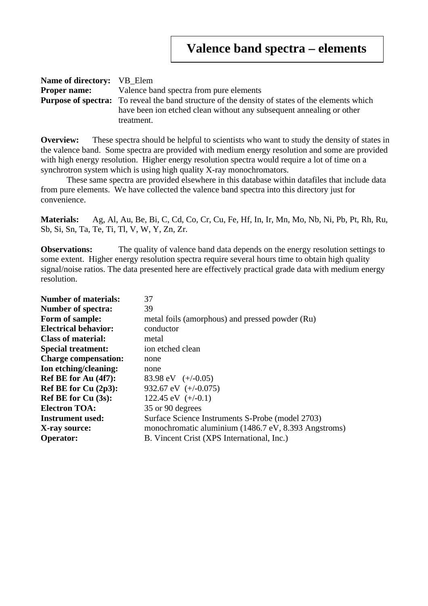| <b>Name of directory:</b> VB Elem |                                                                                                        |
|-----------------------------------|--------------------------------------------------------------------------------------------------------|
|                                   | <b>Proper name:</b> Valence band spectra from pure elements                                            |
|                                   | <b>Purpose of spectra:</b> To reveal the band structure of the density of states of the elements which |
|                                   | have been ion etched clean without any subsequent annealing or other                                   |
|                                   | treatment.                                                                                             |

**Overview:** These spectra should be helpful to scientists who want to study the density of states in the valence band. Some spectra are provided with medium energy resolution and some are provided with high energy resolution. Higher energy resolution spectra would require a lot of time on a synchrotron system which is using high quality X-ray monochromators.

These same spectra are provided elsewhere in this database within datafiles that include data from pure elements. We have collected the valence band spectra into this directory just for convenience.

**Materials:** Ag, Al, Au, Be, Bi, C, Cd, Co, Cr, Cu, Fe, Hf, In, Ir, Mn, Mo, Nb, Ni, Pb, Pt, Rh, Ru, Sb, Si, Sn, Ta, Te, Ti, Tl, V, W, Y, Zn, Zr.

**Observations:** The quality of valence band data depends on the energy resolution settings to some extent. Higher energy resolution spectra require several hours time to obtain high quality signal/noise ratios. The data presented here are effectively practical grade data with medium energy resolution.

| <b>Number of materials:</b> | 37                                                   |
|-----------------------------|------------------------------------------------------|
| <b>Number of spectra:</b>   | 39                                                   |
| Form of sample:             | metal foils (amorphous) and pressed powder (Ru)      |
| <b>Electrical behavior:</b> | conductor                                            |
| <b>Class of material:</b>   | metal                                                |
| <b>Special treatment:</b>   | ion etched clean                                     |
| <b>Charge compensation:</b> | none                                                 |
| Ion etching/cleaning:       | none                                                 |
| Ref BE for Au (4f7):        | 83.98 eV $(+/-0.05)$                                 |
| Ref BE for Cu (2p3):        | 932.67 eV $(+/-0.075)$                               |
| <b>Ref BE for Cu (3s):</b>  | 122.45 eV $(+/-0.1)$                                 |
| <b>Electron TOA:</b>        | 35 or 90 degrees                                     |
| <b>Instrument used:</b>     | Surface Science Instruments S-Probe (model 2703)     |
| X-ray source:               | monochromatic aluminium (1486.7 eV, 8.393 Angstroms) |
| <b>Operator:</b>            | B. Vincent Crist (XPS International, Inc.)           |
|                             |                                                      |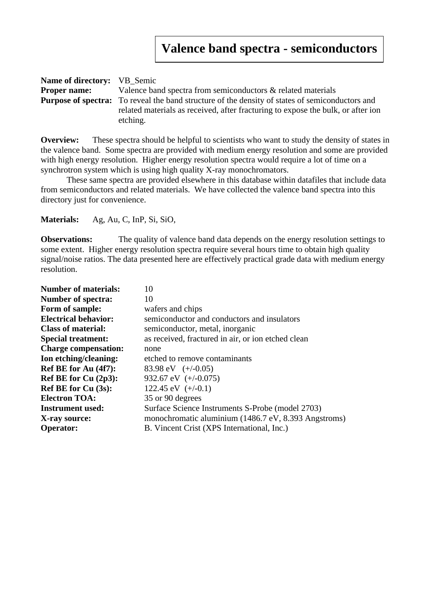| <b>Name of directory:</b> VB Semic |                                                                                                        |
|------------------------------------|--------------------------------------------------------------------------------------------------------|
| <b>Proper name:</b>                | Valence band spectra from semiconductors & related materials                                           |
|                                    | <b>Purpose of spectra:</b> To reveal the band structure of the density of states of semiconductors and |
|                                    | related materials as received, after fracturing to expose the bulk, or after ion                       |
|                                    | etching.                                                                                               |

**Overview:** These spectra should be helpful to scientists who want to study the density of states in the valence band. Some spectra are provided with medium energy resolution and some are provided with high energy resolution. Higher energy resolution spectra would require a lot of time on a synchrotron system which is using high quality X-ray monochromators.

These same spectra are provided elsewhere in this database within datafiles that include data from semiconductors and related materials. We have collected the valence band spectra into this directory just for convenience.

**Materials:** Ag, Au, C, InP, Si, SiO,

**Observations:** The quality of valence band data depends on the energy resolution settings to some extent. Higher energy resolution spectra require several hours time to obtain high quality signal/noise ratios. The data presented here are effectively practical grade data with medium energy resolution.

| <b>Number of materials:</b> | 10                                                   |
|-----------------------------|------------------------------------------------------|
| <b>Number of spectra:</b>   | 10                                                   |
| Form of sample:             | wafers and chips                                     |
| <b>Electrical behavior:</b> | semiconductor and conductors and insulators          |
| <b>Class of material:</b>   | semiconductor, metal, inorganic                      |
| <b>Special treatment:</b>   | as received, fractured in air, or ion etched clean   |
| <b>Charge compensation:</b> | none                                                 |
| Ion etching/cleaning:       | etched to remove contaminants                        |
| Ref BE for Au (4f7):        | 83.98 eV $(+/-0.05)$                                 |
| Ref BE for Cu $(2p3)$ :     | 932.67 eV $(+/-0.075)$                               |
| <b>Ref BE for Cu (3s):</b>  | 122.45 eV $(+/-0.1)$                                 |
| <b>Electron TOA:</b>        | 35 or 90 degrees                                     |
| <b>Instrument used:</b>     | Surface Science Instruments S-Probe (model 2703)     |
| X-ray source:               | monochromatic aluminium (1486.7 eV, 8.393 Angstroms) |
| <b>Operator:</b>            | B. Vincent Crist (XPS International, Inc.)           |